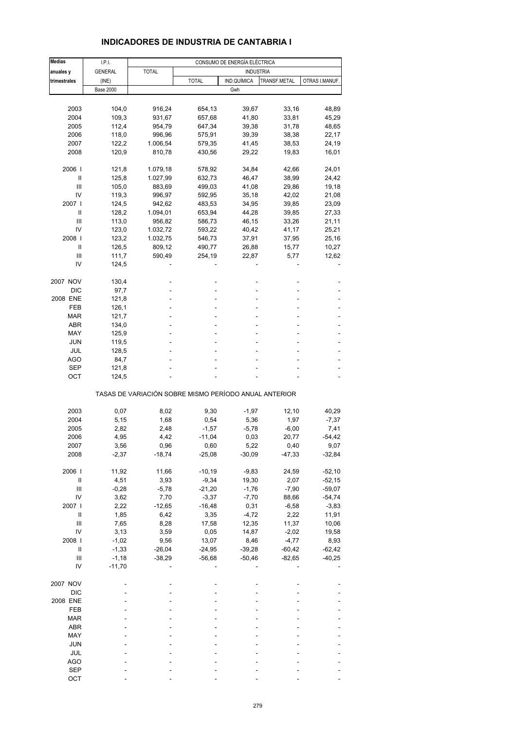| <b>Medias</b>  | I.P.I.           |                                                       |              | CONSUMO DE ENERGÍA ELÉCTRICA |              |                |
|----------------|------------------|-------------------------------------------------------|--------------|------------------------------|--------------|----------------|
| anuales y      | <b>GENERAL</b>   | <b>TOTAL</b>                                          |              | <b>INDUSTRIA</b>             |              |                |
| trimestrales   | (INE)            |                                                       | <b>TOTAL</b> | IND.QUÍMICA                  | TRANSF.METAL | OTRAS I.MANUF. |
|                | <b>Base 2000</b> |                                                       |              | Gwh                          |              |                |
|                |                  |                                                       |              |                              |              |                |
| 2003           | 104,0            | 916,24                                                | 654,13       | 39,67                        | 33,16        | 48,89          |
| 2004           | 109,3            | 931,67                                                | 657,68       | 41,80                        | 33,81        | 45,29          |
| 2005           | 112,4            | 954,79                                                | 647,34       | 39,38                        | 31,78        | 48,65          |
| 2006           | 118,0            | 996,96                                                | 575,91       | 39,39                        | 38,38        | 22,17          |
| 2007           | 122,2            | 1.006,54                                              | 579,35       | 41,45                        | 38,53        | 24,19          |
| 2008           | 120,9            | 810,78                                                | 430,56       | 29,22                        | 19,83        | 16,01          |
|                |                  |                                                       |              |                              |              |                |
| 2006           | 121,8            | 1.079,18                                              | 578,92       | 34,84                        | 42,66        | 24,01          |
| Ш              | 125,8            | 1.027,99                                              | 632,73       | 46,47                        | 38,99        | 24,42          |
| Ш              | 105,0            | 883,69                                                | 499,03       | 41,08                        | 29,86        | 19,18          |
| IV             | 119,3            | 996,97                                                | 592,95       | 35,18                        | 42,02        | 21,08          |
| 2007           | 124,5            | 942,62                                                | 483,53       | 34,95                        | 39,85        | 23,09          |
| Ш              | 128,2            | 1.094,01                                              | 653,94       | 44,28                        | 39,85        | 27,33          |
| Ш              | 113,0            | 956,82                                                | 586,73       | 46,15                        | 33,26        | 21,11          |
| IV             | 123,0            | 1.032,72                                              | 593,22       | 40,42                        | 41,17        | 25,21          |
| 2008           | 123,2            | 1.032,75                                              | 546,73       | 37,91                        | 37,95        | 25,16          |
| Ш              | 126,5            | 809,12                                                | 490,77       | 26,88                        | 15,77        | 10,27          |
| Ш              | 111,7            | 590,49                                                | 254,19       | 22,87                        | 5,77         | 12,62          |
| IV             | 124,5            |                                                       |              |                              |              |                |
|                |                  |                                                       |              |                              |              |                |
| 2007 NOV       | 130,4            |                                                       |              |                              |              |                |
| <b>DIC</b>     | 97,7             | L,                                                    |              |                              |              |                |
| 2008 ENE       | 121,8            |                                                       |              |                              |              |                |
| FEB            | 126,1            |                                                       |              |                              |              |                |
| MAR            | 121,7            |                                                       |              |                              |              |                |
| ABR            | 134,0            |                                                       |              |                              |              |                |
| MAY            | 125,9            | ä,                                                    |              |                              |              |                |
| <b>JUN</b>     | 119,5            |                                                       |              |                              |              |                |
| JUL            | 128,5            |                                                       |              |                              |              |                |
| AGO            | 84,7             |                                                       |              |                              |              |                |
| SEP            | 121,8            |                                                       |              |                              |              |                |
| OCT            | 124,5            |                                                       |              |                              |              |                |
|                |                  | TASAS DE VARIACIÓN SOBRE MISMO PERÍODO ANUAL ANTERIOR |              |                              |              |                |
|                |                  | 8,02                                                  |              |                              |              |                |
| 2003           | 0,07             |                                                       | 9,30         | $-1,97$                      | 12,10        | 40,29          |
| 2004           | 5,15             | 1,68                                                  | 0,54         | 5,36                         | 1,97         | $-7,37$        |
| 2005           | 2,82             | 2,48                                                  | $-1,57$      | $-5,78$                      | $-6,00$      | 7,41           |
| 2006           | 4,95             | 4,42                                                  | $-11,04$     | 0,03                         | 20,77        | $-54,42$       |
| 2007           | 3,56             | 0,96<br>$-18,74$                                      | 0,60         | 5,22                         | 0,40         | 9,07           |
| 2008           | $-2,37$          |                                                       | $-25,08$     | $-30,09$                     | $-47,33$     | $-32,84$       |
| 2006           | 11,92            | 11,66                                                 | $-10,19$     | $-9,83$                      | 24,59        | $-52,10$       |
| $\sf II$       | 4,51             | 3,93                                                  | $-9,34$      | 19,30                        | 2,07         | $-52,15$       |
| $\mathsf{III}$ | $-0,28$          | $-5,78$                                               | $-21,20$     | $-1,76$                      | $-7,90$      | $-59,07$       |
| IV             | 3,62             | 7,70                                                  | $-3,37$      | $-7,70$                      | 88,66        | $-54,74$       |
| 2007 l         | 2,22             | $-12,65$                                              | $-16,48$     | 0,31                         | $-6,58$      | $-3,83$        |
| $\sf II$       | 1,85             | 6,42                                                  | 3,35         | $-4,72$                      | 2,22         | 11,91          |
| $\mathbf{III}$ | 7,65             | 8,28                                                  | 17,58        | 12,35                        | 11,37        | 10,06          |
| IV             | 3,13             | 3,59                                                  | 0,05         | 14,87                        | $-2,02$      | 19,58          |
| 2008           | $-1,02$          | 9,56                                                  | 13,07        | 8,46                         | $-4,77$      | 8,93           |
| $\sf II$       | $-1,33$          | $-26,04$                                              | $-24,95$     | $-39,28$                     | $-60,42$     | $-62,42$       |
| $\mathbf{III}$ | $-1,18$          | $-38,29$                                              | $-56,68$     | $-50,46$                     | $-82,65$     | $-40,25$       |
| IV             | $-11,70$         |                                                       |              |                              |              |                |
|                |                  |                                                       |              |                              |              |                |
| 2007 NOV       |                  |                                                       |              |                              |              |                |
| DIC            |                  |                                                       |              |                              |              |                |
| 2008 ENE       |                  |                                                       |              |                              |              |                |
| FEB            |                  |                                                       |              |                              |              |                |
| MAR            |                  |                                                       |              |                              |              |                |
| ABR            |                  |                                                       |              |                              |              |                |
| MAY            |                  |                                                       |              |                              |              |                |
| <b>JUN</b>     |                  |                                                       |              |                              |              |                |
| JUL            |                  |                                                       |              |                              |              |                |
| <b>AGO</b>     |                  |                                                       |              |                              |              |                |
| <b>SEP</b>     |                  |                                                       |              |                              |              |                |
| OCT            |                  |                                                       |              |                              |              |                |

# **INDICADORES DE INDUSTRIA DE CANTABRIA I**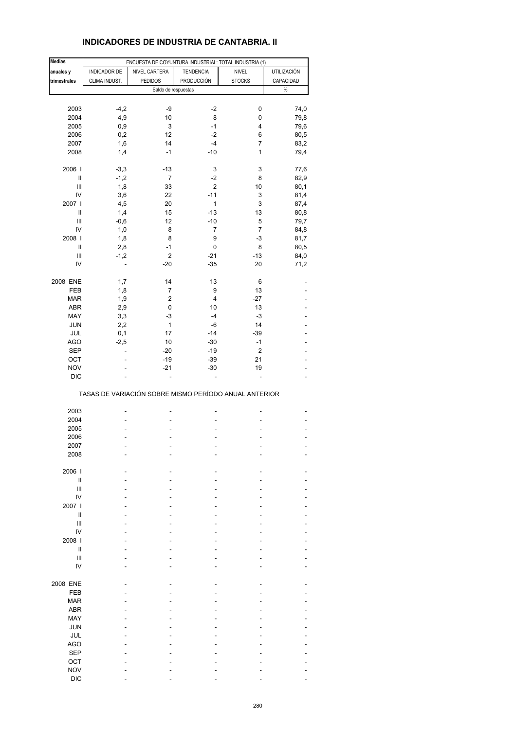# **INDICADORES DE INDUSTRIA DE CANTABRIA. II**

| <b>Medias</b>                      |               | ENCUESTA DE COYUNTURA INDUSTRIAL: TOTAL INDUSTRIA (1) |                   |                |                    |
|------------------------------------|---------------|-------------------------------------------------------|-------------------|----------------|--------------------|
| anuales y                          | INDICADOR DE  | NIVEL CARTERA                                         | <b>TENDENCIA</b>  | <b>NIVEL</b>   | <b>UTILIZACIÓN</b> |
|                                    |               |                                                       |                   |                |                    |
| trimestrales                       | CLIMA INDUST. | <b>PEDIDOS</b>                                        | <b>PRODUCCIÓN</b> | <b>STOCKS</b>  | CAPACIDAD          |
|                                    |               | Saldo de respuestas                                   |                   |                | $\%$               |
|                                    |               |                                                       |                   |                |                    |
| 2003                               | $-4,2$        | -9                                                    | -2                | 0              | 74,0               |
| 2004                               | 4,9           | 10                                                    | 8                 | 0              | 79,8               |
| 2005                               | 0,9           | 3                                                     | -1                | 4              | 79,6               |
|                                    |               |                                                       |                   |                |                    |
| 2006                               | 0,2           | 12                                                    | -2                | 6              | 80,5               |
| 2007                               | 1,6           | 14                                                    | $-4$              | $\overline{7}$ | 83,2               |
| 2008                               | 1,4           | $-1$                                                  | $-10$             | 1              | 79,4               |
|                                    |               |                                                       |                   |                |                    |
| 2006                               | $-3,3$        | $-13$                                                 | 3                 | 3              | 77,6               |
| $\ensuremath{\mathsf{II}}$         | $-1,2$        | $\overline{7}$                                        | -2                | 8              | 82,9               |
| $\ensuremath{\mathsf{III}}\xspace$ | 1,8           | 33                                                    | $\overline{2}$    | 10             | 80,1               |
|                                    |               |                                                       |                   |                |                    |
| IV                                 | 3,6           | 22                                                    | $-11$             | 3              | 81,4               |
| 2007 l                             | 4,5           | 20                                                    | 1                 | 3              | 87,4               |
| Ш                                  | 1,4           | 15                                                    | $-13$             | 13             | 80,8               |
| Ш                                  | $-0,6$        | 12                                                    | $-10$             | 5              | 79,7               |
| IV                                 | 1,0           | 8                                                     | 7                 | $\overline{7}$ | 84,8               |
|                                    |               |                                                       |                   |                |                    |
| 2008                               | 1,8           | 8                                                     | 9                 | $-3$           | 81,7               |
| Ш                                  | 2,8           | $-1$                                                  | 0                 | 8              | 80,5               |
| $\ensuremath{\mathsf{III}}\xspace$ | $-1,2$        | $\overline{c}$                                        | $-21$             | $-13$          | 84,0               |
| IV                                 | ÷,            | $-20$                                                 | $-35$             | 20             | 71,2               |
|                                    |               |                                                       |                   |                |                    |
| 2008 ENE                           | 1,7           | 14                                                    | 13                | 6              |                    |
| <b>FEB</b>                         | 1,8           | 7                                                     | 9                 | 13             |                    |
|                                    |               |                                                       |                   |                |                    |
| <b>MAR</b>                         | 1,9           | $\overline{c}$                                        | 4                 | $-27$          |                    |
| <b>ABR</b>                         | 2,9           | 0                                                     | 10                | 13             |                    |
| MAY                                | 3,3           | -3                                                    | $-4$              | -3             |                    |
| <b>JUN</b>                         | 2,2           | $\mathbf{1}$                                          | -6                | 14             |                    |
| JUL                                | 0,1           | 17                                                    | $-14$             | $-39$          |                    |
|                                    |               |                                                       |                   |                |                    |
| AGO                                | $-2,5$        | 10                                                    | $-30$             | $-1$           |                    |
| <b>SEP</b>                         | ä,            | $-20$                                                 | -19               | $\mathbf 2$    |                    |
| OCT                                |               | $-19$                                                 | $-39$             | 21             |                    |
| <b>NOV</b>                         |               | $-21$                                                 | $-30$             | 19             |                    |
| <b>DIC</b>                         |               | ä,                                                    | L,                | ä,             | $\overline{a}$     |
|                                    |               |                                                       |                   |                |                    |
|                                    |               | TASAS DE VARIACIÓN SOBRE MISMO PERÍODO ANUAL ANTERIOR |                   |                |                    |
|                                    |               |                                                       |                   |                |                    |
| 2003                               |               | ۰                                                     | -                 |                |                    |
| 2004                               |               |                                                       | ä,                |                |                    |
| 2005                               |               |                                                       | L,                |                |                    |
| 2006                               |               |                                                       |                   |                |                    |
|                                    |               |                                                       |                   |                |                    |
| 2007                               |               |                                                       |                   |                |                    |
| 2008                               |               |                                                       |                   |                |                    |
|                                    |               |                                                       |                   |                |                    |
| 2006                               |               |                                                       |                   |                |                    |
| $\sf II$                           |               |                                                       |                   |                |                    |
| Ш                                  |               |                                                       |                   |                |                    |
| IV                                 |               |                                                       |                   |                |                    |
| 2007 l                             |               |                                                       |                   |                |                    |
|                                    |               |                                                       |                   |                |                    |
| Ш                                  |               |                                                       |                   |                |                    |
| $\ensuremath{\mathsf{III}}\xspace$ |               |                                                       |                   |                |                    |
| IV                                 |               |                                                       |                   |                |                    |
| 2008                               |               |                                                       |                   |                |                    |
| $\sf II$                           |               |                                                       |                   |                |                    |
|                                    |               |                                                       |                   |                |                    |
| $\mathsf{III}$                     |               |                                                       |                   |                |                    |
| IV                                 |               |                                                       |                   |                |                    |
|                                    |               |                                                       |                   |                |                    |
| 2008 ENE                           |               |                                                       |                   |                |                    |
| FEB                                |               |                                                       |                   |                |                    |
| <b>MAR</b>                         |               |                                                       |                   |                |                    |
|                                    |               |                                                       |                   |                |                    |
| <b>ABR</b>                         |               |                                                       |                   |                |                    |
| MAY                                |               |                                                       |                   |                |                    |
| <b>JUN</b>                         |               |                                                       |                   |                |                    |
| JUL                                |               |                                                       |                   |                |                    |
| <b>AGO</b>                         |               |                                                       |                   |                |                    |
|                                    |               |                                                       |                   |                |                    |
| <b>SEP</b>                         |               |                                                       |                   |                |                    |
| OCT                                |               |                                                       |                   |                |                    |
| <b>NOV</b>                         |               |                                                       |                   |                |                    |
| <b>DIC</b>                         |               |                                                       |                   |                |                    |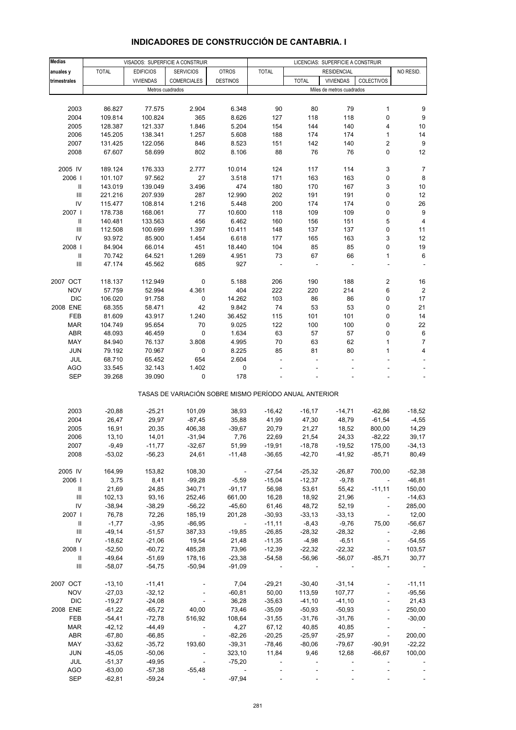| <b>Medias</b> |              |                  | VISADOS: SUPERFICIE A CONSTRUIR                       |                             |              |                          | LICENCIAS: SUPERFICIE A CONSTRUIR |                             |                          |
|---------------|--------------|------------------|-------------------------------------------------------|-----------------------------|--------------|--------------------------|-----------------------------------|-----------------------------|--------------------------|
| anuales y     | <b>TOTAL</b> | <b>EDIFICIOS</b> | <b>SERVICIOS</b>                                      | <b>OTROS</b>                | <b>TOTAL</b> |                          | <b>RESIDENCIAL</b>                |                             | NO RESID.                |
| trimestrales  |              | <b>VIVIENDAS</b> | COMERCIALES                                           | <b>DESTINOS</b>             |              | <b>TOTAL</b>             | <b>VIVIENDAS</b>                  | COLECTIVOS                  |                          |
|               |              |                  |                                                       |                             |              |                          |                                   |                             |                          |
|               |              | Metros cuadrados |                                                       |                             |              |                          | Miles de metros cuadrados         |                             |                          |
|               |              |                  |                                                       |                             |              |                          |                                   |                             |                          |
| 2003          | 86.827       | 77.575           | 2.904                                                 | 6.348                       | 90           | 80                       | 79                                | 1                           | 9                        |
| 2004          | 109.814      | 100.824          | 365                                                   | 8.626                       | 127          | 118                      | 118                               | 0                           | 9                        |
| 2005          | 128.387      | 121.337          | 1.846                                                 | 5.204                       | 154          | 144                      | 140                               | $\overline{4}$              | 10                       |
| 2006          | 145.205      | 138.341          | 1.257                                                 | 5.608                       | 188          | 174                      | 174                               | $\mathbf{1}$                | 14                       |
| 2007          | 131.425      | 122.056          | 846                                                   | 8.523                       | 151          | 142                      | 140                               | 2                           | 9                        |
| 2008          | 67.607       | 58.699           | 802                                                   | 8.106                       | 88           | 76                       | 76                                | 0                           | 12                       |
|               |              |                  |                                                       |                             |              |                          |                                   |                             |                          |
| 2005 IV       | 189.124      | 176.333          | 2.777                                                 | 10.014                      | 124          | 117                      | 114                               | 3                           | $\overline{7}$           |
| 2006          | 101.107      | 97.562           | 27                                                    | 3.518                       | 171          | 163                      | 163                               | 0                           | 8                        |
|               |              |                  | 3.496                                                 |                             |              |                          | 167                               |                             | 10                       |
| Ш             | 143.019      | 139.049          |                                                       | 474                         | 180          | 170                      |                                   | 3                           |                          |
| III           | 221.216      | 207.939          | 287                                                   | 12.990                      | 202          | 191                      | 191                               | 0                           | 12                       |
| IV            | 115.477      | 108.814          | 1.216                                                 | 5.448                       | 200          | 174                      | 174                               | 0                           | 26                       |
| 2007          | 178.738      | 168.061          | 77                                                    | 10.600                      | 118          | 109                      | 109                               | 0                           | 9                        |
| Ш             | 140.481      | 133.563          | 456                                                   | 6.462                       | 160          | 156                      | 151                               | 5                           | $\overline{\mathbf{4}}$  |
| Ш             | 112.508      | 100.699          | 1.397                                                 | 10.411                      | 148          | 137                      | 137                               | 0                           | 11                       |
| IV            | 93.972       | 85.900           | 1.454                                                 | 6.618                       | 177          | 165                      | 163                               | 3                           | 12                       |
| 2008          | 84.904       | 66.014           | 451                                                   | 18.440                      | 104          | 85                       | 85                                | 0                           | 19                       |
| Ш             | 70.742       | 64.521           | 1.269                                                 | 4.951                       | 73           | 67                       | 66                                | $\mathbf{1}$                | 6                        |
|               | 47.174       |                  |                                                       | 927                         |              |                          |                                   | ÷,                          |                          |
| Ш             |              | 45.562           | 685                                                   |                             |              |                          |                                   |                             |                          |
|               |              |                  |                                                       |                             |              |                          |                                   |                             |                          |
| 2007 OCT      | 118.137      | 112.949          | 0                                                     | 5.188                       | 206          | 190                      | 188                               | 2                           | 16                       |
| <b>NOV</b>    | 57.759       | 52.994           | 4.361                                                 | 404                         | 222          | 220                      | 214                               | 6                           | $\overline{2}$           |
| <b>DIC</b>    | 106.020      | 91.758           | $\pmb{0}$                                             | 14.262                      | 103          | 86                       | 86                                | 0                           | 17                       |
| 2008 ENE      | 68.355       | 58.471           | 42                                                    | 9.842                       | 74           | 53                       | 53                                | 0                           | 21                       |
| FEB           | 81.609       | 43.917           | 1.240                                                 | 36.452                      | 115          | 101                      | 101                               | 0                           | 14                       |
| <b>MAR</b>    | 104.749      | 95.654           | 70                                                    | 9.025                       | 122          | 100                      | 100                               | 0                           | 22                       |
| <b>ABR</b>    | 48.093       | 46.459           | 0                                                     | 1.634                       | 63           | 57                       | 57                                | 0                           | 6                        |
| MAY           | 84.940       | 76.137           | 3.808                                                 | 4.995                       | 70           | 63                       | 62                                | $\mathbf{1}$                | $\overline{7}$           |
| <b>JUN</b>    |              |                  |                                                       |                             | 85           | 81                       |                                   | $\mathbf{1}$                |                          |
|               | 79.192       | 70.967           | 0                                                     | 8.225                       |              |                          | 80                                |                             | 4                        |
| JUL           | 68.710       | 65.452           | 654                                                   | 2.604                       |              |                          |                                   |                             |                          |
| AGO           | 33.545       | 32.143           | 1.402                                                 | 0                           |              |                          |                                   |                             |                          |
| <b>SEP</b>    | 39.268       | 39.090           | 0                                                     | 178                         |              |                          |                                   |                             | $\overline{\phantom{a}}$ |
|               |              |                  | TASAS DE VARIACIÓN SOBRE MISMO PERÍODO ANUAL ANTERIOR |                             |              |                          |                                   |                             |                          |
|               |              |                  |                                                       |                             |              |                          |                                   |                             |                          |
| 2003          | $-20,88$     | $-25,21$         | 101,09                                                | 38,93                       | $-16,42$     | $-16,17$                 | $-14,71$                          | $-62,86$                    | $-18,52$                 |
| 2004          | 26,47        | 29,97            | $-87,45$                                              | 35,88                       | 41,99        | 47,30                    | 48,79                             | $-61,54$                    | $-4,55$                  |
| 2005          | 16,91        | 20,35            | 406,38                                                | $-39,67$                    | 20,79        | 21,27                    | 18,52                             | 800,00                      | 14,29                    |
| 2006          | 13,10        | 14,01            | $-31,94$                                              | 7,76                        | 22,69        | 21,54                    | 24,33                             | $-82,22$                    | 39.17                    |
| 2007          | $-9,49$      | $-11,77$         | $-32,67$                                              | 51,99                       | $-19,91$     | $-18,78$                 | $-19,52$                          | 175,00                      | $-34,13$                 |
| 2008          | $-53,02$     | $-56,23$         | 24,61                                                 | $-11,48$                    | $-36,65$     | $-42,70$                 | $-41,92$                          | $-85,71$                    | 80,49                    |
|               |              |                  |                                                       |                             |              |                          |                                   |                             |                          |
| 2005 IV       | 164,99       | 153,82           | 108,30                                                | $\sim$                      | $-27,54$     | $-25,32$                 | $-26,87$                          | 700,00                      | $-52,38$                 |
| 2006          | 3,75         | 8,41             | $-99,28$                                              | $-5,59$                     | $-15,04$     | $-12,37$                 | $-9,78$                           | $\sim$                      | $-46,81$                 |
| Ш             | 21,69        | 24,85            | 340,71                                                | $-91,17$                    | 56,98        | 53,61                    | 55,42                             | $-11,11$                    | 150,00                   |
|               |              |                  |                                                       |                             |              |                          |                                   |                             |                          |
| Ш             | 102,13       | 93,16            | 252,46                                                | 661,00                      | 16,28        | 18,92                    | 21,96                             | $\blacksquare$              | $-14,63$                 |
| IV            | $-38,94$     | $-38,29$         | $-56,22$                                              | $-45,60$                    | 61,46        | 48,72                    | 52,19                             | $\mathcal{L}_{\mathcal{A}}$ | 285,00                   |
| 2007          | 76,78        | 72,26            | 185,19                                                | 201,28                      | $-30,93$     | $-33,13$                 | $-33,13$                          | $\Box$                      | 12,00                    |
| Ш             | $-1,77$      | $-3,95$          | $-86,95$                                              | $\mathcal{L}_{\mathcal{A}}$ | $-11,11$     | $-8,43$                  | $-9,76$                           | 75,00                       | $-56,67$                 |
| Ш             | $-49,14$     | $-51,57$         | 387,33                                                | $-19,85$                    | $-26,85$     | $-28,32$                 | $-28,32$                          | $\mathcal{L}_{\mathcal{A}}$ | $-2,86$                  |
| IV            | $-18,62$     | $-21,06$         | 19,54                                                 | 21,48                       | $-11,35$     | -4,98                    | $-6,51$                           | $\overline{\phantom{a}}$    | $-54,55$                 |
| 2008          | $-52,50$     | $-60,72$         | 485,28                                                | 73,96                       | $-12,39$     | $-22,32$                 | $-22,32$                          | $\sim$                      | 103,57                   |
| $\mathbf{II}$ | $-49,64$     | $-51,69$         | 178,16                                                | $-23,38$                    | $-54,58$     | $-56,96$                 | $-56,07$                          | $-85,71$                    | 30,77                    |
| Ш             | $-58,07$     | $-54,75$         | $-50,94$                                              | $-91,09$                    |              |                          |                                   | $\overline{\phantom{a}}$    |                          |
|               |              |                  |                                                       |                             |              |                          |                                   |                             |                          |
| 2007 OCT      | $-13,10$     | $-11,41$         |                                                       | 7,04                        | $-29,21$     | $-30,40$                 | $-31,14$                          | $\blacksquare$              | $-11,11$                 |
| <b>NOV</b>    | $-27,03$     | $-32,12$         |                                                       | $-60,81$                    | 50,00        | 113,59                   | 107,77                            |                             | $-95,56$                 |
| <b>DIC</b>    | $-19,27$     | $-24,08$         | $\blacksquare$                                        | 36,28                       | $-35,63$     | $-41,10$                 | $-41,10$                          | $\blacksquare$              | 21,43                    |
| 2008 ENE      | $-61,22$     | $-65,72$         | 40,00                                                 | 73,46                       | $-35,09$     | $-50,93$                 | $-50,93$                          | $\Box$                      | 250,00                   |
|               |              |                  |                                                       |                             |              |                          |                                   |                             |                          |
| FEB           | $-54,41$     | $-72,78$         | 516,92                                                | 108,64                      | $-31,55$     | $-31,76$                 | $-31,76$                          |                             | $-30,00$                 |
| <b>MAR</b>    | $-42, 12$    | $-44,49$         | $\sim$                                                | 4,27                        | 67,12        | 40,85                    | 40,85                             | $\blacksquare$              |                          |
| <b>ABR</b>    | $-67,80$     | $-66,85$         | $\sim$                                                | $-82,26$                    | $-20,25$     | $-25,97$                 | $-25,97$                          | $\omega$                    | 200,00                   |
| MAY           | $-33,62$     | $-35,72$         | 193,60                                                | $-39,31$                    | $-78,46$     | $-80,06$                 | -79,67                            | $-90,91$                    | $-22,22$                 |
| <b>JUN</b>    | $-45,05$     | $-50,06$         |                                                       | 323,10                      | 11,84        | 9,46                     | 12,68                             | $-66,67$                    | 100,00                   |
| JUL           | $-51,37$     | $-49,95$         | $\mathcal{A}$                                         | $-75,20$                    |              | $\overline{\phantom{a}}$ |                                   |                             |                          |
| <b>AGO</b>    | $-63,00$     | $-57,38$         | $-55,48$                                              |                             |              |                          |                                   |                             |                          |
| <b>SEP</b>    | $-62,81$     | $-59,24$         |                                                       | $-97,94$                    |              |                          |                                   |                             |                          |

## **INDICADORES DE CONSTRUCCIÓN DE CANTABRIA. I**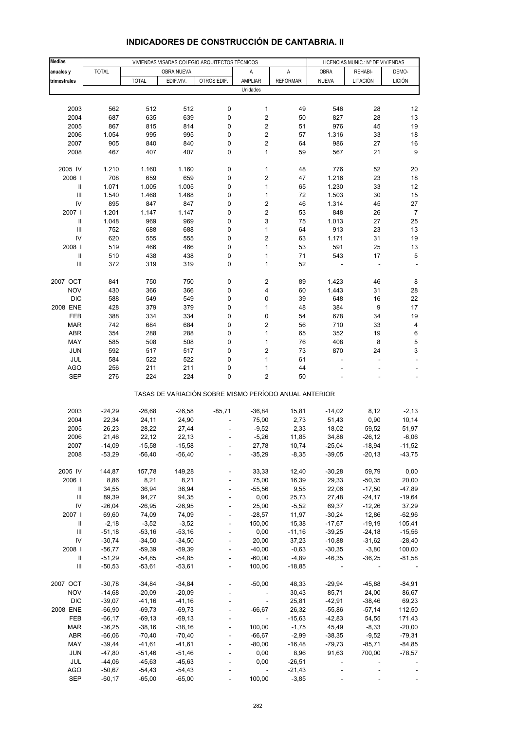| <b>Medias</b>                      |              |                      |            | VIVIENDAS VISADAS COLEGIO ARQUITECTOS TÉCNICOS |                                                       |                     | LICENCIAS MUNIC.: Nº DE VIVIENDAS |          |                    |
|------------------------------------|--------------|----------------------|------------|------------------------------------------------|-------------------------------------------------------|---------------------|-----------------------------------|----------|--------------------|
| anuales y                          | <b>TOTAL</b> |                      | OBRA NUEVA |                                                | Α                                                     | A                   | <b>OBRA</b>                       | REHABI-  | DEMO-              |
| trimestrales                       |              | <b>TOTAL</b>         | EDIF.VIV.  | OTROS EDIF.                                    | <b>AMPLIAR</b>                                        | <b>REFORMAR</b>     | <b>NUEVA</b>                      | LITACIÓN | <b>LICIÓN</b>      |
|                                    |              |                      |            |                                                | Unidades                                              |                     |                                   |          |                    |
|                                    |              |                      |            |                                                |                                                       |                     |                                   |          |                    |
| 2003                               | 562          | 512                  | 512        | 0                                              | 1                                                     | 49                  | 546                               | 28       | 12                 |
| 2004                               | 687          | 635                  | 639        | 0                                              | $\overline{\mathbf{c}}$                               | 50                  | 827                               | 28       | 13                 |
| 2005                               | 867          | 815                  | 814        | 0                                              | 2                                                     | 51                  | 976                               | 45       | 19                 |
| 2006                               | 1.054        | 995                  | 995        | 0                                              | $\mathbf 2$                                           | 57                  | 1.316                             | 33       | 18                 |
| 2007                               | 905          | 840                  | 840        | 0                                              | $\mathbf 2$                                           | 64                  | 986                               | 27       | 16                 |
| 2008                               | 467          | 407                  | 407        | 0                                              | 1                                                     | 59                  | 567                               | 21       | 9                  |
|                                    |              |                      |            |                                                |                                                       |                     |                                   |          |                    |
| 2005 IV                            | 1.210        | 1.160                | 1.160      | 0                                              | 1                                                     | 48                  | 776                               | 52       | 20                 |
| 2006                               | 708          | 659                  | 659        | 0                                              | $\overline{\mathbf{c}}$                               | 47                  | 1.216                             | 23       | 18                 |
| $\, \parallel$                     | 1.071        | 1.005                | 1.005      | 0                                              | 1                                                     | 65                  | 1.230                             | 33       | 12                 |
| $\ensuremath{\mathsf{III}}\xspace$ | 1.540        | 1.468                | 1.468      | 0                                              | $\mathbf{1}$                                          | 72                  | 1.503                             | 30       | 15                 |
| IV                                 | 895          | 847                  | 847        | 0                                              | 2                                                     | 46                  | 1.314                             | 45       | 27                 |
| 2007 l                             | 1.201        | 1.147                | 1.147      | 0                                              | 2                                                     | 53                  | 848                               | 26       | $\overline{7}$     |
| $\, \parallel$                     | 1.048        | 969                  | 969        | 0                                              | 3                                                     | 75                  | 1.013                             | 27       | 25                 |
| III                                | 752          | 688                  | 688        | 0                                              | 1                                                     | 64                  | 913                               | 23       | 13                 |
| IV                                 | 620          | 555                  | 555        | 0                                              | $\overline{\mathbf{c}}$                               | 63                  | 1.171                             | 31       | 19                 |
| 2008                               | 519          | 466                  | 466        | 0                                              | $\mathbf{1}$                                          | 53                  | 591                               | 25       | 13                 |
| $\ensuremath{\mathsf{II}}$         | 510          | 438                  | 438        | 0                                              | 1                                                     | 71                  | 543                               | 17       | 5                  |
| Ш                                  | 372          | 319                  | 319        | 0                                              | 1                                                     | 52                  |                                   |          |                    |
|                                    |              |                      |            |                                                |                                                       |                     |                                   |          |                    |
| 2007 OCT                           | 841          | 750                  | 750        | 0                                              | $\boldsymbol{2}$                                      | 89                  | 1.423                             | 46       | 8                  |
| <b>NOV</b>                         | 430          | 366                  | 366        | 0                                              | 4                                                     | 60                  | 1.443                             | 31       | 28                 |
| <b>DIC</b><br>2008 ENE             | 588<br>428   | 549<br>379           | 549<br>379 | 0                                              | 0                                                     | 39<br>48            | 648<br>384                        | 16       | 22<br>17           |
|                                    |              |                      |            | 0<br>0                                         | 1<br>0                                                | 54                  |                                   | 9        |                    |
| FEB<br><b>MAR</b>                  | 388<br>742   | 334<br>684           | 334<br>684 | 0                                              | $\overline{\mathbf{c}}$                               | 56                  | 678<br>710                        | 34<br>33 | 19<br>4            |
| ABR                                | 354          | 288                  | 288        | 0                                              | $\mathbf{1}$                                          | 65                  | 352                               | 19       | 6                  |
| MAY                                | 585          | 508                  | 508        | 0                                              | $\mathbf{1}$                                          | 76                  | 408                               | 8        | 5                  |
| <b>JUN</b>                         | 592          | 517                  | 517        | 0                                              | $\overline{\mathbf{c}}$                               | 73                  | 870                               | 24       | 3                  |
| JUL                                | 584          | 522                  | 522        | 0                                              | $\mathbf{1}$                                          | 61                  | ÷,                                | ÷,       |                    |
| <b>AGO</b>                         | 256          | 211                  | 211        | 0                                              | 1                                                     | 44                  |                                   |          |                    |
| <b>SEP</b>                         | 276          | 224                  | 224        | $\mathbf 0$                                    | $\overline{\mathbf{c}}$                               | 50                  |                                   |          |                    |
|                                    |              |                      |            |                                                | TASAS DE VARIACIÓN SOBRE MISMO PERÍODO ANUAL ANTERIOR |                     |                                   |          |                    |
|                                    |              |                      |            |                                                |                                                       |                     |                                   |          |                    |
| 2003                               | $-24,29$     | $-26,68$             | $-26,58$   | $-85,71$                                       | $-36,84$                                              | 15,81               | $-14,02$                          | 8,12     | $-2, 13$           |
| 2004                               | 22,34        | 24,11                | 24,90      |                                                | 75,00                                                 | 2,73                | 51,43                             | 0,90     | 10,14              |
| 2005                               | 26,23        | 28,22                | 27,44      |                                                | $-9,52$                                               | 2,33                | 18,02                             | 59,52    | 51,97              |
| 2006                               | 21,46        | 22,12                | 22,13      |                                                | $-5,26$                                               | 11,85               | 34,86                             | -26,12   | $-6,06$            |
| 2007                               | $-14,09$     | $-15,58$             | $-15,58$   |                                                | 27,78                                                 | 10,74               | -25,04                            | -18,94   | -11,52<br>$-43,75$ |
| 2008                               | $-53,29$     | $-56,40$             | $-56,40$   | ÷,                                             | $-35,29$                                              | $-8,35$             | $-39,05$                          | $-20,13$ |                    |
| 2005 IV                            | 144,87       | 157,78               | 149,28     |                                                | 33,33                                                 | 12,40               | $-30,28$                          | 59,79    | 0,00               |
| 2006                               | 8,86         | 8,21                 | 8,21       |                                                | 75,00                                                 | 16,39               | 29,33                             | $-50,35$ | 20,00              |
| Ш                                  | 34,55        | 36,94                | 36,94      | $\blacksquare$                                 | $-55,56$                                              | 9,55                | 22,06                             | $-17,50$ | $-47,89$           |
| $\ensuremath{\mathsf{III}}\xspace$ | 89,39        | 94,27                | 94,35      |                                                | 0,00                                                  | 25,73               | 27,48                             | $-24,17$ | $-19,64$           |
| IV                                 | $-26,04$     | $-26,95$             | $-26,95$   |                                                | 25,00                                                 | $-5,52$             | 69,37                             | $-12,26$ | 37,29              |
| 2007 l                             | 69,60        | 74,09                | 74,09      | $\blacksquare$                                 | $-28,57$                                              | 11,97               | $-30,24$                          | 12,86    | $-62,96$           |
| Ш                                  | $-2,18$      | $-3,52$              | $-3,52$    | ÷                                              | 150,00                                                | 15,38               | -17,67                            | $-19,19$ | 105,41             |
| $\ensuremath{\mathsf{III}}\xspace$ | $-51,18$     | $-53,16$             | $-53,16$   |                                                | 0,00                                                  | $-11,16$            | $-39,25$                          | $-24,18$ | $-15,56$           |
| IV                                 | $-30,74$     | $-34,50$             | $-34,50$   | $\blacksquare$                                 | 20,00                                                 | 37,23               | $-10,88$                          | $-31,62$ | $-28,40$           |
| 2008 l                             | $-56,77$     | $-59,39$             | $-59,39$   | ÷                                              | $-40,00$                                              | $-0,63$             | $-30,35$                          | $-3,80$  | 100,00             |
| $\, \parallel$                     | $-51,29$     | $-54,85$             | $-54,85$   |                                                | $-60,00$                                              | $-4,89$             | $-46,35$                          | $-36,25$ | $-81,58$           |
| $\ensuremath{\mathsf{III}}\xspace$ | $-50,53$     | $-53,61$             | $-53,61$   | $\blacksquare$                                 | 100,00                                                | $-18,85$            | $\overline{\phantom{a}}$          |          |                    |
| 2007 OCT                           | $-30,78$     | $-34,84$             | $-34,84$   |                                                | $-50,00$                                              | 48,33               | $-29,94$                          | $-45,88$ | $-84,91$           |
| <b>NOV</b>                         | $-14,68$     | $-20,09$             | $-20,09$   | ÷                                              | $\overline{\phantom{a}}$                              | 30,43               | 85,71                             | 24,00    | 86,67              |
| <b>DIC</b>                         | $-39,07$     | $-41,16$             | $-41,16$   |                                                | $\blacksquare$                                        | 25,81               | $-42,91$                          | $-38,46$ | 69,23              |
| 2008 ENE                           | $-66,90$     | $-69,73$             | $-69,73$   |                                                | $-66,67$                                              | 26,32               | $-55,86$                          | $-57,14$ | 112,50             |
| FEB                                | $-66, 17$    | $-69,13$             | $-69,13$   |                                                | $\Box$                                                | $-15,63$            | $-42,83$                          | 54,55    | 171,43             |
| <b>MAR</b>                         | $-36,25$     | $-38,16$             | $-38,16$   | ÷,                                             | 100,00                                                | $-1,75$             | 45,49                             | $-8,33$  | $-20,00$           |
| ABR                                | $-66,06$     | $-70,40$             | $-70,40$   |                                                | $-66,67$                                              | $-2,99$             | $-38,35$                          | $-9,52$  | $-79,31$           |
| MAY                                | $-39,44$     | $-41,61$             | $-41,61$   |                                                | $-80,00$                                              | $-16,48$            | $-79,73$                          | $-85,71$ | $-84,85$           |
| <b>JUN</b>                         | $-47,80$     | $-51,46$             | -51,46     |                                                | 0,00                                                  | 8,96                | 91,63                             | 700,00   | $-78,57$           |
| JUL                                | $-44,06$     | $-45,63$             | $-45,63$   |                                                | 0,00                                                  | $-26,51$            | ÷,                                |          |                    |
| AGO<br><b>SEP</b>                  | $-50,67$     | $-54,43$<br>$-65,00$ | $-54,43$   |                                                |                                                       | $-21,43$<br>$-3,85$ |                                   |          |                    |
|                                    | $-60,17$     |                      | $-65,00$   |                                                | 100,00                                                |                     |                                   |          |                    |

# **INDICADORES DE CONSTRUCCIÓN DE CANTABRIA. II**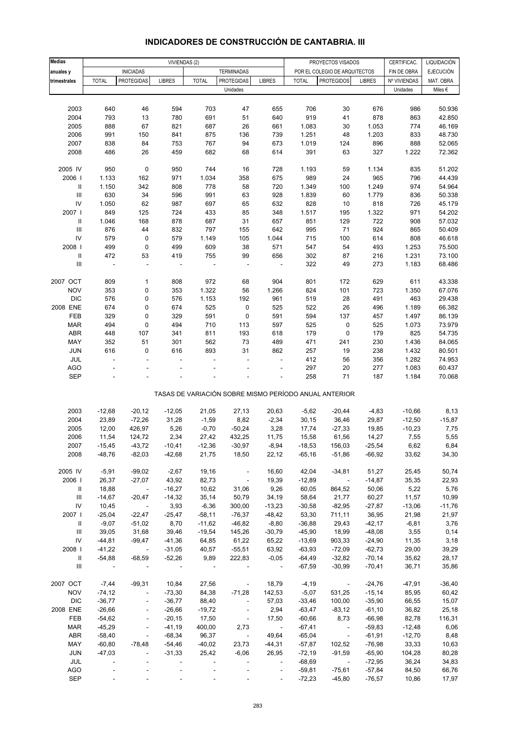| <b>Medias</b>                      |                          | VIVIENDAS (2)            |                          |              |                          |                          | PROYECTOS VISADOS |                                                       | CERTIFICAC.   | LIQUIDACIÓN  |                  |
|------------------------------------|--------------------------|--------------------------|--------------------------|--------------|--------------------------|--------------------------|-------------------|-------------------------------------------------------|---------------|--------------|------------------|
| anuales y                          |                          | <b>INICIADAS</b>         |                          |              | <b>TERMINADAS</b>        |                          |                   | POR EL COLEGIO DE ARQUITECTOS                         |               | FIN DE OBRA  | <b>EJECUCIÓN</b> |
| trimestrales                       | <b>TOTAL</b>             | <b>PROTEGIDAS</b>        | <b>LIBRES</b>            | <b>TOTAL</b> | <b>PROTEGIDAS</b>        | <b>LIBRES</b>            | <b>TOTAL</b>      | <b>PROTEGIDOS</b>                                     | <b>LIBRES</b> | Nº VIVIENDAS | MAT. OBRA        |
|                                    |                          |                          |                          |              | Unidades                 |                          |                   |                                                       |               | Unidades     | Miles €          |
|                                    |                          |                          |                          |              |                          |                          |                   |                                                       |               |              |                  |
| 2003                               | 640                      | 46                       | 594                      | 703          | 47                       | 655                      | 706               | 30                                                    | 676           | 986          | 50.936           |
| 2004                               | 793                      | 13                       | 780                      | 691          | 51                       | 640                      | 919               | 41                                                    | 878           | 863          | 42.850           |
| 2005                               | 888                      | 67                       | 821                      | 687          | 26                       | 661                      | 1.083             | 30                                                    | 1.053         | 774          | 46.169           |
| 2006                               | 991                      | 150                      | 841                      | 875          | 136                      | 739                      | 1.251             | 48                                                    | 1.203         | 833          | 48.730           |
| 2007                               | 838                      | 84                       | 753                      | 767          | 94                       | 673                      | 1.019             | 124                                                   | 896           | 888          | 52.065           |
| 2008                               | 486                      | 26                       | 459                      | 682          | 68                       | 614                      | 391               | 63                                                    | 327           | 1.222        | 72.362           |
|                                    |                          |                          |                          |              |                          |                          |                   |                                                       |               |              |                  |
| 2005 IV                            | 950                      | $\pmb{0}$                | 950                      | 744          | 16                       | 728                      | 1.193             | 59                                                    | 1.134         | 835          | 51.202           |
| 2006                               | 1.133                    | 162                      | 971                      | 1.034        | 358                      | 675                      | 989               | 24                                                    | 965           | 796          | 44.439           |
| $\ensuremath{\mathsf{II}}$         | 1.150                    | 342                      | 808                      | 778          | 58                       | 720                      | 1.349             | 100                                                   | 1.249         | 974          | 54.964           |
| $\ensuremath{\mathsf{III}}\xspace$ | 630                      | 34                       | 596                      | 991          | 63                       | 928                      | 1.839             | 60                                                    | 1.779         | 836          | 50.338           |
| ${\sf IV}$                         | 1.050                    | 62                       | 987                      | 697          | 65                       | 632                      | 828               | 10                                                    | 818           | 726          | 45.179           |
| 2007 l                             | 849                      | 125                      | 724                      | 433          | 85                       | 348                      | 1.517             | 195                                                   | 1.322         | 971          | 54.202           |
| $\ensuremath{\mathsf{II}}$         | 1.046                    | 168                      | 878                      | 687          | 31                       | 657                      | 851               | 129                                                   | 722           | 908          | 57.032           |
| $\ensuremath{\mathsf{III}}\xspace$ | 876                      | 44                       | 832                      | 797          | 155                      | 642                      | 995               | 71                                                    | 924           | 865          | 50.409           |
| IV                                 | 579                      | 0                        | 579                      | 1.149        | 105                      | 1.044                    | 715               | 100                                                   | 614           | 808          | 46.618           |
| 2008                               | 499                      | 0                        | 499                      | 609          | 38                       | 571                      | 547               | 54                                                    | 493           | 1.253        | 75.500           |
| $\ensuremath{\mathsf{II}}$         | 472                      | 53                       | 419                      | 755          | 99                       | 656                      | 302               | 87                                                    | 216           | 1.231        | 73.100           |
| $\ensuremath{\mathsf{III}}\xspace$ | $\overline{\phantom{a}}$ | ÷,                       | ÷,                       |              |                          | L,                       | 322               | 49                                                    | 273           | 1.183        | 68.486           |
|                                    |                          |                          |                          |              |                          |                          |                   |                                                       |               |              |                  |
| 2007 OCT                           | 809                      | 1                        | 808                      | 972          | 68                       | 904                      | 801               | 172                                                   | 629           | 611          | 43.338           |
| <b>NOV</b>                         | 353                      | 0                        | 353                      | 1.322        | 56                       | 1.266                    | 824               | 101                                                   | 723           | 1.350        | 67.076           |
| <b>DIC</b>                         | 576                      | 0                        | 576                      | 1.153        | 192                      | 961                      | 519               | 28                                                    | 491           | 463          | 29.438           |
| 2008 ENE                           | 674                      | 0                        | 674                      | 525          | $\pmb{0}$                | 525                      | 522               | 26                                                    | 496           | 1.189        | 66.382           |
| FEB                                | 329                      | $\pmb{0}$                | 329                      | 591          | $\pmb{0}$                | 591                      | 594               | 137                                                   | 457           | 1.497        | 86.139           |
| <b>MAR</b>                         | 494                      | $\pmb{0}$                | 494                      | 710          | 113                      | 597                      | 525               | 0                                                     | 525           | 1.073        | 73.979           |
| ABR                                | 448                      | 107                      | 341                      | 811          | 193                      | 618                      | 179               | $\pmb{0}$                                             | 179           | 825          | 54.735           |
| MAY                                | 352                      | 51                       | 301                      | 562          | 73                       | 489                      | 471               | 241                                                   | 230           | 1.436        | 84.065           |
| JUN                                | 616                      | 0                        | 616                      | 893          | 31                       | 862                      | 257               | 19                                                    | 238           | 1.432        | 80.501           |
| JUL                                |                          | ä,                       |                          |              |                          | L.                       | 412               | 56                                                    | 356           | 1.282        | 74.953           |
| <b>AGO</b>                         |                          |                          |                          |              |                          |                          | 297               | 20                                                    | 277           | 1.083        | 60.437           |
| <b>SEP</b>                         |                          |                          |                          |              |                          |                          | 258               | 71                                                    | 187           | 1.184        | 70.068           |
|                                    |                          |                          |                          |              |                          |                          |                   |                                                       |               |              |                  |
|                                    |                          |                          |                          |              |                          |                          |                   | TASAS DE VARIACIÓN SOBRE MISMO PERÍODO ANUAL ANTERIOR |               |              |                  |
|                                    |                          |                          |                          |              |                          |                          |                   |                                                       |               |              |                  |
| 2003                               | $-12,68$                 | $-20,12$                 | $-12,05$                 | 21,05        | 27,13                    | 20,63                    | $-5,62$           | $-20,44$                                              | $-4,83$       | $-10,66$     | 8,13             |
| 2004                               | 23,89                    | $-72,26$                 | 31,28                    | $-1,59$      | 8,82                     | $-2,34$                  | 30, 15            | 36,46                                                 | 29,87         | $-12,50$     | $-15,87$         |
| 2005                               | 12,00                    | 426,97                   | 5,26                     | $-0,70$      | $-50,24$                 | 3,28                     | 17,74             | $-27,33$                                              | 19,85         | $-10,23$     | 7,75             |
| 2006                               | 11,54                    | 124,72                   | 2,34                     | 27,42        | 432,25                   | 11,75                    | 15,58             | 61,56                                                 | 14,27         | 7,55         | 5,55             |
| 2007                               | $-15,45$                 | $-43,72$                 | $-10,41$                 | $-12,36$     | $-30,97$                 | $-8,94$                  | $-18,53$          | 156,03                                                | $-25,54$      | 6,62         | 6,84             |
| 2008                               | $-48,76$                 | $-82,03$                 | $-42,68$                 | 21,75        | 18,50                    | 22,12                    | $-65,16$          | $-51,86$                                              | $-66,92$      | 33,62        | 34,30            |
|                                    |                          |                          |                          |              |                          |                          |                   |                                                       |               |              |                  |
| 2005 IV                            | $-5,91$                  | $-99,02$                 | $-2,67$                  | 19,16        | $\overline{\phantom{a}}$ | 16,60                    | 42,04             | $-34,81$                                              | 51,27         | 25,45        | 50,74            |
| 2006                               | 26,37                    | $-27,07$                 | 43,92                    | 82,73        |                          | 19,39                    | $-12,89$          | $\overline{\phantom{a}}$                              | $-14,87$      | 35,35        | 22,93            |
| Ш                                  | 18,88                    | $\sim 100$               | $-16,27$                 | 10,62        | 31,06                    | 9,26                     | 60,05             | 864,52                                                | 50,06         | 5,22         | 5,76             |
| Ш                                  | $-14,67$                 | $-20,47$                 | $-14,32$                 | 35,14        | 50,79                    | 34,19                    | 58,64             | 21,77                                                 | 60,27         | 11,57        | 10,99            |
| ${\sf IV}$                         | 10,45                    | $\blacksquare$           | 3,93                     | $-6,36$      | 300,00                   | $-13,23$                 | $-30,58$          | $-82,95$                                              | $-27,87$      | $-13,06$     | $-11,76$         |
| 2007                               | $-25,04$                 | $-22,47$                 | $-25,47$                 | $-58,11$     | $-76,37$                 | $-48,42$                 | 53,30             | 711,11                                                | 36,95         | 21,98        | 21,97            |
| Ш                                  | $-9,07$                  | $-51,02$                 | 8,70                     | $-11,62$     | $-46,82$                 | $-8,80$                  | $-36,88$          | 29,43                                                 | $-42,17$      | $-6,81$      | 3,76             |
| Ш                                  | 39,05                    | 31,68                    | 39,46                    | $-19,54$     | 145,26                   | $-30,79$                 | $-45,90$          | 18,99                                                 | $-48,08$      | 3,55         | 0,14             |
| IV                                 | $-44,81$                 | $-99,47$                 | $-41,36$                 | 64,85        | 61,22                    | 65,22                    | $-13,69$          | 903,33                                                | $-24,90$      | 11,35        | 3,18             |
| 2008                               | $-41,22$                 | $\sim 100$ km s $^{-1}$  | $-31,05$                 | 40,57        | $-55,51$                 | 63,92                    | $-63,93$          | $-72,09$                                              | $-62,73$      | 29,00        | 39,29            |
| Ш                                  | $-54,88$                 | $-68,59$                 | $-52,26$                 | 9,89         | 222,83                   | $-0,05$                  | $-64,49$          | $-32,82$                                              | $-70,14$      | 35,62        | 28,17            |
| Ш                                  | $\sim$ $-$               |                          | $\overline{\phantom{a}}$ | $\sim$       |                          | $\sim$ $-$               | $-67,59$          | $-30,99$                                              | $-70,41$      | 36,71        | 35,86            |
|                                    |                          |                          |                          |              |                          |                          |                   |                                                       |               |              |                  |
| 2007 OCT                           | $-7,44$                  | $-99,31$                 | 10,84                    | 27,56        | $\overline{\phantom{a}}$ | 18,79                    | $-4,19$           | $\sim$                                                | $-24,76$      | $-47,91$     | $-36,40$         |
| <b>NOV</b>                         | $-74, 12$                | $\overline{\phantom{a}}$ | $-73,30$                 | 84,38        | $-71,28$                 | 142,53                   | $-5,07$           | 531,25                                                | $-15,14$      | 85,95        | 60,42            |
| <b>DIC</b>                         | $-36,77$                 | $\Box$                   | $-36,77$                 | 88,40        | $\overline{\phantom{a}}$ | 57,03                    | $-33,46$          | 100,00                                                | $-35,90$      | 66,55        | 15,07            |
| 2008 ENE                           | $-26,66$                 | $\overline{\phantom{a}}$ | $-26,66$                 | $-19,72$     | $\overline{\phantom{a}}$ | 2,94                     | $-63,47$          | $-83,12$                                              | $-61,10$      | 36,82        | 25,18            |
| FEB                                | $-54,62$                 | $\blacksquare$           | $-20,15$                 | 17,50        | $\sim$                   | 17,50                    | $-60,66$          | 8,73                                                  | $-66,98$      | 82,78        | 116,31           |
| <b>MAR</b>                         | $-45,29$                 | $\blacksquare$           | $-41,19$                 | 400,00       | 2,73                     | $\sim 100$               | $-67,41$          | $\sim$ $-$                                            | $-59,83$      | $-12,48$     | 6,06             |
| ABR                                | $-58,40$                 | $\overline{\phantom{a}}$ | $-68,34$                 | 96,37        | $\sim$                   | 49,64                    | $-65,04$          | $\overline{\phantom{a}}$                              | $-61,91$      | $-12,70$     | 8,48             |
| MAY                                | $-60,80$                 | $-78,48$                 | $-54,46$                 | $-40,02$     | 23,73                    | $-44,31$                 | $-57,87$          | 102,52                                                | $-76,98$      | 33,33        | 10,63            |
| <b>JUN</b>                         | $-47,03$                 | $\blacksquare$           | $-31,33$                 | 25,42        | $-6,06$                  | 26,95                    | $-72,19$          | $-91,59$                                              | $-65,90$      | 104,28       | 80,28            |
| JUL                                |                          |                          | $\sim$                   |              |                          | $\overline{\phantom{a}}$ | $-68,69$          | $\sim 100$ m $^{-1}$                                  | $-72,95$      | 36,24        | 34,83            |
| <b>AGO</b>                         |                          |                          |                          |              |                          | $\blacksquare$           | $-59,81$          | $-75,61$                                              | $-57,84$      | 84,50        | 66,76            |
| <b>SEP</b>                         |                          |                          |                          |              |                          | ÷,                       | $-72,23$          | $-45,80$                                              | $-76,57$      | 10,86        | 17,97            |

#### **INDICADORES DE CONSTRUCCIÓN DE CANTABRIA. III**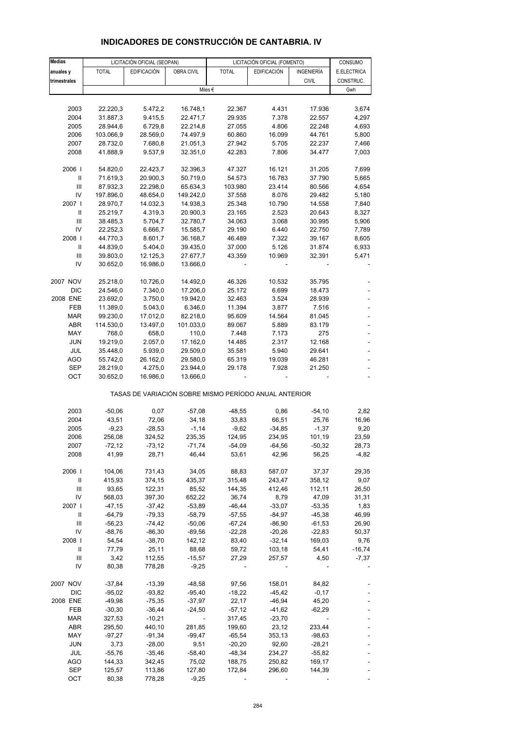| Medias                             |                      | LICITACIÓN OFICIAL (SEOPAN) |                      |                                                       | LICITACIÓN OFICIAL (FOMENTO) |                      | CONSUMO                  |
|------------------------------------|----------------------|-----------------------------|----------------------|-------------------------------------------------------|------------------------------|----------------------|--------------------------|
| anuales y                          | <b>TOTAL</b>         | <b>EDIFICACIÓN</b>          | OBRA CIVIL           | <b>TOTAL</b>                                          | <b>EDIFICACIÓN</b>           | INGENIERÍA           | E.ELECTRICA              |
| trimestrales                       |                      |                             |                      |                                                       |                              | <b>CIVIL</b>         | CONSTRUC.                |
|                                    |                      |                             |                      | Miles $\epsilon$                                      |                              |                      | Gwh                      |
|                                    |                      |                             |                      |                                                       |                              |                      |                          |
| 2003                               | 22.220,3             | 5.472,2                     | 16.748,1             | 22.367                                                | 4.431                        | 17.936               | 3,674                    |
| 2004                               | 31.887,3             | 9.415,5                     | 22.471,7             | 29.935                                                | 7.378                        | 22.557               | 4,297                    |
| 2005                               | 28.944,6             | 6.729,8                     | 22.214,8             | 27.055                                                | 4.806                        | 22.248               | 4,693                    |
| 2006                               | 103.066,9            | 28.569,0                    | 74.497,9             | 60.860                                                | 16.099                       | 44.761               | 5,800                    |
| 2007                               | 28.732,0             | 7.680,8                     | 21.051,3             | 27.942                                                | 5.705                        | 22.237               | 7,466                    |
| 2008                               | 41.888,9             | 9.537,9                     | 32.351,0             | 42.283                                                | 7.806                        | 34.477               | 7,003                    |
| 2006                               | 54.820,0             | 22.423,7                    | 32.396,3             | 47.327                                                | 16.121                       | 31.205               | 7,699                    |
| $\, \parallel$                     | 71.619,3             | 20.900,3                    | 50.719,0             | 54.573                                                | 16.783                       | 37.790               | 5,665                    |
| Ш                                  | 87.932,3             | 22.298,0                    | 65.634,3             | 103.980                                               | 23.414                       | 80.566               | 4,654                    |
| IV                                 | 197.896,0            | 48.654,0                    | 149.242,0            | 37.558                                                | 8.076                        | 29.482               | 5,180                    |
| 2007 l                             | 28.970,7             | 14.032,3                    | 14.938,3             | 25.348                                                | 10.790                       | 14.558               | 7,840                    |
| Ш                                  | 25.219,7             | 4.319,3                     | 20.900,3             | 23.165                                                | 2.523                        | 20.643               | 8,327                    |
| Ш                                  | 38.485,3             | 5.704,7                     | 32.780,7             | 34.063                                                | 3.068                        | 30.995               | 5,906                    |
| IV                                 | 22.252,3             | 6.666,7                     | 15.585,7             | 29.190                                                | 6.440                        | 22.750               | 7,789                    |
| 2008  <br>$\mathbf{II}$            | 44.770,3             | 8.601,7                     | 36.168,7             | 46.489                                                | 7.322                        | 39.167               | 8,605                    |
| Ш                                  | 44.839,0<br>39.803,0 | 5.404,0<br>12.125,3         | 39.435,0<br>27.677,7 | 37.000<br>43.359                                      | 5.126<br>10.969              | 31.874<br>32.391     | 6,933<br>5,471           |
| IV                                 | 30.652,0             | 16.986,0                    | 13.666,0             |                                                       |                              |                      |                          |
|                                    |                      |                             |                      |                                                       |                              |                      |                          |
| 2007 NOV                           | 25.218,0             | 10.726,0                    | 14.492,0             | 46.326                                                | 10.532                       | 35.795               |                          |
| DIC                                | 24.546,0             | 7.340,0                     | 17.206,0             | 25.172                                                | 6.699                        | 18.473               |                          |
| 2008 ENE                           | 23.692,0             | 3.750,0                     | 19.942,0             | 32.463                                                | 3.524                        | 28.939               |                          |
| FEB                                | 11.389,0             | 5.043,0                     | 6.346,0              | 11.394                                                | 3.877                        | 7.516                | $\overline{\phantom{a}}$ |
| <b>MAR</b>                         | 99.230,0             | 17.012,0                    | 82.218,0             | 95.609                                                | 14.564                       | 81.045               |                          |
| ABR                                | 114.530,0            | 13.497,0                    | 101.033,0            | 89.067                                                | 5.889                        | 83.179               |                          |
| MAY                                | 768,0                | 658,0                       | 110,0                | 7.448                                                 | 7.173                        | 275                  | ÷,                       |
| <b>JUN</b><br>JUL                  | 19.219,0<br>35.448,0 | 2.057,0<br>5.939,0          | 17.162,0<br>29.509,0 | 14.485<br>35.581                                      | 2.317<br>5.940               | 12.168<br>29.641     |                          |
| AGO                                | 55.742,0             | 26.162,0                    | 29.580,0             | 65.319                                                | 19.039                       | 46.281               | ÷,                       |
| <b>SEP</b>                         | 28.219,0             | 4.275,0                     | 23.944,0             | 29.178                                                | 7.928                        | 21.250               |                          |
| OCT                                | 30.652,0             | 16.986,0                    | 13.666,0             |                                                       |                              |                      |                          |
|                                    |                      |                             |                      |                                                       |                              |                      |                          |
|                                    |                      |                             |                      | TASAS DE VARIACIÓN SOBRE MISMO PERÍODO ANUAL ANTERIOR |                              |                      |                          |
|                                    |                      |                             |                      |                                                       |                              |                      |                          |
| 2003<br>2004                       | $-50,06$<br>43,51    | 0,07                        | $-57,08$<br>34,18    | $-48,55$<br>33,83                                     | 0,86<br>66,51                | $-54,10$<br>25,76    | 2,82<br>16,96            |
| 2005                               | $-9,23$              | 72,06<br>$-28,53$           | $-1,14$              | $-9,62$                                               | $-34,85$                     | $-1,37$              | 9,20                     |
| 2006                               | 256,08               | 324,52                      | 235,35               | 124,95                                                | 234,95                       | 101,19               | 23,59                    |
| 2007                               | -72,12               | -73,12                      | -71,74               | -54,09                                                | -64,56                       | -50,32               | 28,73                    |
| 2008                               | 41,99                | 28,71                       | 46,44                | 53,61                                                 | 42,96                        | 56,25                | $-4,82$                  |
|                                    |                      |                             |                      |                                                       |                              |                      |                          |
| 2006                               | 104,06               | 731,43                      | 34,05                | 88,83                                                 | 587,07                       | 37,37                | 29,35                    |
| Ш                                  | 415,93               | 374,15                      | 435,37               | 315,48                                                | 243,47                       | 358,12               | 9,07                     |
| $\ensuremath{\mathsf{III}}\xspace$ | 93,65                | 122,31                      | 85,52                | 144,35                                                | 412,46                       | 112,11               | 26,50                    |
| IV                                 | 568,03               | 397,30                      | 652,22               | 36,74                                                 | 8,79                         | 47,09                | 31,31                    |
| 2007 l<br>Ш                        | $-47,15$<br>$-64,79$ | $-37,42$<br>$-79,33$        | $-53,89$<br>$-58,79$ | $-46,44$<br>$-57,55$                                  | $-33,07$<br>$-84,97$         | $-53,35$<br>$-45,38$ | 1,83<br>46,99            |
| Ш                                  | $-56,23$             | $-74,42$                    | $-50,06$             | $-67,24$                                              | $-86,90$                     | $-61,53$             | 26,90                    |
| IV                                 | $-88,76$             | $-86,30$                    | $-89,56$             | $-22,28$                                              | $-20,26$                     | $-22,83$             | 50,37                    |
| 2008                               | 54,54                | $-38,70$                    | 142,12               | 83,40                                                 | $-32,14$                     | 169,03               | 9,76                     |
| Ш                                  | 77,79                | 25,11                       | 88,68                | 59,72                                                 | 103,18                       | 54,41                | $-16,74$                 |
| Ш                                  | 3,42                 | 112,55                      | $-15,57$             | 27,29                                                 | 257,57                       | 4,50                 | $-7,37$                  |
| IV                                 | 80,38                | 778,28                      | $-9,25$              |                                                       |                              |                      |                          |
|                                    |                      |                             |                      |                                                       |                              |                      |                          |
| 2007 NOV<br>DIC                    | $-37,84$<br>$-95,02$ | $-13,39$<br>$-93,82$        | $-48,58$<br>$-95,40$ | 97,56<br>$-18,22$                                     | 158,01<br>$-45,42$           | 84,82<br>$-0,17$     |                          |
| 2008 ENE                           | $-49,98$             | $-75,35$                    | $-37,97$             | 22,17                                                 | $-46,94$                     | 45,20                |                          |
| FEB                                | $-30,30$             | $-36,44$                    | $-24,50$             | $-57,12$                                              | -41,62                       | $-62,29$             |                          |
| <b>MAR</b>                         | 327,53               | $-10,21$                    |                      | 317,45                                                | $-23,70$                     |                      |                          |
| ABR                                | 295,50               | 440,10                      | 281,85               | 199,60                                                | 23,12                        | 233,44               |                          |
| MAY                                | $-97,27$             | $-91,34$                    | $-99,47$             | $-65,54$                                              | 353,13                       | $-98,63$             |                          |
| <b>JUN</b>                         | 3,73                 | $-28,00$                    | 9,51                 | $-20,20$                                              | 92,60                        | $-28,21$             |                          |
| JUL                                | $-55,76$             | $-35,46$                    | $-58,40$             | -48,34                                                | 234,27                       | $-55,82$             |                          |
| AGO                                | 144,33               | 342,45                      | 75,02                | 188,75                                                | 250,82                       | 169,17               |                          |
| SEP                                | 125,57               | 113,86                      | 127,80               | 172,84                                                | 296,60                       | 144,39               |                          |

### **INDICADORES DE CONSTRUCCIÓN DE CANTABRIA. IV**

OCT 80,38 778,28 -9,25 - - - - - - -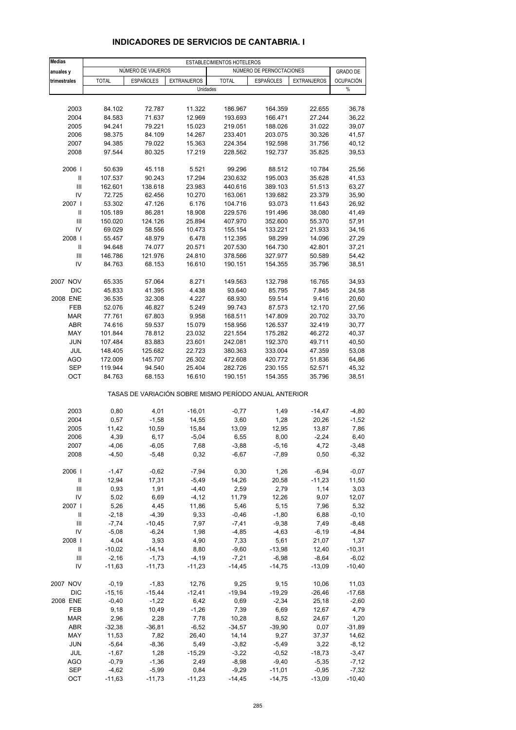| <b>Medias</b>  | ESTABLECIMIENTOS HOTELEROS |                    |                                                       |                    |                          |                    |                  |
|----------------|----------------------------|--------------------|-------------------------------------------------------|--------------------|--------------------------|--------------------|------------------|
| anuales y      |                            | NÚMERO DE VIAJEROS |                                                       |                    | NÚMERO DE PERNOCTACIONES |                    | <b>GRADO DE</b>  |
| trimestrales   | <b>TOTAL</b>               | <b>ESPAÑOLES</b>   | <b>EXTRANJEROS</b>                                    | <b>TOTAL</b>       | <b>ESPAÑOLES</b>         | <b>EXTRANJEROS</b> | <b>OCUPACIÓN</b> |
|                |                            |                    | Unidades                                              |                    |                          |                    | %                |
|                |                            |                    |                                                       |                    |                          |                    |                  |
| 2003<br>2004   | 84.102<br>84.583           | 72.787<br>71.637   | 11.322<br>12.969                                      | 186.967<br>193.693 | 164.359<br>166.471       | 22.655<br>27.244   | 36,78<br>36,22   |
| 2005           | 94.241                     | 79.221             | 15.023                                                | 219.051            | 188.026                  | 31.022             | 39,07            |
| 2006           | 98.375                     | 84.109             | 14.267                                                | 233.401            | 203.075                  | 30.326             | 41,57            |
| 2007           | 94.385                     | 79.022             | 15.363                                                | 224.354            | 192.598                  | 31.756             | 40,12            |
| 2008           | 97.544                     | 80.325             | 17.219                                                | 228.562            | 192.737                  | 35.825             | 39,53            |
| 2006           | 50.639                     | 45.118             | 5.521                                                 | 99.296             | 88.512                   | 10.784             | 25,56            |
| Ш              | 107.537                    | 90.243             | 17.294                                                | 230.632            | 195.003                  | 35.628             | 41,53            |
| Ш              | 162.601                    | 138.618            | 23.983                                                | 440.616            | 389.103                  | 51.513             | 63,27            |
| IV             | 72.725                     | 62.456             | 10.270                                                | 163.061            | 139.682                  | 23.379             | 35,90            |
| 2007 l         | 53.302                     | 47.126             | 6.176                                                 | 104.716            | 93.073                   | 11.643             | 26,92            |
| Ш              | 105.189                    | 86.281             | 18.908                                                | 229.576            | 191.496                  | 38.080             | 41,49            |
| III            | 150.020                    | 124.126            | 25.894                                                | 407.970            | 352.600                  | 55.370             | 57,91            |
| IV             | 69.029                     | 58.556             | 10.473                                                | 155.154            | 133.221                  | 21.933             | 34,16            |
| 2008           | 55.457                     | 48.979             | 6.478                                                 | 112.395            | 98.299                   | 14.096             | 27,29            |
| Ш              | 94.648                     | 74.077             | 20.571                                                | 207.530            | 164.730                  | 42.801             | 37,21            |
| III            | 146.786                    | 121.976            | 24.810                                                | 378.566            | 327.977                  | 50.589             | 54,42            |
| IV             | 84.763                     | 68.153             | 16.610                                                | 190.151            | 154.355                  | 35.796             | 38,51            |
| 2007 NOV       | 65.335                     | 57.064             | 8.271                                                 | 149.563            | 132.798                  | 16.765             | 34,93            |
| <b>DIC</b>     | 45.833                     | 41.395             | 4.438                                                 | 93.640             | 85.795                   | 7.845              | 24,58            |
| 2008 ENE       | 36.535                     | 32.308             | 4.227                                                 | 68.930             | 59.514                   | 9.416              | 20,60            |
| FEB            | 52.076                     | 46.827             | 5.249                                                 | 99.743             | 87.573                   | 12.170             | 27,56            |
| <b>MAR</b>     | 77.761                     | 67.803             | 9.958                                                 | 168.511            | 147.809                  | 20.702             | 33,70            |
| ABR            | 74.616                     | 59.537             | 15.079                                                | 158.956            | 126.537                  | 32.419             | 30,77            |
| MAY            | 101.844                    | 78.812             | 23.032                                                | 221.554            | 175.282                  | 46.272             | 40,37            |
| <b>JUN</b>     | 107.484                    | 83.883             | 23.601                                                | 242.081            | 192.370                  | 49.711             | 40,50            |
| JUL            | 148.405                    | 125.682            | 22.723                                                | 380.363            | 333.004                  | 47.359             | 53,08            |
| <b>AGO</b>     | 172.009                    | 145.707            | 26.302                                                | 472.608            | 420.772                  | 51.836             | 64,86            |
| <b>SEP</b>     | 119.944                    | 94.540             | 25.404                                                | 282.726            | 230.155                  | 52.571             | 45,32            |
| OCT            | 84.763                     | 68.153             | 16.610                                                | 190.151            | 154.355                  | 35.796             | 38,51            |
|                |                            |                    | TASAS DE VARIACIÓN SOBRE MISMO PERÍODO ANUAL ANTERIOR |                    |                          |                    |                  |
| 2003           | 0,80                       | 4,01               | $-16,01$                                              | $-0,77$            | 1,49                     | $-14,47$           | $-4,80$          |
| 2004           | 0,57                       | $-1,58$            | 14,55                                                 | 3,60               | 1,28                     | 20,26              | $-1,52$          |
| 2005           | 11,42                      | 10,59              | 15,84                                                 | 13,09              | 12,95                    | 13,87              | 7,86             |
| 2006           | 4,39                       | 6,17               | $-5,04$                                               | 6,55               | 8,00                     | $-2,24$            | 6,40             |
| 2007           | $-4,06$                    | $-6,05$            | 7,68                                                  | $-3,88$            | $-5,16$                  | 4,72               | -3,48            |
| 2008           | $-4,50$                    | $-5,48$            | 0,32                                                  | $-6,67$            | $-7,89$                  | 0,50               | $-6,32$          |
| 2006           | $-1,47$                    | $-0,62$            | $-7,94$                                               | 0,30               | 1,26                     | $-6,94$            | $-0,07$          |
| Ш              | 12,94                      | 17,31              | $-5,49$                                               | 14,26              | 20,58                    | $-11,23$           | 11,50            |
| $\mathbf{III}$ | 0,93                       | 1,91               | $-4,40$                                               | 2,59               | 2,79                     | 1,14               | 3,03             |
| IV             | 5,02                       | 6,69               | $-4, 12$                                              | 11,79              | 12,26                    | 9,07               | 12,07            |
| 2007 l         | 5,26                       | 4,45               | 11,86                                                 | 5,46               | 5,15                     | 7,96               | 5,32             |
| Ш              | $-2,18$                    | $-4,39$            | 9,33                                                  | $-0,46$            | $-1,80$                  | 6,88               | $-0, 10$         |
| $\mathbf{III}$ | $-7,74$                    | $-10,45$           | 7,97                                                  | $-7,41$            | $-9,38$                  | 7,49               | $-8,48$          |
| IV             | $-5,08$                    | $-6,24$            | 1,98                                                  | $-4,85$            | $-4,63$                  | $-6,19$            | $-4,84$          |
| 2008           | 4,04                       | 3,93               | 4,90                                                  | 7,33               | 5,61                     | 21,07              | 1,37             |
| Ш              | $-10,02$                   | $-14,14$           | 8,80                                                  | $-9,60$            | $-13,98$                 | 12,40              | $-10,31$         |
| Ш              | $-2,16$                    | $-1,73$            | $-4,19$                                               | $-7,21$            | $-6,98$                  | $-8,64$            | $-6,02$          |
| IV             | $-11,63$                   | $-11,73$           | $-11,23$                                              | $-14,45$           | $-14,75$                 | $-13,09$           | $-10,40$         |
| 2007 NOV       | $-0,19$                    | $-1,83$            | 12,76                                                 | 9,25               | 9,15                     | 10,06              | 11,03            |
| DIC            | $-15,16$                   | $-15,44$           | $-12,41$                                              | $-19,94$           | $-19,29$                 | $-26,46$           | $-17,68$         |
| 2008 ENE       | $-0,40$                    | $-1,22$            | 6,42                                                  | 0,69               | $-2,34$                  | 25,18              | $-2,60$          |
| FEB            | 9,18                       | 10,49              | $-1,26$                                               | 7,39               | 6,69                     | 12,67              | 4,79             |
| <b>MAR</b>     | 2,96                       | 2,28               | 7,78                                                  | 10,28              | 8,52                     | 24,67              | 1,20             |
| ABR            | $-32,38$                   | $-36,81$           | $-6,52$                                               | $-34,57$           | $-39,90$                 | 0,07               | $-31,89$         |
| MAY            | 11,53                      | 7,82               | 26,40                                                 | 14,14              | 9,27                     | 37,37              | 14,62            |
| <b>JUN</b>     | $-5,64$                    | $-8,36$            | 5,49                                                  | $-3,82$            | $-5,49$                  | 3,22               | $-8,12$          |
| JUL            | $-1,67$                    | 1,28               | $-15,29$                                              | $-3,22$            | $-0,52$                  | $-18,73$           | $-3,47$          |
| <b>AGO</b>     | $-0,79$                    | $-1,36$            | 2,49                                                  | $-8,98$            | $-9,40$                  | $-5,35$            | $-7,12$          |
| <b>SEP</b>     | $-4,62$                    | $-5,99$            | 0,84                                                  | $-9,29$            | $-11,01$                 | $-0,95$            | $-7,32$          |
| OCT            | $-11,63$                   | $-11,73$           | $-11,23$                                              | $-14,45$           | $-14,75$                 | $-13,09$           | $-10,40$         |

## **INDICADORES DE SERVICIOS DE CANTABRIA. I**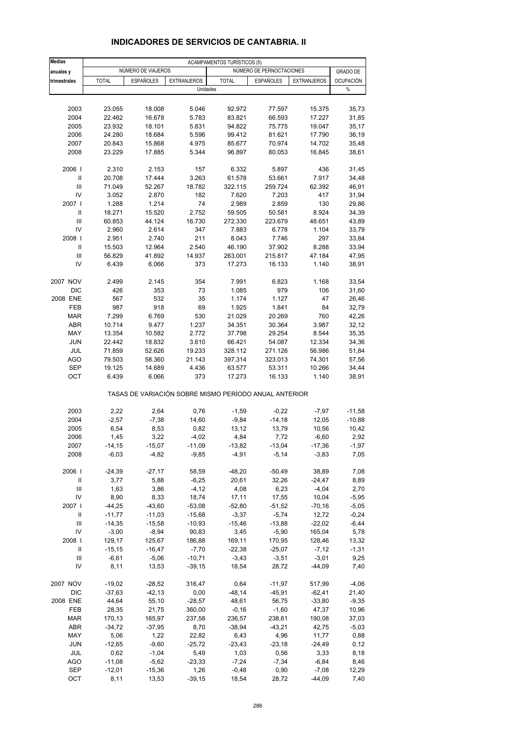| <b>Medias</b>              |              |                    |                    | <b>ACAMPAMENTOS TURÍSTICOS (5)</b>                    |                          |                    |                  |
|----------------------------|--------------|--------------------|--------------------|-------------------------------------------------------|--------------------------|--------------------|------------------|
| anuales y                  |              | NÚMERO DE VIAJEROS |                    |                                                       | NÚMERO DE PERNOCTACIONES |                    | <b>GRADO DE</b>  |
| trimestrales               | <b>TOTAL</b> | <b>ESPAÑOLES</b>   | <b>EXTRANJEROS</b> | <b>TOTAL</b>                                          | <b>ESPAÑOLES</b>         | <b>EXTRANJEROS</b> | <b>OCUPACIÓN</b> |
|                            |              |                    |                    | Unidades                                              |                          |                    | %                |
|                            |              |                    |                    |                                                       |                          |                    |                  |
| 2003                       | 23.055       | 18.008             | 5.046              | 92.972                                                | 77.597                   | 15.375             | 35,73            |
| 2004                       | 22.462       | 16.678             | 5.783              | 83.821                                                | 66.593                   | 17.227             | 31,85            |
| 2005                       | 23.932       | 18.101             | 5.831              | 94.822                                                | 75.775                   | 19.047             | 35,17            |
| 2006                       | 24.280       | 18.684             | 5.596              | 99.412                                                | 81.621                   | 17.790             | 36,19            |
| 2007                       | 20.843       | 15.868             | 4.975              | 85.677                                                | 70.974                   | 14.702             | 35,48            |
| 2008                       | 23.229       | 17.885             | 5.344              | 96.897                                                | 80.053                   | 16.845             | 38,61            |
| 2006                       | 2.310        | 2.153              | 157                | 6.332                                                 | 5.897                    | 436                | 31,45            |
| $\mathbf{II}$              | 20.708       | 17.444             | 3.263              | 61.578                                                | 53.661                   | 7.917              | 34,48            |
| Ш                          | 71.049       | 52.267             | 18.782             | 322.115                                               | 259.724                  | 62.392             | 46,91            |
| IV                         | 3.052        | 2.870              | 182                | 7.620                                                 | 7.203                    | 417                | 31,94            |
| 2007 l                     | 1.288        | 1.214              | 74                 | 2.989                                                 | 2.859                    | 130                | 29,86            |
| $\mathbf{II}$              | 18.271       | 15.520             | 2.752              | 59.505                                                | 50.581                   | 8.924              | 34,39            |
| Ш                          | 60.853       | 44.124             | 16.730             | 272.330                                               | 223.679                  | 48.651             | 43,89            |
| IV                         |              |                    | 347                |                                                       |                          |                    |                  |
|                            | 2.960        | 2.614              |                    | 7.883                                                 | 6.778                    | 1.104              | 33,79            |
| 2008                       | 2.951        | 2.740              | 211                | 8.043                                                 | 7.746                    | 297                | 33,84            |
| $\mathbf{I}$               | 15.503       | 12.964             | 2.540              | 46.190                                                | 37.902                   | 8.288              | 33,94            |
| Ш                          | 56.829       | 41.892             | 14.937             | 263.001                                               | 215.817                  | 47.184             | 47,95            |
| IV                         | 6.439        | 6.066              | 373                | 17.273                                                | 16.133                   | 1.140              | 38,91            |
| 2007 NOV                   | 2.499        | 2.145              | 354                | 7.991                                                 | 6.823                    | 1.168              | 33,54            |
| <b>DIC</b>                 | 426          | 353                | 73                 | 1.085                                                 | 979                      | 106                | 31,60            |
| 2008 ENE                   | 567          | 532                | 35                 | 1.174                                                 | 1.127                    | 47                 | 26,46            |
| <b>FEB</b>                 | 987          | 918                | 69                 | 1.925                                                 | 1.841                    | 84                 | 32,79            |
| <b>MAR</b>                 | 7.299        | 6.769              | 530                | 21.029                                                | 20.269                   | 760                | 42,26            |
|                            |              |                    |                    |                                                       |                          |                    |                  |
| ABR                        | 10.714       | 9.477              | 1.237              | 34.351                                                | 30.364                   | 3.987              | 32,12            |
| MAY                        | 13.354       | 10.582             | 2.772              | 37.798                                                | 29.254                   | 8.544              | 35,35            |
| <b>JUN</b>                 | 22.442       | 18.832             | 3.610              | 66.421                                                | 54.087                   | 12.334             | 34,36            |
| JUL                        | 71.859       | 52.626             | 19.233             | 328.112                                               | 271.126                  | 56.986             | 51,84            |
| <b>AGO</b>                 | 79.503       | 58.360             | 21.143             | 397.314                                               | 323.013                  | 74.301             | 57,56            |
| <b>SEP</b>                 | 19.125       | 14.689             | 4.436              | 63.577                                                | 53.311                   | 10.266             | 34,44            |
| OCT                        | 6.439        | 6.066              | 373                | 17.273                                                | 16.133                   | 1.140              | 38,91            |
|                            |              |                    |                    | TASAS DE VARIACIÓN SOBRE MISMO PERÍODO ANUAL ANTERIOR |                          |                    |                  |
| 2003                       | 2,22         | 2,64               | 0,76               | $-1,59$                                               | $-0,22$                  | $-7,97$            | $-11,58$         |
| 2004                       | $-2,57$      | $-7,38$            | 14,60              | $-9,84$                                               | $-14,18$                 | 12,05              | $-10,88$         |
| 2005                       | 6,54         | 8,53               | 0,82               | 13,12                                                 | 13,79                    |                    | 10,42            |
|                            |              |                    |                    |                                                       |                          | 10,56              |                  |
| 2006                       | 1,45         | 3,22               | $-4,02$            | 4,84                                                  | 7,72                     | $-6,60$            | 2,92             |
| 2007<br>2008               | $-14, 15$    | $-15,07$           | $-11,09$           | $-13,82$                                              | $-13,04$                 | $-17,36$           | $-1,97$          |
|                            | $-6,03$      | $-4,82$            | $-9,85$            | $-4,91$                                               | $-5,14$                  | $-3,83$            | 7,05             |
| 2006                       | $-24,39$     | $-27,17$           | 58,59              | $-48,20$                                              | $-50,49$                 | 38,89              | 7,08             |
| $\ensuremath{\mathsf{II}}$ | 3,77         | 5,88               | $-6,25$            | 20,61                                                 | 32,26                    | $-24,47$           | 8,89             |
| $\mathsf{III}$             | 1,63         | 3,86               | $-4, 12$           | 4,08                                                  | 6,23                     | $-4,04$            | 2,70             |
| IV                         | 8,90         | 8,33               | 18,74              | 17,11                                                 | 17,55                    | 10,04              | $-5,95$          |
| 2007 l                     | $-44,25$     | $-43,60$           | $-53,08$           | $-52,80$                                              | $-51,52$                 | $-70,16$           | $-5,05$          |
| Ш                          | $-11,77$     | $-11,03$           | $-15,68$           | $-3,37$                                               | $-5,74$                  | 12,72              | $-0,24$          |
| Ш                          | $-14,35$     | $-15,58$           | $-10,93$           | $-15,46$                                              | $-13,88$                 | $-22,02$           | $-6,44$          |
| IV                         | $-3,00$      | $-8,94$            | 90,83              | 3,45                                                  | $-5,90$                  | 165,04             | 5,78             |
| 2008                       | 129,17       | 125,67             | 186,88             | 169,11                                                | 170,95                   | 128,46             | 13,32            |
| Ш                          | $-15, 15$    | $-16,47$           | $-7,70$            | $-22,38$                                              | $-25,07$                 | $-7,12$            | $-1,31$          |
|                            |              |                    |                    |                                                       |                          |                    |                  |
| Ш                          | $-6,61$      | $-5,06$            | $-10,71$           | $-3,43$                                               | $-3,51$                  | $-3,01$            | 9,25             |
| IV                         | 8,11         | 13,53              | $-39,15$           | 18,54                                                 | 28,72                    | $-44,09$           | 7,40             |
| 2007 NOV                   | $-19,02$     | $-28,52$           | 316,47             | 0,64                                                  | $-11,97$                 | 517,99             | $-4,06$          |
| DIC                        | $-37,63$     | $-42,13$           | 0,00               | $-48,14$                                              | $-45,91$                 | $-62,41$           | 21,40            |
| 2008 ENE                   | 44,64        | 55,10              | $-28,57$           | 48,61                                                 | 56,75                    | $-33,80$           | $-9,35$          |
| FEB                        | 28,35        | 21,75              | 360,00             | $-0,16$                                               | $-1,60$                  | 47,37              | 10,96            |
| <b>MAR</b>                 | 170,13       | 165,97             | 237,58             | 236,57                                                | 238,61                   | 190,08             | 37,03            |
| ABR                        | -34,72       | $-37,95$           | 8,70               | $-38,94$                                              | $-43,21$                 | 42,75              | $-5,03$          |
| MAY                        | 5,06         | 1,22               | 22,82              | 6,43                                                  | 4,96                     | 11,77              | 0,88             |
| <b>JUN</b>                 | $-12,65$     | $-9,60$            | $-25,72$           | $-23,43$                                              | $-23,18$                 | $-24,49$           | 0,12             |
| JUL                        | 0,62         | $-1,04$            | 5,49               | 1,03                                                  |                          |                    | 8,18             |
| <b>AGO</b>                 | $-11,08$     | $-5,62$            | $-23,33$           | $-7,24$                                               | 0,56<br>$-7,34$          | 3,33<br>$-6,84$    |                  |
|                            |              |                    |                    |                                                       |                          |                    | 8,46             |
| SEP                        | $-12,01$     | $-15,36$           | 1,26               | $-0,48$                                               | 0,90                     | $-7,08$            | 12,29            |
| OCT                        | 8,11         | 13,53              | $-39,15$           | 18,54                                                 | 28,72                    | $-44,09$           | 7,40             |

## **INDICADORES DE SERVICIOS DE CANTABRIA. II**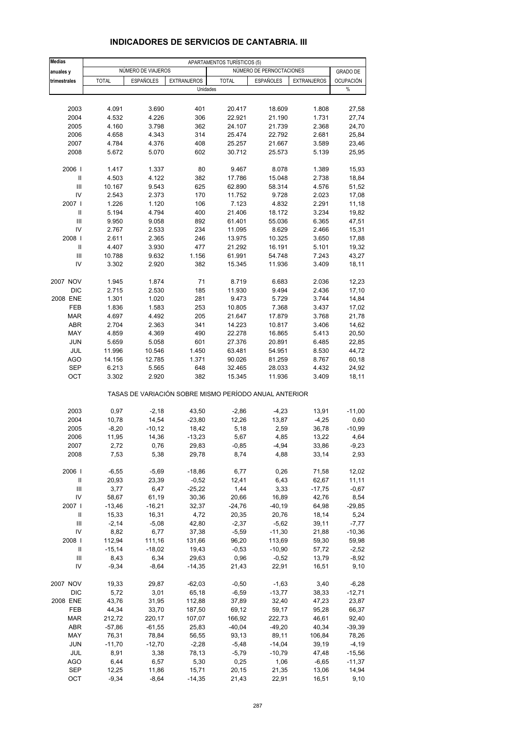| <b>Medias</b>                      |              |                    |                    | APARTAMENTOS TURÍSTICOS (5) |                                                       |                    |                  |
|------------------------------------|--------------|--------------------|--------------------|-----------------------------|-------------------------------------------------------|--------------------|------------------|
| anuales y                          |              | NÚMERO DE VIAJEROS |                    |                             | NÚMERO DE PERNOCTACIONES                              |                    | <b>GRADO DE</b>  |
| trimestrales                       | <b>TOTAL</b> | <b>ESPAÑOLES</b>   | <b>EXTRANJEROS</b> | <b>TOTAL</b>                | ESPAÑOLES                                             | <b>EXTRANJEROS</b> | <b>OCUPACIÓN</b> |
|                                    |              |                    | Unidades           |                             |                                                       |                    | $\%$             |
|                                    |              |                    |                    |                             |                                                       |                    |                  |
| 2003                               | 4.091        | 3.690              | 401                | 20.417                      | 18.609                                                | 1.808              | 27,58            |
| 2004                               | 4.532        | 4.226              | 306                | 22.921                      | 21.190                                                | 1.731              | 27,74            |
| 2005                               | 4.160        | 3.798              | 362                | 24.107                      | 21.739                                                | 2.368              | 24,70            |
| 2006                               | 4.658        | 4.343              | 314                | 25.474                      | 22.792                                                | 2.681              | 25,84            |
| 2007                               | 4.784        | 4.376              | 408                | 25.257                      | 21.667                                                | 3.589              | 23,46            |
| 2008                               | 5.672        | 5.070              | 602                | 30.712                      | 25.573                                                | 5.139              | 25,95            |
| 2006                               | 1.417        | 1.337              | 80                 | 9.467                       | 8.078                                                 | 1.389              | 15,93            |
| Ш                                  | 4.503        | 4.122              | 382                | 17.786                      | 15.048                                                | 2.738              | 18,84            |
| Ш                                  | 10.167       | 9.543              | 625                | 62.890                      | 58.314                                                | 4.576              | 51,52            |
| IV                                 | 2.543        | 2.373              | 170                | 11.752                      | 9.728                                                 | 2.023              | 17,08            |
| 2007                               | 1.226        | 1.120              | 106                | 7.123                       | 4.832                                                 | 2.291              | 11,18            |
| $\mathbf{I}$                       | 5.194        | 4.794              | 400                | 21.406                      | 18.172                                                | 3.234              | 19,82            |
| Ш                                  | 9.950        | 9.058              | 892                | 61.401                      | 55.036                                                | 6.365              | 47,51            |
| IV                                 | 2.767        | 2.533              | 234                | 11.095                      | 8.629                                                 | 2.466              | 15,31            |
| 2008                               | 2.611        | 2.365              | 246                | 13.975                      | 10.325                                                | 3.650              | 17,88            |
| Ш                                  | 4.407        | 3.930              | 477                | 21.292                      | 16.191                                                | 5.101              | 19,32            |
| Ш                                  | 10.788       | 9.632              | 1.156              | 61.991                      | 54.748                                                | 7.243              | 43,27            |
| IV                                 | 3.302        | 2.920              | 382                | 15.345                      | 11.936                                                | 3.409              | 18,11            |
| 2007 NOV                           | 1.945        | 1.874              | 71                 | 8.719                       | 6.683                                                 | 2.036              | 12,23            |
| <b>DIC</b>                         | 2.715        | 2.530              | 185                | 11.930                      | 9.494                                                 | 2.436              | 17,10            |
| 2008 ENE                           | 1.301        | 1.020              | 281                | 9.473                       | 5.729                                                 | 3.744              | 14,84            |
| FEB                                | 1.836        | 1.583              | 253                | 10.805                      | 7.368                                                 | 3.437              | 17,02            |
| <b>MAR</b>                         | 4.697        | 4.492              | 205                | 21.647                      | 17.879                                                | 3.768              | 21,78            |
| ABR                                | 2.704        | 2.363              | 341                | 14.223                      | 10.817                                                | 3.406              | 14,62            |
| MAY                                | 4.859        | 4.369              | 490                | 22.278                      | 16.865                                                | 5.413              | 20,50            |
| <b>JUN</b>                         | 5.659        | 5.058              | 601                | 27.376                      | 20.891                                                | 6.485              | 22,85            |
| JUL                                | 11.996       | 10.546             | 1.450              | 63.481                      | 54.951                                                | 8.530              | 44,72            |
| <b>AGO</b>                         | 14.156       | 12.785             | 1.371              | 90.026                      | 81.259                                                | 8.767              | 60,18            |
| <b>SEP</b>                         | 6.213        | 5.565              | 648                | 32.465                      | 28.033                                                | 4.432              | 24,92            |
| OCT                                | 3.302        | 2.920              | 382                | 15.345                      | 11.936                                                | 3.409              | 18,11            |
|                                    |              |                    |                    |                             | TASAS DE VARIACIÓN SOBRE MISMO PERÍODO ANUAL ANTERIOR |                    |                  |
| 2003                               | 0,97         | $-2,18$            | 43,50              | $-2,86$                     | $-4,23$                                               | 13,91              | $-11,00$         |
| 2004                               | 10,78        | 14,54              | $-23,80$           | 12,26                       | 13,87                                                 | $-4,25$            | 0,60             |
| 2005                               | $-8,20$      | $-10,12$           | 18,42              | 5,18                        | 2,59                                                  | 36,78              | $-10,99$         |
| 2006                               | 11,95        | 14,36              | $-13,23$           | 5,67                        | 4,85                                                  | 13,22              | 4,64             |
| 2007                               | 2,72         | 0,76               | 29,83              | $-0,85$                     | $-4,94$                                               | 33,86              | $-9,23$          |
| 2008                               | 7,53         | 5,38               | 29,78              | 8,74                        | 4,88                                                  | 33,14              | 2,93             |
| 2006                               | $-6,55$      | $-5,69$            | $-18,86$           | 6,77                        | 0,26                                                  | 71,58              | 12,02            |
| $\ensuremath{\mathsf{II}}$         | 20,93        | 23,39              | $-0,52$            | 12,41                       | 6,43                                                  | 62,67              | 11,11            |
| $\ensuremath{\mathsf{III}}\xspace$ | 3,77         | 6,47               | $-25,22$           | 1,44                        | 3,33                                                  | $-17,75$           | $-0,67$          |
| IV                                 | 58,67        | 61,19              | 30,36              | 20,66                       | 16,89                                                 | 42,76              | 8,54             |
| 2007 l                             | $-13,46$     | $-16,21$           | 32,37              | $-24,76$                    | $-40,19$                                              | 64,98              | $-29,85$         |
| Ш                                  | 15,33        | 16,31              | 4,72               | 20,35                       | 20,76                                                 | 18,14              | 5,24             |
| Ш                                  | $-2,14$      | $-5,08$            | 42,80              | $-2,37$                     | $-5,62$                                               | 39,11              | $-7,77$          |
| IV                                 | 8,82         | 6,77               | 37,38              | $-5,59$                     | $-11,30$                                              | 21,88              | $-10,36$         |
| 2008                               | 112,94       | 111,16             | 131,66             | 96,20                       | 113,69                                                | 59,30              | 59,98            |
| Ш                                  | $-15,14$     | $-18,02$           | 19,43              | $-0,53$                     | $-10,90$                                              | 57,72              | $-2,52$          |
| $\ensuremath{\mathsf{III}}\xspace$ | 8,43         | 6,34               | 29,63              | 0,96                        | $-0,52$                                               | 13,79              | $-8,92$          |
| IV                                 | $-9,34$      | $-8,64$            | $-14,35$           | 21,43                       | 22,91                                                 | 16,51              | 9,10             |
| 2007 NOV                           | 19,33        | 29,87              | $-62,03$           | $-0,50$                     | $-1,63$                                               | 3,40               | $-6,28$          |
| <b>DIC</b>                         | 5,72         | 3,01               | 65,18              | $-6,59$                     | $-13,77$                                              | 38,33              | $-12,71$         |
| 2008 ENE                           | 43,76        | 31,95              | 112,88             | 37,89                       | 32,40                                                 | 47,23              | 23,87            |
| FEB                                | 44,34        | 33,70              | 187,50             | 69,12                       | 59,17                                                 | 95,28              | 66,37            |
| <b>MAR</b>                         | 212,72       | 220,17             | 107,07             | 166,92                      | 222,73                                                | 46,61              | 92,40            |
| ABR                                | $-57,86$     | $-61,55$           | 25,83              | $-40,04$                    | $-49,20$                                              | 40,34              | $-39,39$         |
| MAY                                | 76,31        | 78,84              | 56,55              | 93,13                       | 89,11                                                 | 106,84             | 78,26            |
| JUN                                | $-11,70$     | $-12,70$           | $-2,28$            | $-5,48$                     | $-14,04$                                              | 39,19              | $-4,19$          |
| JUL                                | 8,91         | 3,38               | 78,13              | $-5,79$                     | $-10,79$                                              | 47,48              | $-15,56$         |
| <b>AGO</b>                         | 6,44         | 6,57               | 5,30               | 0,25                        | 1,06                                                  | $-6,65$            | $-11,37$         |
| SEP                                | 12,25        | 11,86              | 15,71              | 20,15                       | 21,35                                                 | 13,06              | 14,94            |
| OCT                                | $-9,34$      | $-8,64$            | $-14,35$           | 21,43                       | 22,91                                                 | 16,51              | 9,10             |
|                                    |              |                    |                    |                             |                                                       |                    |                  |

#### **INDICADORES DE SERVICIOS DE CANTABRIA. III**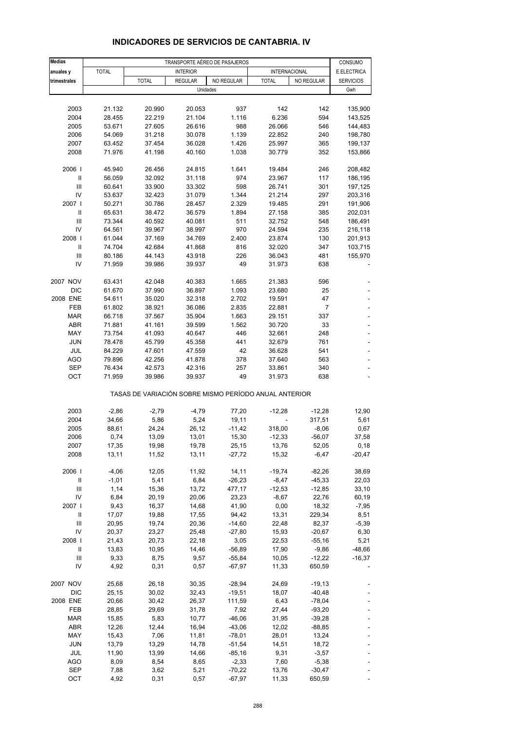| <b>Medias</b>                      | TRANSPORTE AÉREO DE PASAJEROS |              |                 |            |                                                       |                |                        |  |
|------------------------------------|-------------------------------|--------------|-----------------|------------|-------------------------------------------------------|----------------|------------------------|--|
| anuales y                          | <b>TOTAL</b>                  |              | <b>INTERIOR</b> |            | <b>INTERNACIONAL</b>                                  |                | CONSUMO<br>E.ELECTRICA |  |
| trimestrales                       |                               | <b>TOTAL</b> | <b>REGULAR</b>  | NO REGULAR | <b>TOTAL</b>                                          | NO REGULAR     | <b>SERVICIOS</b>       |  |
|                                    |                               |              |                 | Unidades   |                                                       |                | Gwh                    |  |
|                                    |                               |              |                 |            |                                                       |                |                        |  |
| 2003                               | 21.132                        | 20.990       | 20.053          | 937        | 142                                                   | 142            | 135,900                |  |
| 2004                               | 28.455                        | 22.219       | 21.104          | 1.116      | 6.236                                                 | 594            | 143,525                |  |
| 2005                               | 53.671                        | 27.605       | 26.616          | 988        | 26.066                                                | 546            | 144,483                |  |
| 2006                               | 54.069                        | 31.218       | 30.078          | 1.139      | 22.852                                                | 240            | 198,780                |  |
| 2007                               | 63.452                        | 37.454       | 36.028          | 1.426      | 25.997                                                | 365            | 199,137                |  |
| 2008                               | 71.976                        | 41.198       | 40.160          | 1.038      | 30.779                                                | 352            | 153,866                |  |
| 2006                               | 45.940                        | 26.456       | 24.815          | 1.641      | 19.484                                                | 246            | 208,482                |  |
| Ш                                  | 56.059                        | 32.092       | 31.118          | 974        | 23.967                                                | 117            | 186,195                |  |
| Ш                                  | 60.641                        | 33.900       | 33.302          | 598        | 26.741                                                | 301            | 197,125                |  |
| IV                                 | 53.637                        | 32.423       | 31.079          | 1.344      | 21.214                                                | 297            | 203,316                |  |
| 2007 l                             | 50.271                        | 30.786       | 28.457          | 2.329      | 19.485                                                | 291            | 191,906                |  |
| Ш                                  | 65.631                        | 38.472       | 36.579          | 1.894      | 27.158                                                | 385            | 202,031                |  |
| $\mathsf{III}$                     | 73.344                        | 40.592       | 40.081          | 511        | 32.752                                                | 548            | 186,491                |  |
| IV                                 | 64.561                        | 39.967       | 38.997          | 970        | 24.594                                                | 235            | 216,118                |  |
| 2008                               | 61.044                        | 37.169       | 34.769          | 2.400      | 23.874                                                | 130            | 201,913                |  |
| Ш                                  | 74.704                        | 42.684       | 41.868          | 816        | 32.020                                                | 347            | 103,715                |  |
| Ш                                  | 80.186                        | 44.143       | 43.918          | 226        | 36.043                                                | 481            | 155,970                |  |
| IV                                 | 71.959                        | 39.986       | 39.937          | 49         | 31.973                                                | 638            |                        |  |
| 2007 NOV                           | 63.431                        | 42.048       | 40.383          | 1.665      | 21.383                                                | 596            |                        |  |
| <b>DIC</b>                         | 61.670                        | 37.990       | 36.897          | 1.093      | 23.680                                                | 25             |                        |  |
| 2008 ENE                           | 54.611                        | 35.020       | 32.318          | 2.702      | 19.591                                                | 47             |                        |  |
| <b>FEB</b>                         | 61.802                        | 38.921       | 36.086          | 2.835      | 22.881                                                | $\overline{7}$ |                        |  |
| <b>MAR</b>                         | 66.718                        | 37.567       | 35.904          | 1.663      | 29.151                                                | 337            |                        |  |
| ABR                                | 71.881                        | 41.161       | 39.599          | 1.562      | 30.720                                                | 33             |                        |  |
| MAY                                | 73.754                        | 41.093       | 40.647          | 446        | 32.661                                                | 248            |                        |  |
| <b>JUN</b>                         | 78.478                        | 45.799       | 45.358          | 441        | 32.679                                                | 761            |                        |  |
| JUL                                | 84.229                        | 47.601       | 47.559          | 42         | 36.628                                                | 541            |                        |  |
| <b>AGO</b>                         | 79.896                        | 42.256       | 41.878          | 378        | 37.640                                                | 563            |                        |  |
| SEP                                | 76.434                        | 42.573       | 42.316          | 257        | 33.861                                                | 340            |                        |  |
| OCT                                | 71.959                        | 39.986       | 39.937          | 49         | 31.973                                                | 638            |                        |  |
|                                    |                               |              |                 |            | TASAS DE VARIACIÓN SOBRE MISMO PERÍODO ANUAL ANTERIOR |                |                        |  |
| 2003                               | $-2,86$                       | $-2,79$      | $-4,79$         | 77,20      | $-12,28$                                              | $-12,28$       | 12,90                  |  |
| 2004                               | 34,66                         | 5,86         | 5,24            | 19,11      |                                                       | 317,51         | 5,61                   |  |
| 2005                               | 88,61                         | 24,24        | 26,12           | $-11,42$   | 318,00                                                | $-8,06$        | 0,67                   |  |
| 2006                               | 0,74                          | 13,09        | 13,01           | 15,30      | $-12,33$                                              | -56,07         | 37,58                  |  |
| 2007                               | 17,35                         | 19,98        | 19,78           | 25,15      | 13,76                                                 | 52,05          | 0,18                   |  |
| 2008                               | 13,11                         | 11,52        | 13,11           | $-27,72$   | 15,32                                                 | $-6,47$        | $-20,47$               |  |
| 2006                               | $-4,06$                       | 12,05        | 11,92           | 14,11      | $-19,74$                                              | $-82,26$       | 38,69                  |  |
| $\ensuremath{\mathsf{II}}$         | $-1,01$                       | 5,41         | 6,84            | $-26,23$   | $-8,47$                                               | $-45,33$       | 22,03                  |  |
| $\ensuremath{\mathsf{III}}\xspace$ | 1,14                          | 15,36        | 13,72           | 477,17     | $-12,53$                                              | $-12,85$       | 33,10                  |  |
| IV                                 | 6,84                          | 20,19        | 20,06           | 23,23      | $-8,67$                                               | 22,76          | 60,19                  |  |
| 2007 l                             | 9,43                          | 16,37        | 14,68           | 41,90      | 0,00                                                  | 18,32          | $-7,95$                |  |
| Ш                                  | 17,07                         | 19,88        | 17,55           | 94,42      | 13,31                                                 | 229,34         | 8,51                   |  |
| $\mathsf{III}$                     | 20,95                         | 19,74        | 20,36           | $-14,60$   | 22,48                                                 | 82,37          | $-5,39$                |  |
| IV                                 | 20,37                         | 23,27        | 25,48           | $-27,80$   | 15,93                                                 | $-20,67$       | 6,30                   |  |
| 2008                               | 21,43                         | 20,73        | 22,18           | 3,05       | 22,53                                                 | $-55,16$       | 5,21                   |  |
| Ш                                  | 13,83                         | 10,95        | 14,46           | $-56,89$   | 17,90                                                 | $-9,86$        | -48,66                 |  |
| $\ensuremath{\mathsf{III}}\xspace$ | 9,33                          | 8,75         | 9,57            | $-55,84$   | 10,05                                                 | $-12,22$       | $-16,37$               |  |
| IV                                 | 4,92                          | 0,31         | 0,57            | $-67,97$   | 11,33                                                 | 650,59         |                        |  |
| 2007 NOV                           | 25,68                         | 26,18        | 30,35           | $-28,94$   | 24,69                                                 | $-19,13$       |                        |  |
| DIC                                | 25,15                         | 30,02        | 32,43           | $-19,51$   | 18,07                                                 | $-40,48$       |                        |  |
| 2008 ENE                           | 20,66                         | 30,42        | 26,37           | 111,59     | 6,43                                                  | $-78,04$       |                        |  |
| FEB                                | 28,85                         | 29,69        | 31,78           | 7,92       | 27,44                                                 | $-93,20$       |                        |  |
| <b>MAR</b>                         | 15,85                         | 5,83         | 10,77           | $-46,06$   | 31,95                                                 | $-39,28$       |                        |  |
| ABR                                | 12,26                         | 12,44        | 16,94           | $-43,06$   | 12,02                                                 | -88,85         |                        |  |
| MAY                                | 15,43                         | 7,06         | 11,81           | $-78,01$   | 28,01                                                 | 13,24          |                        |  |
| <b>JUN</b>                         | 13,79                         | 13,29        | 14,78           | $-51,54$   | 14,51                                                 | 18,72          |                        |  |
| JUL                                | 11,90                         | 13,99        | 14,66           | $-85,16$   | 9,31                                                  | $-3,57$        |                        |  |
| <b>AGO</b>                         | 8,09                          | 8,54         | 8,65            | $-2,33$    | 7,60                                                  | $-5,38$        |                        |  |
| <b>SEP</b>                         | 7,88                          | 3,62         | 5,21            | $-70,22$   | 13,76                                                 | $-30,47$       |                        |  |
| OCT                                | 4,92                          | 0,31         | 0,57            | $-67,97$   | 11,33                                                 | 650,59         |                        |  |

## **INDICADORES DE SERVICIOS DE CANTABRIA. IV**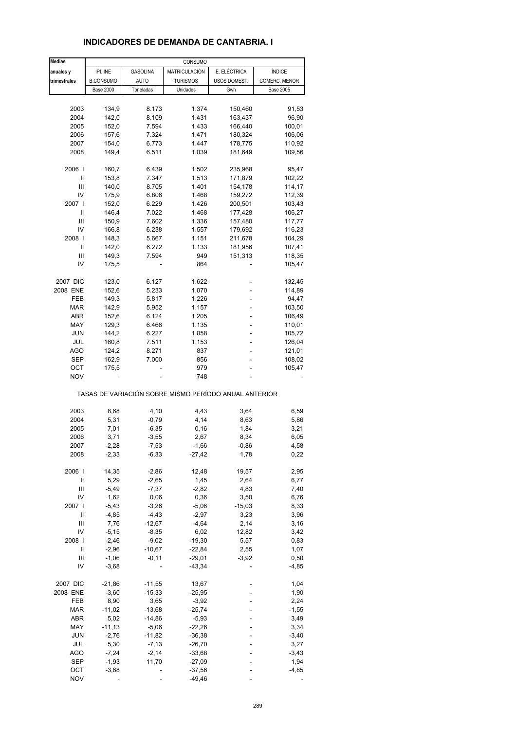| <b>Medias</b> |                  |                 | CONSUMO             |                                                       |                  |
|---------------|------------------|-----------------|---------------------|-------------------------------------------------------|------------------|
| anuales y     | IPI. INE         | <b>GASOLINA</b> | MATRICULACIÓN       | E. ELÉCTRICA                                          | <b>ÍNDICE</b>    |
| trimestrales  | <b>B.CONSUMO</b> | AUTO            | <b>TURISMOS</b>     | USOS DOMEST.                                          | COMERC. MENOR    |
|               | <b>Base 2000</b> | Toneladas       | Unidades            | Gwh                                                   | <b>Base 2005</b> |
|               |                  |                 |                     |                                                       |                  |
| 2003          | 134,9            | 8.173           | 1.374               | 150,460                                               | 91,53            |
| 2004          | 142,0            | 8.109           | 1.431               | 163,437                                               | 96,90            |
| 2005          | 152,0            | 7.594           | 1.433               | 166,440                                               | 100,01           |
| 2006          | 157,6            | 7.324           | 1.471               | 180,324                                               | 106,06           |
| 2007          | 154,0            | 6.773           | 1.447               | 178,775                                               | 110,92           |
| 2008          | 149,4            | 6.511           | 1.039               | 181,649                                               | 109,56           |
|               |                  |                 |                     |                                                       |                  |
| 2006          | 160,7            | 6.439           | 1.502               | 235,968                                               | 95,47            |
| Ш             | 153,8            | 7.347           | 1.513               | 171,879                                               | 102,22           |
| Ш             | 140,0            | 8.705           | 1.401               | 154,178                                               | 114,17           |
| IV            | 175,9            | 6.806           | 1.468               | 159,272                                               | 112,39           |
| 2007          | 152,0            | 6.229           | 1.426               | 200,501                                               | 103,43           |
| Ш             | 146,4            | 7.022           | 1.468               | 177,428                                               | 106,27           |
| Ш             | 150,9            | 7.602           | 1.336               | 157,480                                               | 117,77           |
| IV            | 166,8            | 6.238           | 1.557               | 179,692                                               | 116,23           |
| 2008          | 148,3            | 5.667           | 1.151               | 211,678                                               | 104,29           |
| Ш             | 142,0            | 6.272           | 1.133               | 181,956                                               | 107,41           |
| Ш             | 149,3            | 7.594           | 949                 | 151,313                                               | 118,35           |
| IV            | 175,5            |                 | 864                 |                                                       | 105,47           |
|               |                  |                 |                     |                                                       |                  |
| 2007 DIC      | 123,0            | 6.127           | 1.622               |                                                       | 132,45           |
| 2008 ENE      | 152,6            | 5.233           | 1.070               |                                                       | 114,89           |
| <b>FEB</b>    | 149,3            | 5.817           | 1.226               |                                                       | 94,47            |
| <b>MAR</b>    | 142,9            | 5.952           | 1.157               |                                                       | 103,50           |
| ABR           | 152,6            | 6.124           | 1.205               |                                                       | 106,49           |
| MAY           | 129,3            | 6.466           | 1.135               |                                                       | 110,01           |
| <b>JUN</b>    | 144,2            | 6.227           | 1.058               |                                                       |                  |
|               |                  |                 |                     |                                                       | 105,72           |
| JUL           | 160,8            | 7.511           | 1.153               |                                                       | 126,04           |
| AGO           | 124,2            | 8.271           | 837                 |                                                       | 121,01           |
| SEP           | 162,9            | 7.000           | 856                 |                                                       | 108,02           |
| ОСТ           | 175,5            |                 | 979                 |                                                       | 105,47           |
| <b>NOV</b>    |                  |                 | 748                 |                                                       |                  |
|               |                  |                 |                     | TASAS DE VARIACIÓN SOBRE MISMO PERÍODO ANUAL ANTERIOR |                  |
| 2003          | 8,68             | 4,10            | 4,43                | 3,64                                                  | 6,59             |
| 2004          | 5,31             | $-0,79$         | 4,14                | 8,63                                                  | 5,86             |
| 2005          | 7,01             | $-6,35$         | 0, 16               | 1,84                                                  | 3,21             |
| 2006          | 3,71             | $-3,55$         | 2,67                | 8,34                                                  | 6,05             |
| 2007          | $-2,28$          | $-7,53$         |                     | $-0,86$                                               |                  |
| 2008          | $-2,33$          | $-6,33$         | $-1,66$<br>$-27,42$ | 1,78                                                  | 4,58<br>0,22     |
|               |                  |                 |                     |                                                       |                  |
| 2006          | 14,35            | $-2,86$         | 12,48               | 19,57                                                 | 2,95             |
| Ш             | 5,29             | $-2,65$         | 1,45                | 2,64                                                  | 6,77             |
| Ш             | $-5,49$          | $-7,37$         | $-2,82$             | 4,83                                                  | 7,40             |
| IV            | 1,62             | 0,06            | 0,36                | 3,50                                                  | 6,76             |
| 2007          | $-5,43$          | $-3,26$         | $-5,06$             | $-15,03$                                              | 8,33             |
| $\sf II$      | $-4,85$          | $-4,43$         | $-2,97$             | 3,23                                                  | 3,96             |
| Ш             | 7,76             | $-12,67$        | $-4,64$             | 2,14                                                  | 3,16             |
| IV            | $-5,15$          | $-8,35$         | 6,02                | 12,82                                                 | 3,42             |
| 2008          | $-2,46$          | $-9,02$         | $-19,30$            | 5,57                                                  | 0,83             |
| Ш             | $-2,96$          | $-10,67$        | $-22,84$            | 2,55                                                  | 1,07             |
|               |                  |                 |                     |                                                       |                  |
| Ш             | $-1,06$          | $-0,11$         | $-29,01$            | $-3,92$                                               | 0,50             |
| IV            | $-3,68$          |                 | $-43,34$            |                                                       | $-4,85$          |
| 2007 DIC      | $-21,86$         | $-11,55$        | 13,67               |                                                       | 1,04             |
| 2008 ENE      | $-3,60$          | $-15,33$        | $-25,95$            |                                                       | 1,90             |
| FEB           | 8,90             | 3,65            | $-3,92$             |                                                       | 2,24             |
| MAR           | $-11,02$         | $-13,68$        | $-25,74$            |                                                       | $-1,55$          |
|               |                  |                 |                     |                                                       |                  |
| ABR           | 5,02             | $-14,86$        | $-5,93$             |                                                       | 3,49             |
| MAY           | $-11,13$         | $-5,06$         | $-22,26$            |                                                       | 3,34             |
| <b>JUN</b>    | $-2,76$          | $-11,82$        | $-36,38$            |                                                       | $-3,40$          |
| JUL           | 5,30             | $-7,13$         | $-26,70$            |                                                       | 3,27             |
| AGO           | $-7,24$          | $-2,14$         | $-33,68$            |                                                       | $-3,43$          |
| <b>SEP</b>    | $-1,93$          | 11,70           | $-27,09$            |                                                       | 1,94             |
| OCT           | $-3,68$          |                 | $-37,56$            |                                                       | $-4,85$          |
| <b>NOV</b>    |                  |                 | $-49,46$            |                                                       |                  |

#### **INDICADORES DE DEMANDA DE CANTABRIA. I**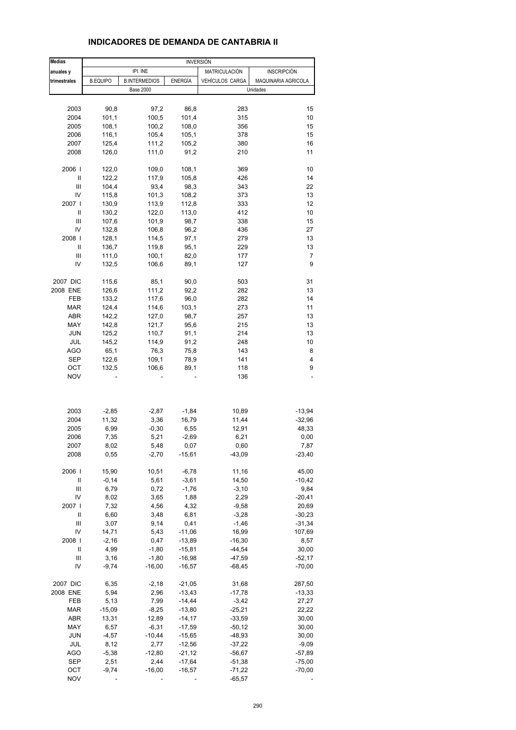# **INDICADORES DE DEMANDA DE CANTABRIA II**

| <b>Medias</b>  |                 |                      |                    | <b>INVERSIÓN</b> |                     |
|----------------|-----------------|----------------------|--------------------|------------------|---------------------|
| anuales y      |                 | IPI. INE             |                    | MATRICULACIÓN    | <b>INSCRIPCIÓN</b>  |
| trimestrales   | <b>B.EQUIPO</b> | <b>B.INTERMEDIOS</b> | ENERGÍA            | VEHÍCULOS CARGA  | MAQUINARIA AGRICOLA |
|                |                 | <b>Base 2000</b>     |                    |                  | Unidades            |
|                |                 |                      |                    |                  |                     |
| 2003           | 90,8            | 97,2                 | 86,8               | 283              | 15                  |
| 2004           | 101,1           | 100,5                | 101,4              | 315              | 10                  |
| 2005           | 108,1           | 100,2                | 108,0              | 356              | 15                  |
| 2006           | 116,1           | 105,4                | 105,1              | 378              | 15                  |
| 2007           | 125,4           | 111,2                | 105,2              | 380              | 16                  |
| 2008           | 126,0           | 111,0                | 91,2               | 210              | 11                  |
| 2006           | 122,0           | 109,0                | 108,1              | 369              | 10                  |
| II             | 122,2           | 117,9                | 105,8              | 426              | 14                  |
| Ш              | 104,4           | 93,4                 | 98,3               | 343              | 22                  |
| IV             | 115,8           | 101,3                | 108,2              | 373              | 13                  |
| 2007 l         | 130,9           | 113,9                | 112,8              | 333              | 12                  |
| II             | 130,2           | 122,0                | 113,0              | 412              | 10                  |
| Ш              | 107,6           | 101,9                | 98,7               | 338              | 15                  |
| IV             | 132,8           | 106,8                | 96,2               | 436              | 27                  |
| 2008           | 128,1           | 114,5                | 97,1               | 279              | 13                  |
| II             | 136,7           | 119,8                | 95,1               | 229              | 13                  |
| Ш              | 111,0           | 100,1                | 82,0               | 177              | 7                   |
| IV             | 132,5           | 106,6                | 89,1               | 127              | 9                   |
| 2007 DIC       | 115,6           | 85,1                 | 90,0               | 503              | 31                  |
| 2008 ENE       | 126,6           | 111,2                | 92,2               | 282              | 13                  |
| <b>FEB</b>     | 133,2           | 117,6                | 96,0               | 282              | 14                  |
| <b>MAR</b>     | 124,4           | 114,6                | 103,1              | 273              | 11                  |
| ABR            | 142,2           | 127,0                | 98,7               | 257              | 13                  |
| MAY            | 142,8           | 121,7                | 95,6               | 215              | 13                  |
| <b>JUN</b>     | 125,2           | 110,7                | 91,1               | 214              | 13                  |
| JUL            | 145,2           | 114,9                | 91,2               | 248              | 10                  |
| AGO            | 65,1            | 76,3                 | 75,8               | 143              | 8                   |
| SEP            | 122,6           | 109,1                | 78,9               | 141              | 4                   |
| OCT            | 132,5           | 106,6                | 89,1               | 118              | 9                   |
| <b>NOV</b>     |                 |                      |                    | 136              |                     |
|                |                 |                      |                    |                  |                     |
|                |                 |                      |                    |                  |                     |
| 2003           | $-2,85$         | $-2,87$              | $-1,84$            | 10,89            | $-13,94$            |
| 2004           | 11,32           | 3,36                 | 16,79              | 11,44            | $-32,96$            |
| 2005           | 6,99            | $-0,30$              | 6,55               | 12,91            | 48,33               |
| 2006           | 7,35            | 5,21                 | $-2,69$            | 6,21             | 0,00                |
| 2007           | 8,02            | 5,48                 | 0,07               | 0,60             | 7,87                |
| 2008           | 0,55            | $-2,70$              | $-15,61$           | $-43,09$         | $-23,40$            |
| 2006           | 15,90           | 10,51                |                    | 11,16            |                     |
| Ш              | $-0,14$         | 5,61                 | $-6,78$<br>$-3,61$ | 14,50            | 45,00<br>$-10,42$   |
| $\mathbf{III}$ | 6,79            | 0,72                 | $-1,76$            | $-3,10$          | 9,84                |
| IV             | 8,02            | 3,65                 | 1,88               | 2,29             | $-20,41$            |
| 2007 l         | 7,32            | 4,56                 | 4,32               | $-9,58$          | 20,69               |
| Ш              | 6,60            | 3,48                 | 6,81               | $-3,28$          | $-30,23$            |
| Ш              | 3,07            | 9,14                 | 0,41               | $-1,46$          | $-31,34$            |
| IV             | 14,71           | 5,43                 | $-11,06$           | 16,99            | 107,69              |
| 2008           | $-2,16$         | 0,47                 | $-13,89$           | $-16,30$         | 8,57                |
| Ш              | 4,99            | $-1,80$              | $-15,81$           | $-44,54$         | 30,00               |
| Ш              | 3,16            | $-1,80$              | $-16,98$           | $-47,59$         | $-52,17$            |
| IV             | $-9,74$         | $-16,00$             | $-16,57$           | $-68,45$         | $-70,00$            |
| 2007 DIC       | 6,35            | $-2,18$              | $-21,05$           | 31,68            | 287,50              |
| 2008 ENE       | 5,94            | 2,96                 | $-13,43$           | $-17,78$         | $-13,33$            |
| FEB            | 5,13            | 7,99                 | $-14,44$           | $-3,42$          | 27,27               |
| MAR            | $-15,09$        | $-8,25$              | $-13,80$           | $-25,21$         | 22,22               |
| ABR            | 13,31           | 12,89                | $-14,17$           | $-33,59$         | 30,00               |
| MAY            | 6,57            | $-6,31$              | $-17,59$           | $-50, 12$        | 30,00               |
| <b>JUN</b>     | $-4,57$         | $-10,44$             | $-15,65$           | $-48,93$         | 30,00               |
| JUL            | 8,12            | 2,77                 | $-12,56$           | $-37,22$         | $-9,09$             |
| AGO            | $-5,38$         | $-12,80$             | $-21,12$           | $-56,67$         | $-57,89$            |
| <b>SEP</b>     | 2,51            | 2,44                 | $-17,64$           | $-51,38$         | $-75,00$            |
| OCT            | $-9,74$         | $-16,00$             | $-16,57$           | $-71,22$         | $-70,00$            |
| <b>NOV</b>     |                 |                      |                    | $-65,57$         |                     |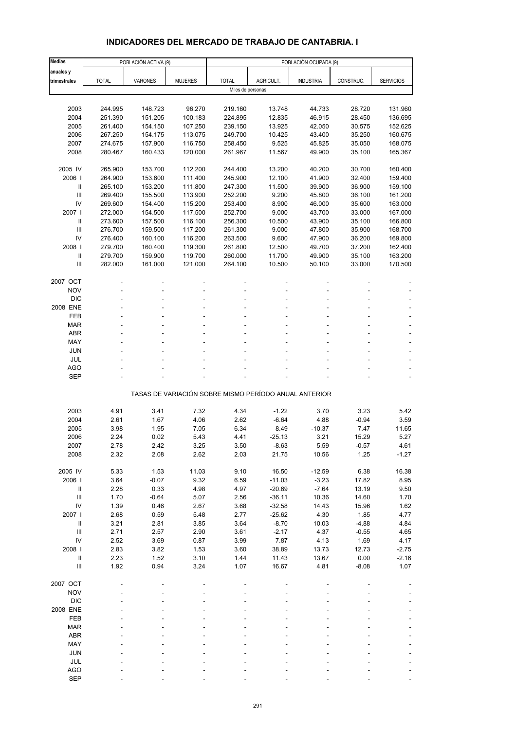# **INDICADORES DEL MERCADO DE TRABAJO DE CANTABRIA. I**

| <b>Medias</b>                      |                    | POBLACIÓN ACTIVA (9) |                    |                    | POBLACIÓN OCUPADA (9) |                                                       |                  |                    |
|------------------------------------|--------------------|----------------------|--------------------|--------------------|-----------------------|-------------------------------------------------------|------------------|--------------------|
| anuales y                          |                    |                      |                    |                    |                       |                                                       |                  |                    |
| trimestrales                       | <b>TOTAL</b>       | VARONES              | <b>MUJERES</b>     | <b>TOTAL</b>       | AGRICULT.             | <b>INDUSTRIA</b>                                      | CONSTRUC.        | <b>SERVICIOS</b>   |
|                                    |                    |                      |                    | Miles de personas  |                       |                                                       |                  |                    |
| 2003                               | 244.995            | 148.723              | 96.270             | 219.160            | 13.748                | 44.733                                                | 28.720           | 131.960            |
| 2004                               | 251.390            | 151.205              | 100.183            | 224.895            | 12.835                | 46.915                                                | 28.450           | 136.695            |
| 2005                               | 261.400            | 154.150              | 107.250            | 239.150            | 13.925                | 42.050                                                | 30.575           | 152.625            |
| 2006                               | 267.250            | 154.175              | 113.075            | 249.700            | 10.425                | 43.400                                                | 35.250           | 160.675            |
| 2007                               | 274.675            | 157.900              | 116.750            | 258.450            | 9.525                 | 45.825                                                | 35.050           | 168.075            |
| 2008                               | 280.467            | 160.433              | 120.000            | 261.967            | 11.567                | 49.900                                                | 35.100           | 165.367            |
|                                    |                    |                      |                    |                    |                       |                                                       |                  |                    |
| 2005 IV                            | 265.900            | 153.700              | 112.200            | 244.400            | 13.200                | 40.200                                                | 30.700           | 160.400            |
| 2006                               | 264.900            | 153.600              | 111.400            | 245.900            | 12.100                | 41.900                                                | 32.400           | 159.400            |
| Ш                                  | 265.100            | 153.200              | 111.800            | 247.300            | 11.500                | 39.900                                                | 36.900           | 159.100            |
| $\mathbf{III}$                     | 269.400            | 155.500              | 113.900            | 252.200            | 9.200                 | 45.800                                                | 36.100           | 161.200            |
| IV                                 | 269.600            | 154.400              | 115.200            | 253.400            | 8.900                 | 46.000                                                | 35.600           | 163.000            |
| 2007 l                             | 272.000            | 154.500              | 117.500            | 252.700            | 9.000                 | 43.700                                                | 33.000           | 167.000            |
| $\mathbf{I}$                       | 273.600            | 157.500              | 116.100            | 256.300            | 10.500                | 43.900                                                | 35.100           | 166.800            |
| $\mathbf{III}$                     | 276.700            | 159.500              | 117.200            | 261.300            | 9.000                 | 47.800                                                | 35.900           | 168.700            |
| IV<br>2008                         | 276.400<br>279.700 | 160.100<br>160.400   | 116.200<br>119.300 | 263.500<br>261.800 | 9.600<br>12.500       | 47.900<br>49.700                                      | 36.200<br>37.200 | 169.800<br>162.400 |
| $\mathbf{I}$                       | 279.700            | 159.900              | 119.700            | 260.000            | 11.700                | 49.900                                                | 35.100           | 163.200            |
| Ш                                  | 282.000            | 161.000              | 121.000            | 264.100            | 10.500                | 50.100                                                | 33.000           | 170.500            |
|                                    |                    |                      |                    |                    |                       |                                                       |                  |                    |
| 2007 OCT                           |                    |                      |                    |                    |                       |                                                       |                  |                    |
| <b>NOV</b>                         |                    |                      |                    |                    |                       |                                                       |                  |                    |
| <b>DIC</b>                         |                    |                      |                    |                    |                       |                                                       |                  |                    |
| 2008 ENE                           |                    |                      |                    |                    |                       |                                                       |                  |                    |
| FEB                                |                    |                      |                    |                    |                       |                                                       |                  |                    |
| <b>MAR</b>                         |                    |                      |                    |                    |                       |                                                       |                  |                    |
| <b>ABR</b>                         |                    |                      |                    |                    |                       |                                                       |                  |                    |
| MAY                                |                    |                      |                    |                    |                       |                                                       |                  |                    |
| <b>JUN</b>                         |                    |                      |                    |                    |                       |                                                       |                  |                    |
| JUL<br><b>AGO</b>                  |                    |                      |                    |                    |                       |                                                       |                  |                    |
| <b>SEP</b>                         |                    |                      |                    |                    |                       |                                                       |                  |                    |
|                                    |                    |                      |                    |                    |                       |                                                       |                  |                    |
|                                    |                    |                      |                    |                    |                       | TASAS DE VARIACIÓN SOBRE MISMO PERÍODO ANUAL ANTERIOR |                  |                    |
|                                    |                    |                      |                    |                    |                       |                                                       |                  |                    |
| 2003                               | 4.91               | 3.41                 | 7.32               | 4.34               | $-1.22$               | 3.70                                                  | 3.23             | 5.42               |
| 2004                               | 2.61               | 1.67                 | 4.06               | 2.62               | $-6.64$               | 4.88                                                  | $-0.94$          | 3.59               |
| 2005                               | 3.98               | 1.95                 | 7.05               | 6.34               | 8.49                  | $-10.37$                                              | 7.47             | 11.65              |
| 2006                               | 2.24               | 0.02                 | 5.43               | 4.41               | $-25.13$              | 3.21                                                  | 15.29            | 5.27               |
| 2007                               | 2.78               | 2.42                 | 3.25               | 3.50               | $-8.63$               | 5.59                                                  | $-0.57$          | 4.61               |
| 2008                               | 2.32               | 2.08                 | 2.62               | 2.03               | 21.75                 | 10.56                                                 | 1.25             | $-1.27$            |
| 2005 IV                            | 5.33               | 1.53                 | 11.03              | 9.10               | 16.50                 | $-12.59$                                              | 6.38             | 16.38              |
| 2006                               | 3.64               | $-0.07$              | 9.32               | 6.59               | $-11.03$              | $-3.23$                                               | 17.82            | 8.95               |
| $\ensuremath{\mathsf{II}}$         | 2.28               | 0.33                 | 4.98               | 4.97               | $-20.69$              | $-7.64$                                               | 13.19            | 9.50               |
| Ш                                  | 1.70               | $-0.64$              | 5.07               | 2.56               | $-36.11$              | 10.36                                                 | 14.60            | 1.70               |
| IV                                 | 1.39               | 0.46                 | 2.67               | 3.68               | $-32.58$              | 14.43                                                 | 15.96            | 1.62               |
| 2007 l                             | 2.68               | 0.59                 | 5.48               | 2.77               | $-25.62$              | 4.30                                                  | 1.85             | 4.77               |
| $\, \parallel$                     | 3.21               | 2.81                 | 3.85               | 3.64               | $-8.70$               | 10.03                                                 | $-4.88$          | 4.84               |
| $\ensuremath{\mathsf{III}}\xspace$ | 2.71               | 2.57                 | 2.90               | 3.61               | $-2.17$               | 4.37                                                  | $-0.55$          | 4.65               |
| IV                                 | 2.52               | 3.69                 | 0.87               | 3.99               | 7.87                  | 4.13                                                  | 1.69             | 4.17               |
| 2008                               | 2.83               | 3.82                 | 1.53               | 3.60               | 38.89                 | 13.73                                                 | 12.73            | $-2.75$            |
| $\, \parallel$                     | 2.23               | 1.52                 | 3.10               | 1.44               | 11.43                 | 13.67                                                 | 0.00             | $-2.16$            |
| $\ensuremath{\mathsf{III}}\xspace$ | 1.92               | 0.94                 | 3.24               | 1.07               | 16.67                 | 4.81                                                  | $-8.08$          | 1.07               |
| 2007 OCT                           |                    |                      |                    |                    |                       |                                                       |                  |                    |
| <b>NOV</b>                         |                    |                      |                    |                    |                       |                                                       |                  |                    |
| <b>DIC</b>                         |                    |                      |                    |                    |                       |                                                       |                  |                    |
| 2008 ENE                           |                    |                      |                    |                    |                       |                                                       |                  |                    |
| FEB                                |                    |                      |                    |                    |                       |                                                       |                  |                    |
| <b>MAR</b>                         |                    |                      |                    |                    |                       |                                                       |                  |                    |
| ABR                                |                    |                      |                    |                    |                       |                                                       |                  |                    |
| MAY                                |                    |                      |                    |                    |                       |                                                       |                  |                    |
| <b>JUN</b>                         |                    |                      |                    |                    |                       |                                                       |                  |                    |
| JUL                                |                    |                      |                    |                    |                       |                                                       |                  |                    |
| AGO                                |                    |                      |                    |                    |                       |                                                       |                  |                    |
| <b>SEP</b>                         |                    |                      |                    |                    |                       |                                                       |                  |                    |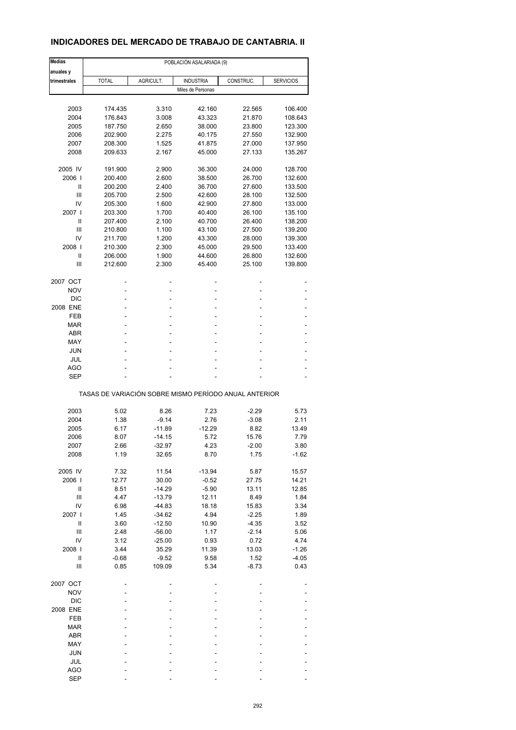## **INDICADORES DEL MERCADO DE TRABAJO DE CANTABRIA. II**

| <b>Medias</b>              | POBLACIÓN ASALARIADA (9)                              |                |                   |                  |                    |  |  |
|----------------------------|-------------------------------------------------------|----------------|-------------------|------------------|--------------------|--|--|
| anuales y                  |                                                       |                |                   |                  |                    |  |  |
| trimestrales               | <b>TOTAL</b>                                          | AGRICULT.      | <b>INDUSTRIA</b>  | CONSTRUC.        | <b>SERVICIOS</b>   |  |  |
|                            |                                                       |                | Miles de Personas |                  |                    |  |  |
|                            |                                                       |                |                   |                  |                    |  |  |
| 2003                       | 174.435                                               | 3.310          | 42.160            | 22.565           | 106.400            |  |  |
| 2004                       | 176.843                                               | 3.008          | 43.323            | 21.870           | 108.643            |  |  |
| 2005<br>2006               | 187.750<br>202.900                                    | 2.650<br>2.275 | 38.000<br>40.175  | 23.800<br>27.550 | 123.300<br>132.900 |  |  |
| 2007                       | 208.300                                               | 1.525          | 41.875            | 27.000           | 137.950            |  |  |
| 2008                       | 209.633                                               | 2.167          | 45.000            | 27.133           | 135.267            |  |  |
|                            |                                                       |                |                   |                  |                    |  |  |
| 2005 IV                    | 191.900                                               | 2.900          | 36.300            | 24.000           | 128.700            |  |  |
| 2006                       | 200.400                                               | 2.600          | 38.500            | 26.700           | 132.600            |  |  |
| $\mathsf{I}$               | 200.200                                               | 2.400          | 36.700            | 27.600           | 133.500            |  |  |
| Ш                          | 205.700                                               | 2.500          | 42.600            | 28.100           | 132.500            |  |  |
| IV                         | 205.300                                               | 1.600          | 42.900            | 27.800           | 133.000            |  |  |
| 2007                       | 203.300                                               | 1.700          | 40.400            | 26.100           | 135.100            |  |  |
| Ш                          | 207.400                                               | 2.100          | 40.700            | 26.400           | 138.200            |  |  |
| Ш                          | 210.800                                               | 1.100          | 43.100            | 27.500           | 139.200            |  |  |
| IV                         | 211.700                                               | 1.200          | 43.300            | 28.000           | 139.300            |  |  |
| 2008                       | 210.300                                               | 2.300          | 45.000            | 29.500           | 133.400            |  |  |
| Ш                          | 206.000                                               | 1.900          | 44.600            | 26.800           | 132.600            |  |  |
| Ш                          | 212.600                                               | 2.300          | 45.400            | 25.100           | 139.800            |  |  |
| 2007 OCT                   |                                                       |                | ä,                |                  |                    |  |  |
| <b>NOV</b>                 |                                                       |                | ä,                |                  |                    |  |  |
| <b>DIC</b>                 |                                                       |                | ۰                 |                  |                    |  |  |
| 2008 ENE                   |                                                       |                | ÷                 |                  |                    |  |  |
| FEB                        |                                                       |                | ä,                |                  |                    |  |  |
| MAR                        |                                                       |                |                   |                  |                    |  |  |
| <b>ABR</b>                 |                                                       |                | ÷                 |                  |                    |  |  |
| MAY                        |                                                       |                | ä,                |                  |                    |  |  |
| <b>JUN</b>                 |                                                       |                |                   |                  |                    |  |  |
| JUL                        |                                                       |                |                   |                  |                    |  |  |
| AGO                        |                                                       |                | Ĭ.                |                  |                    |  |  |
| <b>SEP</b>                 |                                                       |                |                   |                  |                    |  |  |
|                            |                                                       |                |                   |                  |                    |  |  |
|                            | TASAS DE VARIACIÓN SOBRE MISMO PERÍODO ANUAL ANTERIOR |                |                   |                  |                    |  |  |
|                            |                                                       |                |                   |                  |                    |  |  |
| 2003                       | 5.02                                                  | 8.26           | 7.23              | $-2.29$          | 5.73               |  |  |
| 2004                       | 1.38                                                  | $-9.14$        | 2.76              | $-3.08$          | 2.11               |  |  |
| 2005                       | 6.17                                                  | $-11.89$       | $-12.29$          | 8.82             | 13.49              |  |  |
| 2006                       | 8.07                                                  | $-14.15$       | 5.72              | 15.76            | 7.79               |  |  |
| 2007                       | 2.66                                                  | -32.97         | 4.23              | -2.00            | 3.80               |  |  |
| 2008                       | 1.19                                                  | 32.65          | 8.70              | 1.75             | $-1.62$            |  |  |
| 2005 IV                    | 7.32                                                  | 11.54          | $-13.94$          | 5.87             | 15.57              |  |  |
| 2006                       | 12.77                                                 | 30.00          | $-0.52$           | 27.75            | 14.21              |  |  |
| $\ensuremath{\mathsf{II}}$ | 8.51                                                  | $-14.29$       | $-5.90$           | 13.11            | 12.85              |  |  |
| $\mathsf{III}$             | 4.47                                                  | $-13.79$       | 12.11             | 8.49             | 1.84               |  |  |
| IV                         | 6.98                                                  | $-44.83$       | 18.18             | 15.83            | 3.34               |  |  |
| 2007 l                     | 1.45                                                  | $-34.62$       | 4.94              | $-2.25$          | 1.89               |  |  |
| $\sf II$                   | 3.60                                                  | $-12.50$       | 10.90             | $-4.35$          | 3.52               |  |  |
| Ш                          | 2.48                                                  | $-56.00$       | 1.17              | $-2.14$          | 5.06               |  |  |
| IV                         | 3.12                                                  | $-25.00$       | 0.93              | 0.72             | 4.74               |  |  |
| 2008                       | 3.44                                                  | 35.29          | 11.39             | 13.03            | $-1.26$            |  |  |
| Ш                          | $-0.68$                                               | $-9.52$        | 9.58              | 1.52             | $-4.05$            |  |  |
| $\mathbf{III}$             | 0.85                                                  | 109.09         | 5.34              | $-8.73$          | 0.43               |  |  |
|                            |                                                       |                |                   |                  |                    |  |  |
| 2007 OCT                   |                                                       |                |                   |                  |                    |  |  |
| <b>NOV</b>                 |                                                       |                |                   |                  |                    |  |  |
| <b>DIC</b>                 |                                                       |                |                   |                  |                    |  |  |
| 2008 ENE                   |                                                       |                |                   |                  |                    |  |  |
| FEB                        |                                                       |                |                   |                  |                    |  |  |
| <b>MAR</b>                 |                                                       |                |                   |                  |                    |  |  |
| ABR                        |                                                       |                |                   |                  |                    |  |  |
| MAY                        |                                                       |                |                   |                  |                    |  |  |
| <b>JUN</b>                 |                                                       |                |                   |                  |                    |  |  |
| JUL                        |                                                       |                |                   |                  |                    |  |  |
| <b>AGO</b>                 |                                                       |                |                   |                  |                    |  |  |
| <b>SEP</b>                 |                                                       |                |                   |                  |                    |  |  |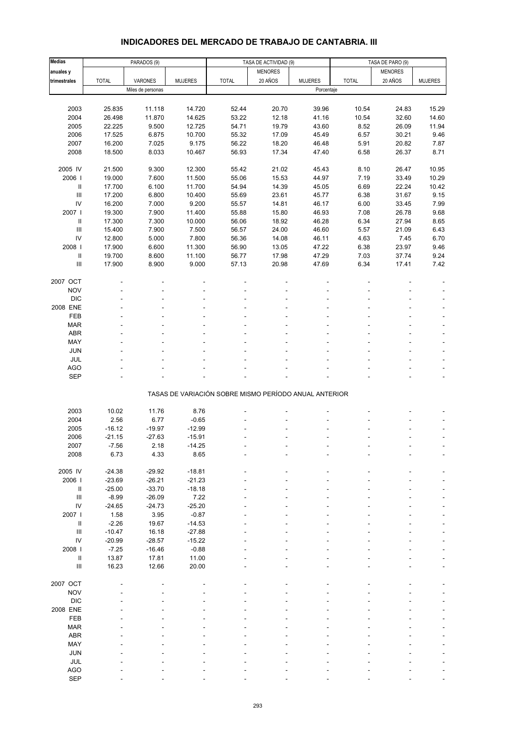| <b>Medias</b>                      |              | PARADOS (9)       |                |                                                       | TASA DE ACTIVIDAD (9) |                |              |                                    |                |
|------------------------------------|--------------|-------------------|----------------|-------------------------------------------------------|-----------------------|----------------|--------------|------------------------------------|----------------|
| anuales y                          |              |                   |                |                                                       | <b>MENORES</b>        |                |              | TASA DE PARO (9)<br><b>MENORES</b> |                |
| trimestrales                       | <b>TOTAL</b> | VARONES           | <b>MUJERES</b> | <b>TOTAL</b>                                          | 20 AÑOS               | <b>MUJERES</b> | <b>TOTAL</b> | 20 AÑOS                            | <b>MUJERES</b> |
|                                    |              | Miles de personas |                |                                                       |                       | Porcentaje     |              |                                    |                |
|                                    |              |                   |                |                                                       |                       |                |              |                                    |                |
| 2003                               | 25.835       | 11.118            | 14.720         | 52.44                                                 | 20.70                 | 39.96          | 10.54        | 24.83                              | 15.29          |
| 2004                               | 26.498       | 11.870            | 14.625         | 53.22                                                 | 12.18                 | 41.16          | 10.54        | 32.60                              | 14.60          |
| 2005                               | 22.225       | 9.500             | 12.725         | 54.71                                                 | 19.79                 | 43.60          | 8.52         | 26.09                              | 11.94          |
| 2006                               | 17.525       | 6.875             | 10.700         | 55.32                                                 | 17.09                 | 45.49          | 6.57         | 30.21                              | 9.46           |
| 2007                               | 16.200       | 7.025             | 9.175          | 56.22                                                 | 18.20                 | 46.48          | 5.91         | 20.82                              | 7.87           |
| 2008                               | 18.500       | 8.033             | 10.467         | 56.93                                                 | 17.34                 | 47.40          | 6.58         | 26.37                              | 8.71           |
|                                    |              |                   |                |                                                       |                       |                |              |                                    |                |
| 2005 IV                            | 21.500       | 9.300             | 12.300         | 55.42                                                 | 21.02                 | 45.43          | 8.10         | 26.47                              | 10.95          |
| 2006                               | 19.000       | 7.600             | 11.500         | 55.06                                                 | 15.53                 | 44.97          | 7.19         | 33.49                              | 10.29          |
| $\,$ II                            | 17.700       | 6.100             | 11.700         | 54.94                                                 | 14.39                 | 45.05          | 6.69         | 22.24                              | 10.42          |
| $\ensuremath{\mathsf{III}}\xspace$ | 17.200       | 6.800             | 10.400         | 55.69                                                 | 23.61                 | 45.77          | 6.38         | 31.67                              | 9.15           |
| IV                                 | 16.200       | 7.000             | 9.200          | 55.57                                                 | 14.81                 | 46.17          | 6.00         | 33.45                              | 7.99           |
| 2007 l                             | 19.300       | 7.900             | 11.400         | 55.88                                                 | 15.80                 | 46.93          | 7.08         | 26.78                              | 9.68           |
| $\,$ II                            | 17.300       | 7.300             | 10.000         | 56.06                                                 | 18.92                 | 46.28          | 6.34         | 27.94                              | 8.65           |
| $\mathop{\mathrm{III}}\nolimits$   | 15.400       | 7.900             | 7.500          | 56.57                                                 | 24.00                 | 46.60          | 5.57         | 21.09                              | 6.43           |
| IV                                 | 12.800       | 5.000             | 7.800          | 56.36                                                 | 14.08                 | 46.11          | 4.63         | 7.45                               | 6.70           |
| 2008                               | 17.900       | 6.600             | 11.300         | 56.90                                                 | 13.05                 | 47.22          | 6.38         | 23.97                              | 9.46           |
| $\,$ II                            | 19.700       | 8.600             | 11.100         | 56.77                                                 | 17.98                 | 47.29          | 7.03         | 37.74                              | 9.24           |
| Ш                                  | 17.900       | 8.900             | 9.000          | 57.13                                                 | 20.98                 | 47.69          | 6.34         | 17.41                              | 7.42           |
|                                    |              |                   |                |                                                       |                       |                |              |                                    |                |
| 2007 OCT                           |              |                   |                |                                                       |                       |                |              |                                    |                |
| <b>NOV</b>                         |              |                   |                |                                                       |                       |                |              |                                    |                |
| <b>DIC</b>                         |              |                   |                |                                                       |                       |                |              |                                    |                |
| 2008 ENE                           |              |                   |                |                                                       |                       |                |              |                                    |                |
| FEB                                |              |                   |                |                                                       |                       |                |              |                                    |                |
| <b>MAR</b>                         |              |                   |                |                                                       |                       |                |              |                                    |                |
| ABR                                |              |                   |                |                                                       |                       |                |              |                                    |                |
| MAY                                |              |                   |                |                                                       |                       |                |              |                                    |                |
| <b>JUN</b>                         |              |                   |                |                                                       |                       |                |              |                                    |                |
| JUL                                |              |                   |                |                                                       |                       |                |              |                                    |                |
| <b>AGO</b>                         |              |                   |                |                                                       |                       |                |              |                                    |                |
| <b>SEP</b>                         |              |                   |                |                                                       |                       |                |              |                                    |                |
|                                    |              |                   |                | TASAS DE VARIACIÓN SOBRE MISMO PERÍODO ANUAL ANTERIOR |                       |                |              |                                    |                |
|                                    |              |                   |                |                                                       |                       |                |              |                                    |                |
| 2003                               | 10.02        | 11.76             | 8.76           |                                                       |                       |                |              |                                    |                |
| 2004                               | 2.56         | 6.77              | $-0.65$        |                                                       |                       |                |              |                                    |                |
| 2005                               | $-16.12$     | $-19.97$          | $-12.99$       |                                                       |                       |                |              |                                    |                |
| 2006                               | $-21.15$     | $-27.63$          | $-15.91$       |                                                       |                       |                |              |                                    |                |
| 2007                               | -7.56        | 2.18              | -14.25         |                                                       |                       |                |              |                                    |                |
| 2008                               | 6.73         | 4.33              | 8.65           |                                                       |                       |                |              |                                    |                |
|                                    |              |                   |                |                                                       |                       |                |              |                                    |                |
| 2005 IV                            | $-24.38$     | $-29.92$          | $-18.81$       |                                                       |                       |                |              |                                    |                |
| 2006                               | $-23.69$     | $-26.21$          | $-21.23$       |                                                       |                       |                |              |                                    |                |
| Ш                                  | $-25.00$     | $-33.70$          | $-18.18$       |                                                       |                       |                |              |                                    |                |
| $\mathbf{III}$                     | $-8.99$      | $-26.09$          | 7.22           |                                                       |                       |                |              |                                    |                |
| IV                                 | $-24.65$     | $-24.73$          | $-25.20$       |                                                       |                       |                |              |                                    |                |
| 2007 l                             | 1.58         | 3.95              | $-0.87$        |                                                       |                       |                |              |                                    |                |
| $\, \parallel$                     | $-2.26$      | 19.67             | $-14.53$       |                                                       |                       |                |              |                                    |                |
| $\mathbf{III}$                     | $-10.47$     | 16.18             | $-27.88$       |                                                       |                       |                |              |                                    |                |
| IV                                 | $-20.99$     | $-28.57$          | $-15.22$       |                                                       |                       |                |              |                                    |                |
| 2008 l                             | $-7.25$      | $-16.46$          | $-0.88$        |                                                       |                       |                |              |                                    |                |
| $\,$ II<br>$\mathbf{III}$          | 13.87        | 17.81             | 11.00          |                                                       |                       |                |              |                                    |                |
|                                    | 16.23        | 12.66             | 20.00          |                                                       |                       |                |              |                                    |                |
| 2007 OCT                           |              |                   |                |                                                       |                       |                |              |                                    |                |
| <b>NOV</b>                         |              |                   |                |                                                       |                       |                |              |                                    |                |
| <b>DIC</b>                         |              |                   |                |                                                       |                       |                |              |                                    |                |
| 2008 ENE                           |              |                   |                |                                                       |                       |                |              |                                    |                |
| FEB                                |              |                   |                |                                                       |                       |                |              |                                    |                |
| <b>MAR</b>                         |              |                   |                |                                                       |                       |                |              |                                    |                |
| <b>ABR</b>                         |              |                   |                |                                                       |                       |                |              |                                    |                |
| MAY                                |              |                   |                |                                                       |                       |                |              |                                    |                |
| <b>JUN</b>                         |              |                   |                |                                                       |                       |                |              |                                    |                |
| JUL                                |              |                   |                |                                                       |                       |                |              |                                    |                |
| AGO                                |              |                   |                |                                                       |                       |                |              |                                    |                |
| <b>SEP</b>                         |              |                   |                |                                                       |                       |                |              |                                    |                |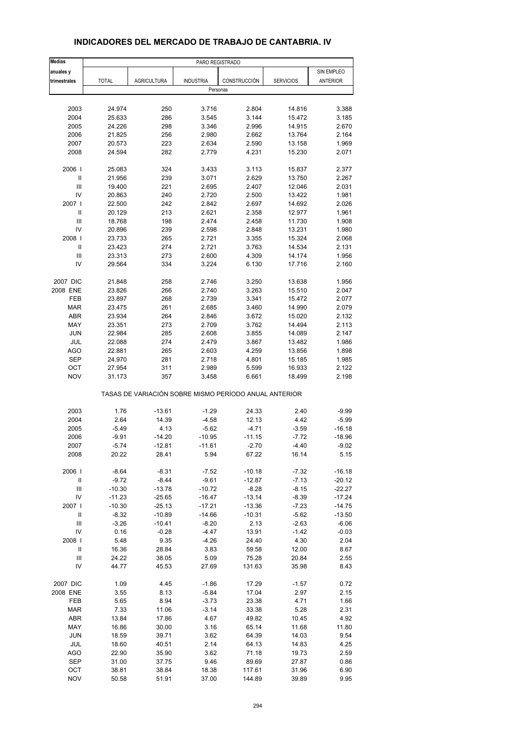| <b>Medias</b>                      |                |                                                       | PARO REGISTRADO  |                  |                  |               |
|------------------------------------|----------------|-------------------------------------------------------|------------------|------------------|------------------|---------------|
| anuales y                          |                |                                                       |                  |                  |                  | SIN EMPLEO    |
| trimestrales                       | <b>TOTAL</b>   | <b>AGRICULTURA</b>                                    | <b>INDUSTRIA</b> | CONSTRUCCIÓN     | <b>SERVICIOS</b> | ANTERIOR      |
|                                    |                |                                                       | Personas         |                  |                  |               |
|                                    |                |                                                       |                  |                  |                  |               |
| 2003                               | 24.974         | 250                                                   | 3.716            | 2.804            | 14.816           | 3.388         |
| 2004                               | 25.633         | 286                                                   | 3.545            | 3.144            | 15.472           | 3.185         |
| 2005                               | 24.226         | 298                                                   | 3.346            | 2.996            | 14.915           | 2.670         |
| 2006                               | 21.825         | 256                                                   | 2.980            | 2.662            | 13.764           | 2.164         |
| 2007                               | 20.573         | 223                                                   | 2.634            | 2.590            | 13.158           | 1.969         |
| 2008                               | 24.594         | 282                                                   | 2.779            | 4.231            | 15.230           | 2.071         |
|                                    |                |                                                       |                  |                  |                  |               |
| 2006                               | 25.083         | 324                                                   | 3.433            | 3.113            | 15.837           | 2.377         |
| Ш                                  | 21.956         | 239                                                   | 3.071            | 2.629            | 13.750           | 2.267         |
| Ш                                  | 19.400         | 221                                                   | 2.695            | 2.407            | 12.046           | 2.031         |
| IV                                 | 20.863         | 240                                                   | 2.720            | 2.500            | 13.422           | 1.981         |
| 2007                               | 22.500         | 242                                                   | 2.842            | 2.697            | 14.692           | 2.026         |
| Ш                                  | 20.129         | 213                                                   | 2.621            | 2.358            | 12.977           | 1.961         |
| Ш                                  | 18.768         | 198                                                   | 2.474            | 2.458            | 11.730           | 1.908         |
| IV                                 | 20.896         | 239                                                   | 2.598            | 2.848            | 13.231           | 1.980         |
| 2008                               | 23.733         | 265                                                   | 2.721            | 3.355            | 15.324           | 2.068         |
| Ш                                  | 23.423         | 274                                                   | 2.721            | 3.763            | 14.534           | 2.131         |
| Ш                                  | 23.313         | 273                                                   | 2.600            | 4.309            | 14.174           | 1.956         |
| IV                                 | 29.564         | 334                                                   | 3.224            | 6.130            | 17.716           | 2.160         |
|                                    |                |                                                       |                  |                  |                  |               |
| 2007 DIC                           | 21.848         | 258                                                   | 2.746            | 3.250            | 13.638           | 1.956         |
| 2008 ENE                           | 23.826         | 266                                                   | 2.740            | 3.263            | 15.510           | 2.047         |
| FEB                                | 23.897         | 268                                                   | 2.739            | 3.341            | 15.472           | 2.077         |
| <b>MAR</b>                         | 23.475         | 261                                                   | 2.685            | 3.460            | 14.990           | 2.079         |
| <b>ABR</b>                         | 23.934         | 264                                                   | 2.846            | 3.672            | 15.020           | 2.132         |
| MAY                                | 23.351         | 273                                                   | 2.709            | 3.762            | 14.494           | 2.113         |
| <b>JUN</b>                         | 22.984         | 285                                                   | 2.608            | 3.855            | 14.089           | 2.147         |
| JUL                                | 22.088         | 274                                                   | 2.479            | 3.867            | 13.482           | 1.986         |
| <b>AGO</b>                         | 22.881         | 265                                                   | 2.603            | 4.259            | 13.856           | 1.898         |
| <b>SEP</b>                         | 24.970         | 281                                                   | 2.718            | 4.801            | 15.185           | 1.985         |
| OCT                                | 27.954         | 311                                                   | 2.989            | 5.599            | 16.933           | 2.122         |
| <b>NOV</b>                         | 31.173         | 357                                                   | 3.458            | 6.661            | 18.499           | 2.198         |
|                                    |                | TASAS DE VARIACIÓN SOBRE MISMO PERÍODO ANUAL ANTERIOR |                  |                  |                  |               |
| 2003                               | 1.76           | $-13.61$                                              | $-1.29$          | 24.33            | 2.40             | $-9.99$       |
| 2004                               | 2.64           | 14.39                                                 | $-4.58$          | 12.13            | 4.42             | $-5.99$       |
| 2005                               | -5.49          | 4.13                                                  | $-5.62$          | $-4.71$          | -3.59            | $-16.18$      |
| 2006                               | $-9.91$        | $-14.20$                                              | $-10.95$         | $-11.15$         | $-7.72$          | $-18.96$      |
|                                    |                |                                                       | $-11.61$         |                  |                  |               |
| 2007<br>2008                       | -5.74<br>20.22 | -12.81<br>28.41                                       | 5.94             | $-2.70$<br>67.22 | -4.40<br>16.14   | -9.02<br>5.15 |
|                                    |                |                                                       |                  |                  |                  |               |
| 2006                               | $-8.64$        | $-8.31$                                               | $-7.52$          | $-10.18$         | $-7.32$          | -16.18        |
| $\ensuremath{\mathsf{II}}$         | $-9.72$        | $-8.44$                                               | $-9.61$          | $-12.87$         | $-7.13$          | $-20.12$      |
| $\ensuremath{\mathsf{III}}\xspace$ | $-10.30$       | $-13.78$                                              | $-10.72$         | $-8.28$          | $-8.15$          | $-22.27$      |
| IV                                 | $-11.23$       | $-25.65$                                              | $-16.47$         | $-13.14$         | $-8.39$          | $-17.24$      |
| 2007                               | $-10.30$       | $-25.13$                                              | $-17.21$         | $-13.36$         | $-7.23$          | $-14.75$      |
| $\ensuremath{\mathsf{II}}$         | -8.32          | $-10.89$                                              | $-14.66$         | $-10.31$         | -5.62            | $-13.50$      |
| Ш                                  | $-3.26$        | $-10.41$                                              | $-8.20$          | 2.13             | $-2.63$          | $-6.06$       |
| IV                                 | 0.16           | $-0.28$                                               | $-4.47$          | 13.91            | $-1.42$          | $-0.03$       |
| 2008                               | 5.48           | 9.35                                                  | $-4.26$          | 24.40            | 4.30             | 2.04          |
| Ш                                  | 16.36          | 28.84                                                 | 3.83             | 59.58            | 12.00            | 8.67          |
| $\ensuremath{\mathsf{III}}\xspace$ | 24.22          | 38.05                                                 | 5.09             | 75.28            | 20.84            | 2.55          |
| IV                                 | 44.77          | 45.53                                                 | 27.69            | 131.63           | 35.98            | 8.43          |
| 2007 DIC                           | 1.09           | 4.45                                                  | -1.86            | 17.29            | -1.57            | 0.72          |
| 2008 ENE                           | 3.55           | 8.13                                                  | $-5.84$          | 17.04            | 2.97             | 2.15          |
| FEB                                | 5.65           | 8.94                                                  | $-3.73$          | 23.38            | 4.71             | 1.66          |
| <b>MAR</b>                         | 7.33           | 11.06                                                 | $-3.14$          | 33.38            | 5.28             | 2.31          |
| <b>ABR</b>                         | 13.84          | 17.86                                                 | 4.67             | 49.82            | 10.45            | 4.92          |
| MAY                                | 16.86          | 30.00                                                 | 3.16             | 65.14            | 11.68            | 11.80         |
| <b>JUN</b>                         | 18.59          | 39.71                                                 | 3.62             | 64.39            | 14.03            | 9.54          |
| JUL                                | 18.60          | 40.51                                                 | 2.14             | 64.13            | 14.83            | 4.25          |
| AGO                                | 22.90          | 35.90                                                 | 3.62             | 71.18            | 19.73            | 2.59          |
| <b>SEP</b>                         | 31.00          | 37.75                                                 | 9.46             | 89.69            | 27.87            | 0.86          |
| OCT                                | 38.81          | 38.84                                                 | 18.38            | 117.61           | 31.96            | 6.90          |
| <b>NOV</b>                         | 50.58          | 51.91                                                 | 37.00            | 144.89           | 39.89            | 9.95          |

## **INDICADORES DEL MERCADO DE TRABAJO DE CANTABRIA. IV**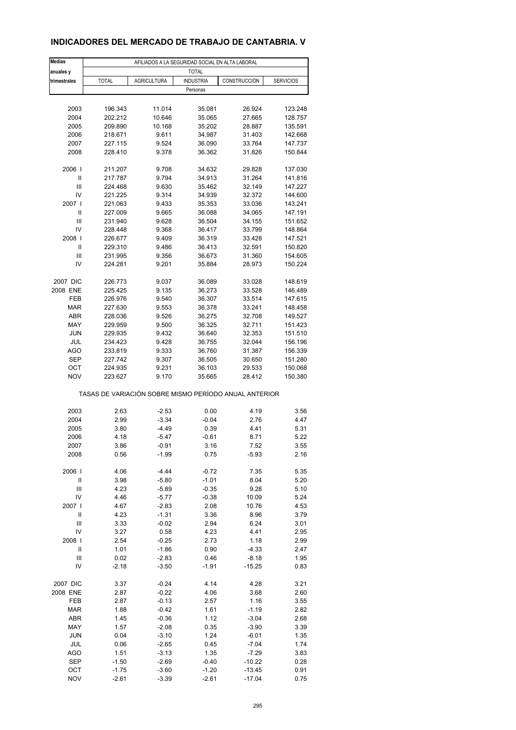## **INDICADORES DEL MERCADO DE TRABAJO DE CANTABRIA. V**

| <b>TOTAL</b><br>anuales y<br><b>AGRICULTURA</b><br>CONSTRUCCIÓN<br>trimestrales<br><b>TOTAL</b><br><b>INDUSTRIA</b><br><b>SERVICIOS</b><br>Personas<br>2003<br>196.343<br>11.014<br>35.081<br>26.924<br>123.248<br>2004<br>202.212<br>10.646<br>35.065<br>27.665<br>128.757<br>2005<br>209.890<br>10.168<br>35.202<br>28.887<br>135.591<br>2006<br>218.671<br>9.611<br>34.987<br>31.403<br>142.668<br>2007<br>227.115<br>9.524<br>36.090<br>33.764<br>147.737<br>2008<br>228.410<br>9.378<br>36.362<br>31.826<br>150.844<br>2006  <br>211.207<br>9.708<br>34.632<br>29.828<br>137.030<br>Ш<br>217.787<br>9.794<br>34.913<br>31.264<br>141.816<br>Ш<br>147.227<br>224.468<br>9.630<br>35.462<br>32.149<br>IV<br>144.600<br>221.225<br>9.314<br>34.939<br>32.372<br>2007 l<br>221.063<br>9.433<br>35.353<br>33.036<br>143.241<br>Ш<br>227.009<br>147.191<br>9.665<br>36.088<br>34.065<br>Ш<br>231.940<br>34.155<br>9.628<br>36.504<br>151.652<br>IV<br>228.448<br>9.368<br>36.417<br>33.799<br>148.864<br>2008  <br>9.409<br>147.521<br>226.677<br>36.319<br>33.428<br>Ш<br>229.310<br>9.486<br>36.413<br>32.591<br>150.820<br>Ш<br>231.995<br>9.356<br>36.673<br>31.360<br>154.605<br>IV<br>224.281<br>9.201<br>35.884<br>28.973<br>150.224<br>2007 DIC<br>226.773<br>9.037<br>36.089<br>33.028<br>148.619<br>2008 ENE<br>225.425<br>9.135<br>36.273<br>33.528<br>146.489<br>FEB<br>226.976<br>9.540<br>36.307<br>33.514<br>147.615<br><b>MAR</b><br>227.630<br>9.553<br>36.378<br>33.241<br>148.458<br>ABR<br>228.036<br>9.526<br>36.275<br>32.708<br>149.527<br>MAY<br>229.959<br>9.500<br>36.325<br>32.711<br>151.423<br><b>JUN</b><br>151.510<br>229.935<br>9.432<br>36.640<br>32.353<br>JUL<br>234.423<br>9.428<br>36.755<br>32.044<br>156.196<br>AGO<br>233.819<br>9.333<br>36.760<br>31.387<br>156.339<br><b>SEP</b><br>9.307<br>151.280<br>227.742<br>36.505<br>30.650<br>ОСТ<br>224.935<br>9.231<br>36.103<br>29.533<br>150.068<br><b>NOV</b><br>223.627<br>9.170<br>35.665<br>28.412<br>150.380<br>TASAS DE VARIACIÓN SOBRE MISMO PERÍODO ANUAL ANTERIOR<br>2003<br>2.63<br>$-2.53$<br>0.00<br>4.19<br>3.56<br>2004<br>2.99<br>$-3.34$<br>$-0.04$<br>2.76<br>4.47<br>2005<br>3.80<br>0.39<br>4.41<br>5.31<br>-4.49<br>2006<br>4.18<br>$-5.47$<br>$-0.61$<br>8.71<br>5.22<br>2007<br>3.86<br>-0.91<br>3.16<br>7.52<br>3.55<br>2008<br>0.56<br>$-1.99$<br>0.75<br>$-5.93$<br>2.16<br>2006  <br>4.06<br>7.35<br>5.35<br>$-4.44$<br>$-0.72$<br>Ш<br>3.98<br>$-5.80$<br>$-1.01$<br>8.04<br>5.20<br>$\mathbf{III}$<br>4.23<br>$-0.35$<br>9.28<br>5.10<br>$-5.89$<br>IV<br>4.46<br>$-0.38$<br>10.09<br>5.24<br>$-5.77$<br>2007  <br>4.67<br>2.08<br>10.76<br>$-2.83$<br>4.53<br>$\mathsf{II}$<br>$-1.31$<br>3.36<br>8.96<br>4.23<br>3.79<br>Ш<br>3.33<br>2.94<br>6.24<br>3.01<br>$-0.02$<br>IV<br>3.27<br>0.58<br>4.23<br>4.41<br>2.95<br>2008  <br>2.54<br>$-0.25$<br>2.73<br>1.18<br>2.99<br>Ш<br>1.01<br>0.90<br>$-4.33$<br>2.47<br>$-1.86$<br>Ш<br>0.02<br>0.46<br>$-2.83$<br>$-8.18$<br>1.95<br>IV<br>$-1.91$<br>$-15.25$<br>-2.18<br>$-3.50$<br>0.83<br>2007 DIC<br>3.21<br>3.37<br>$-0.24$<br>4.14<br>4.28<br>2008 ENE<br>2.87<br>$-0.22$<br>4.06<br>3.68<br>2.60<br>FEB<br>2.87<br>$-0.13$<br>2.57<br>1.16<br>3.55<br><b>MAR</b><br>1.61<br>2.82<br>1.88<br>$-0.42$<br>$-1.19$<br>ABR<br>1.45<br>$-0.36$<br>1.12<br>$-3.04$<br>2.68<br>MAY<br>1.57<br>$-2.08$<br>0.35<br>$-3.90$<br>3.39<br><b>JUN</b><br>0.04<br>$-3.10$<br>1.24<br>$-6.01$<br>1.35<br>JUL<br>0.06<br>0.45<br>$-7.04$<br>1.74<br>$-2.65$<br>AGO<br>1.51<br>1.35<br>$-7.29$<br>3.83<br>$-3.13$<br><b>SEP</b><br>0.28<br>$-1.50$<br>$-2.69$<br>-0.40<br>$-10.22$<br>OCT<br>$-1.75$<br>$-1.20$<br>$-13.45$<br>0.91<br>$-3.60$ | <b>Medias</b> | AFILIADOS A LA SEGURIDAD SOCIAL EN ALTA LABORAL |         |         |          |      |  |  |
|-------------------------------------------------------------------------------------------------------------------------------------------------------------------------------------------------------------------------------------------------------------------------------------------------------------------------------------------------------------------------------------------------------------------------------------------------------------------------------------------------------------------------------------------------------------------------------------------------------------------------------------------------------------------------------------------------------------------------------------------------------------------------------------------------------------------------------------------------------------------------------------------------------------------------------------------------------------------------------------------------------------------------------------------------------------------------------------------------------------------------------------------------------------------------------------------------------------------------------------------------------------------------------------------------------------------------------------------------------------------------------------------------------------------------------------------------------------------------------------------------------------------------------------------------------------------------------------------------------------------------------------------------------------------------------------------------------------------------------------------------------------------------------------------------------------------------------------------------------------------------------------------------------------------------------------------------------------------------------------------------------------------------------------------------------------------------------------------------------------------------------------------------------------------------------------------------------------------------------------------------------------------------------------------------------------------------------------------------------------------------------------------------------------------------------------------------------------------------------------------------------------------------------------------------------------------------------------------------------------------------------------------------------------------------------------------------------------------------------------------------------------------------------------------------------------------------------------------------------------------------------------------------------------------------------------------------------------------------------------------------------------------------------------------------------------------------------------------------------------------------------------------------------------------------------------------------------------------------------------------------------------------------------------------------------------------------------------------------------------------------------------------------------------------------------------------------------------------------------------------------------------------------------------------------------------------------------------------------------------------------------------------------------------------------------------------------------|---------------|-------------------------------------------------|---------|---------|----------|------|--|--|
|                                                                                                                                                                                                                                                                                                                                                                                                                                                                                                                                                                                                                                                                                                                                                                                                                                                                                                                                                                                                                                                                                                                                                                                                                                                                                                                                                                                                                                                                                                                                                                                                                                                                                                                                                                                                                                                                                                                                                                                                                                                                                                                                                                                                                                                                                                                                                                                                                                                                                                                                                                                                                                                                                                                                                                                                                                                                                                                                                                                                                                                                                                                                                                                                                                                                                                                                                                                                                                                                                                                                                                                                                                                                                                       |               |                                                 |         |         |          |      |  |  |
|                                                                                                                                                                                                                                                                                                                                                                                                                                                                                                                                                                                                                                                                                                                                                                                                                                                                                                                                                                                                                                                                                                                                                                                                                                                                                                                                                                                                                                                                                                                                                                                                                                                                                                                                                                                                                                                                                                                                                                                                                                                                                                                                                                                                                                                                                                                                                                                                                                                                                                                                                                                                                                                                                                                                                                                                                                                                                                                                                                                                                                                                                                                                                                                                                                                                                                                                                                                                                                                                                                                                                                                                                                                                                                       |               |                                                 |         |         |          |      |  |  |
|                                                                                                                                                                                                                                                                                                                                                                                                                                                                                                                                                                                                                                                                                                                                                                                                                                                                                                                                                                                                                                                                                                                                                                                                                                                                                                                                                                                                                                                                                                                                                                                                                                                                                                                                                                                                                                                                                                                                                                                                                                                                                                                                                                                                                                                                                                                                                                                                                                                                                                                                                                                                                                                                                                                                                                                                                                                                                                                                                                                                                                                                                                                                                                                                                                                                                                                                                                                                                                                                                                                                                                                                                                                                                                       |               |                                                 |         |         |          |      |  |  |
|                                                                                                                                                                                                                                                                                                                                                                                                                                                                                                                                                                                                                                                                                                                                                                                                                                                                                                                                                                                                                                                                                                                                                                                                                                                                                                                                                                                                                                                                                                                                                                                                                                                                                                                                                                                                                                                                                                                                                                                                                                                                                                                                                                                                                                                                                                                                                                                                                                                                                                                                                                                                                                                                                                                                                                                                                                                                                                                                                                                                                                                                                                                                                                                                                                                                                                                                                                                                                                                                                                                                                                                                                                                                                                       |               |                                                 |         |         |          |      |  |  |
|                                                                                                                                                                                                                                                                                                                                                                                                                                                                                                                                                                                                                                                                                                                                                                                                                                                                                                                                                                                                                                                                                                                                                                                                                                                                                                                                                                                                                                                                                                                                                                                                                                                                                                                                                                                                                                                                                                                                                                                                                                                                                                                                                                                                                                                                                                                                                                                                                                                                                                                                                                                                                                                                                                                                                                                                                                                                                                                                                                                                                                                                                                                                                                                                                                                                                                                                                                                                                                                                                                                                                                                                                                                                                                       |               |                                                 |         |         |          |      |  |  |
|                                                                                                                                                                                                                                                                                                                                                                                                                                                                                                                                                                                                                                                                                                                                                                                                                                                                                                                                                                                                                                                                                                                                                                                                                                                                                                                                                                                                                                                                                                                                                                                                                                                                                                                                                                                                                                                                                                                                                                                                                                                                                                                                                                                                                                                                                                                                                                                                                                                                                                                                                                                                                                                                                                                                                                                                                                                                                                                                                                                                                                                                                                                                                                                                                                                                                                                                                                                                                                                                                                                                                                                                                                                                                                       |               |                                                 |         |         |          |      |  |  |
|                                                                                                                                                                                                                                                                                                                                                                                                                                                                                                                                                                                                                                                                                                                                                                                                                                                                                                                                                                                                                                                                                                                                                                                                                                                                                                                                                                                                                                                                                                                                                                                                                                                                                                                                                                                                                                                                                                                                                                                                                                                                                                                                                                                                                                                                                                                                                                                                                                                                                                                                                                                                                                                                                                                                                                                                                                                                                                                                                                                                                                                                                                                                                                                                                                                                                                                                                                                                                                                                                                                                                                                                                                                                                                       |               |                                                 |         |         |          |      |  |  |
|                                                                                                                                                                                                                                                                                                                                                                                                                                                                                                                                                                                                                                                                                                                                                                                                                                                                                                                                                                                                                                                                                                                                                                                                                                                                                                                                                                                                                                                                                                                                                                                                                                                                                                                                                                                                                                                                                                                                                                                                                                                                                                                                                                                                                                                                                                                                                                                                                                                                                                                                                                                                                                                                                                                                                                                                                                                                                                                                                                                                                                                                                                                                                                                                                                                                                                                                                                                                                                                                                                                                                                                                                                                                                                       |               |                                                 |         |         |          |      |  |  |
|                                                                                                                                                                                                                                                                                                                                                                                                                                                                                                                                                                                                                                                                                                                                                                                                                                                                                                                                                                                                                                                                                                                                                                                                                                                                                                                                                                                                                                                                                                                                                                                                                                                                                                                                                                                                                                                                                                                                                                                                                                                                                                                                                                                                                                                                                                                                                                                                                                                                                                                                                                                                                                                                                                                                                                                                                                                                                                                                                                                                                                                                                                                                                                                                                                                                                                                                                                                                                                                                                                                                                                                                                                                                                                       |               |                                                 |         |         |          |      |  |  |
|                                                                                                                                                                                                                                                                                                                                                                                                                                                                                                                                                                                                                                                                                                                                                                                                                                                                                                                                                                                                                                                                                                                                                                                                                                                                                                                                                                                                                                                                                                                                                                                                                                                                                                                                                                                                                                                                                                                                                                                                                                                                                                                                                                                                                                                                                                                                                                                                                                                                                                                                                                                                                                                                                                                                                                                                                                                                                                                                                                                                                                                                                                                                                                                                                                                                                                                                                                                                                                                                                                                                                                                                                                                                                                       |               |                                                 |         |         |          |      |  |  |
|                                                                                                                                                                                                                                                                                                                                                                                                                                                                                                                                                                                                                                                                                                                                                                                                                                                                                                                                                                                                                                                                                                                                                                                                                                                                                                                                                                                                                                                                                                                                                                                                                                                                                                                                                                                                                                                                                                                                                                                                                                                                                                                                                                                                                                                                                                                                                                                                                                                                                                                                                                                                                                                                                                                                                                                                                                                                                                                                                                                                                                                                                                                                                                                                                                                                                                                                                                                                                                                                                                                                                                                                                                                                                                       |               |                                                 |         |         |          |      |  |  |
|                                                                                                                                                                                                                                                                                                                                                                                                                                                                                                                                                                                                                                                                                                                                                                                                                                                                                                                                                                                                                                                                                                                                                                                                                                                                                                                                                                                                                                                                                                                                                                                                                                                                                                                                                                                                                                                                                                                                                                                                                                                                                                                                                                                                                                                                                                                                                                                                                                                                                                                                                                                                                                                                                                                                                                                                                                                                                                                                                                                                                                                                                                                                                                                                                                                                                                                                                                                                                                                                                                                                                                                                                                                                                                       |               |                                                 |         |         |          |      |  |  |
|                                                                                                                                                                                                                                                                                                                                                                                                                                                                                                                                                                                                                                                                                                                                                                                                                                                                                                                                                                                                                                                                                                                                                                                                                                                                                                                                                                                                                                                                                                                                                                                                                                                                                                                                                                                                                                                                                                                                                                                                                                                                                                                                                                                                                                                                                                                                                                                                                                                                                                                                                                                                                                                                                                                                                                                                                                                                                                                                                                                                                                                                                                                                                                                                                                                                                                                                                                                                                                                                                                                                                                                                                                                                                                       |               |                                                 |         |         |          |      |  |  |
|                                                                                                                                                                                                                                                                                                                                                                                                                                                                                                                                                                                                                                                                                                                                                                                                                                                                                                                                                                                                                                                                                                                                                                                                                                                                                                                                                                                                                                                                                                                                                                                                                                                                                                                                                                                                                                                                                                                                                                                                                                                                                                                                                                                                                                                                                                                                                                                                                                                                                                                                                                                                                                                                                                                                                                                                                                                                                                                                                                                                                                                                                                                                                                                                                                                                                                                                                                                                                                                                                                                                                                                                                                                                                                       |               |                                                 |         |         |          |      |  |  |
|                                                                                                                                                                                                                                                                                                                                                                                                                                                                                                                                                                                                                                                                                                                                                                                                                                                                                                                                                                                                                                                                                                                                                                                                                                                                                                                                                                                                                                                                                                                                                                                                                                                                                                                                                                                                                                                                                                                                                                                                                                                                                                                                                                                                                                                                                                                                                                                                                                                                                                                                                                                                                                                                                                                                                                                                                                                                                                                                                                                                                                                                                                                                                                                                                                                                                                                                                                                                                                                                                                                                                                                                                                                                                                       |               |                                                 |         |         |          |      |  |  |
|                                                                                                                                                                                                                                                                                                                                                                                                                                                                                                                                                                                                                                                                                                                                                                                                                                                                                                                                                                                                                                                                                                                                                                                                                                                                                                                                                                                                                                                                                                                                                                                                                                                                                                                                                                                                                                                                                                                                                                                                                                                                                                                                                                                                                                                                                                                                                                                                                                                                                                                                                                                                                                                                                                                                                                                                                                                                                                                                                                                                                                                                                                                                                                                                                                                                                                                                                                                                                                                                                                                                                                                                                                                                                                       |               |                                                 |         |         |          |      |  |  |
|                                                                                                                                                                                                                                                                                                                                                                                                                                                                                                                                                                                                                                                                                                                                                                                                                                                                                                                                                                                                                                                                                                                                                                                                                                                                                                                                                                                                                                                                                                                                                                                                                                                                                                                                                                                                                                                                                                                                                                                                                                                                                                                                                                                                                                                                                                                                                                                                                                                                                                                                                                                                                                                                                                                                                                                                                                                                                                                                                                                                                                                                                                                                                                                                                                                                                                                                                                                                                                                                                                                                                                                                                                                                                                       |               |                                                 |         |         |          |      |  |  |
|                                                                                                                                                                                                                                                                                                                                                                                                                                                                                                                                                                                                                                                                                                                                                                                                                                                                                                                                                                                                                                                                                                                                                                                                                                                                                                                                                                                                                                                                                                                                                                                                                                                                                                                                                                                                                                                                                                                                                                                                                                                                                                                                                                                                                                                                                                                                                                                                                                                                                                                                                                                                                                                                                                                                                                                                                                                                                                                                                                                                                                                                                                                                                                                                                                                                                                                                                                                                                                                                                                                                                                                                                                                                                                       |               |                                                 |         |         |          |      |  |  |
|                                                                                                                                                                                                                                                                                                                                                                                                                                                                                                                                                                                                                                                                                                                                                                                                                                                                                                                                                                                                                                                                                                                                                                                                                                                                                                                                                                                                                                                                                                                                                                                                                                                                                                                                                                                                                                                                                                                                                                                                                                                                                                                                                                                                                                                                                                                                                                                                                                                                                                                                                                                                                                                                                                                                                                                                                                                                                                                                                                                                                                                                                                                                                                                                                                                                                                                                                                                                                                                                                                                                                                                                                                                                                                       |               |                                                 |         |         |          |      |  |  |
|                                                                                                                                                                                                                                                                                                                                                                                                                                                                                                                                                                                                                                                                                                                                                                                                                                                                                                                                                                                                                                                                                                                                                                                                                                                                                                                                                                                                                                                                                                                                                                                                                                                                                                                                                                                                                                                                                                                                                                                                                                                                                                                                                                                                                                                                                                                                                                                                                                                                                                                                                                                                                                                                                                                                                                                                                                                                                                                                                                                                                                                                                                                                                                                                                                                                                                                                                                                                                                                                                                                                                                                                                                                                                                       |               |                                                 |         |         |          |      |  |  |
|                                                                                                                                                                                                                                                                                                                                                                                                                                                                                                                                                                                                                                                                                                                                                                                                                                                                                                                                                                                                                                                                                                                                                                                                                                                                                                                                                                                                                                                                                                                                                                                                                                                                                                                                                                                                                                                                                                                                                                                                                                                                                                                                                                                                                                                                                                                                                                                                                                                                                                                                                                                                                                                                                                                                                                                                                                                                                                                                                                                                                                                                                                                                                                                                                                                                                                                                                                                                                                                                                                                                                                                                                                                                                                       |               |                                                 |         |         |          |      |  |  |
|                                                                                                                                                                                                                                                                                                                                                                                                                                                                                                                                                                                                                                                                                                                                                                                                                                                                                                                                                                                                                                                                                                                                                                                                                                                                                                                                                                                                                                                                                                                                                                                                                                                                                                                                                                                                                                                                                                                                                                                                                                                                                                                                                                                                                                                                                                                                                                                                                                                                                                                                                                                                                                                                                                                                                                                                                                                                                                                                                                                                                                                                                                                                                                                                                                                                                                                                                                                                                                                                                                                                                                                                                                                                                                       |               |                                                 |         |         |          |      |  |  |
|                                                                                                                                                                                                                                                                                                                                                                                                                                                                                                                                                                                                                                                                                                                                                                                                                                                                                                                                                                                                                                                                                                                                                                                                                                                                                                                                                                                                                                                                                                                                                                                                                                                                                                                                                                                                                                                                                                                                                                                                                                                                                                                                                                                                                                                                                                                                                                                                                                                                                                                                                                                                                                                                                                                                                                                                                                                                                                                                                                                                                                                                                                                                                                                                                                                                                                                                                                                                                                                                                                                                                                                                                                                                                                       |               |                                                 |         |         |          |      |  |  |
|                                                                                                                                                                                                                                                                                                                                                                                                                                                                                                                                                                                                                                                                                                                                                                                                                                                                                                                                                                                                                                                                                                                                                                                                                                                                                                                                                                                                                                                                                                                                                                                                                                                                                                                                                                                                                                                                                                                                                                                                                                                                                                                                                                                                                                                                                                                                                                                                                                                                                                                                                                                                                                                                                                                                                                                                                                                                                                                                                                                                                                                                                                                                                                                                                                                                                                                                                                                                                                                                                                                                                                                                                                                                                                       |               |                                                 |         |         |          |      |  |  |
|                                                                                                                                                                                                                                                                                                                                                                                                                                                                                                                                                                                                                                                                                                                                                                                                                                                                                                                                                                                                                                                                                                                                                                                                                                                                                                                                                                                                                                                                                                                                                                                                                                                                                                                                                                                                                                                                                                                                                                                                                                                                                                                                                                                                                                                                                                                                                                                                                                                                                                                                                                                                                                                                                                                                                                                                                                                                                                                                                                                                                                                                                                                                                                                                                                                                                                                                                                                                                                                                                                                                                                                                                                                                                                       |               |                                                 |         |         |          |      |  |  |
|                                                                                                                                                                                                                                                                                                                                                                                                                                                                                                                                                                                                                                                                                                                                                                                                                                                                                                                                                                                                                                                                                                                                                                                                                                                                                                                                                                                                                                                                                                                                                                                                                                                                                                                                                                                                                                                                                                                                                                                                                                                                                                                                                                                                                                                                                                                                                                                                                                                                                                                                                                                                                                                                                                                                                                                                                                                                                                                                                                                                                                                                                                                                                                                                                                                                                                                                                                                                                                                                                                                                                                                                                                                                                                       |               |                                                 |         |         |          |      |  |  |
|                                                                                                                                                                                                                                                                                                                                                                                                                                                                                                                                                                                                                                                                                                                                                                                                                                                                                                                                                                                                                                                                                                                                                                                                                                                                                                                                                                                                                                                                                                                                                                                                                                                                                                                                                                                                                                                                                                                                                                                                                                                                                                                                                                                                                                                                                                                                                                                                                                                                                                                                                                                                                                                                                                                                                                                                                                                                                                                                                                                                                                                                                                                                                                                                                                                                                                                                                                                                                                                                                                                                                                                                                                                                                                       |               |                                                 |         |         |          |      |  |  |
|                                                                                                                                                                                                                                                                                                                                                                                                                                                                                                                                                                                                                                                                                                                                                                                                                                                                                                                                                                                                                                                                                                                                                                                                                                                                                                                                                                                                                                                                                                                                                                                                                                                                                                                                                                                                                                                                                                                                                                                                                                                                                                                                                                                                                                                                                                                                                                                                                                                                                                                                                                                                                                                                                                                                                                                                                                                                                                                                                                                                                                                                                                                                                                                                                                                                                                                                                                                                                                                                                                                                                                                                                                                                                                       |               |                                                 |         |         |          |      |  |  |
|                                                                                                                                                                                                                                                                                                                                                                                                                                                                                                                                                                                                                                                                                                                                                                                                                                                                                                                                                                                                                                                                                                                                                                                                                                                                                                                                                                                                                                                                                                                                                                                                                                                                                                                                                                                                                                                                                                                                                                                                                                                                                                                                                                                                                                                                                                                                                                                                                                                                                                                                                                                                                                                                                                                                                                                                                                                                                                                                                                                                                                                                                                                                                                                                                                                                                                                                                                                                                                                                                                                                                                                                                                                                                                       |               |                                                 |         |         |          |      |  |  |
|                                                                                                                                                                                                                                                                                                                                                                                                                                                                                                                                                                                                                                                                                                                                                                                                                                                                                                                                                                                                                                                                                                                                                                                                                                                                                                                                                                                                                                                                                                                                                                                                                                                                                                                                                                                                                                                                                                                                                                                                                                                                                                                                                                                                                                                                                                                                                                                                                                                                                                                                                                                                                                                                                                                                                                                                                                                                                                                                                                                                                                                                                                                                                                                                                                                                                                                                                                                                                                                                                                                                                                                                                                                                                                       |               |                                                 |         |         |          |      |  |  |
|                                                                                                                                                                                                                                                                                                                                                                                                                                                                                                                                                                                                                                                                                                                                                                                                                                                                                                                                                                                                                                                                                                                                                                                                                                                                                                                                                                                                                                                                                                                                                                                                                                                                                                                                                                                                                                                                                                                                                                                                                                                                                                                                                                                                                                                                                                                                                                                                                                                                                                                                                                                                                                                                                                                                                                                                                                                                                                                                                                                                                                                                                                                                                                                                                                                                                                                                                                                                                                                                                                                                                                                                                                                                                                       |               |                                                 |         |         |          |      |  |  |
|                                                                                                                                                                                                                                                                                                                                                                                                                                                                                                                                                                                                                                                                                                                                                                                                                                                                                                                                                                                                                                                                                                                                                                                                                                                                                                                                                                                                                                                                                                                                                                                                                                                                                                                                                                                                                                                                                                                                                                                                                                                                                                                                                                                                                                                                                                                                                                                                                                                                                                                                                                                                                                                                                                                                                                                                                                                                                                                                                                                                                                                                                                                                                                                                                                                                                                                                                                                                                                                                                                                                                                                                                                                                                                       |               |                                                 |         |         |          |      |  |  |
|                                                                                                                                                                                                                                                                                                                                                                                                                                                                                                                                                                                                                                                                                                                                                                                                                                                                                                                                                                                                                                                                                                                                                                                                                                                                                                                                                                                                                                                                                                                                                                                                                                                                                                                                                                                                                                                                                                                                                                                                                                                                                                                                                                                                                                                                                                                                                                                                                                                                                                                                                                                                                                                                                                                                                                                                                                                                                                                                                                                                                                                                                                                                                                                                                                                                                                                                                                                                                                                                                                                                                                                                                                                                                                       |               |                                                 |         |         |          |      |  |  |
|                                                                                                                                                                                                                                                                                                                                                                                                                                                                                                                                                                                                                                                                                                                                                                                                                                                                                                                                                                                                                                                                                                                                                                                                                                                                                                                                                                                                                                                                                                                                                                                                                                                                                                                                                                                                                                                                                                                                                                                                                                                                                                                                                                                                                                                                                                                                                                                                                                                                                                                                                                                                                                                                                                                                                                                                                                                                                                                                                                                                                                                                                                                                                                                                                                                                                                                                                                                                                                                                                                                                                                                                                                                                                                       |               |                                                 |         |         |          |      |  |  |
|                                                                                                                                                                                                                                                                                                                                                                                                                                                                                                                                                                                                                                                                                                                                                                                                                                                                                                                                                                                                                                                                                                                                                                                                                                                                                                                                                                                                                                                                                                                                                                                                                                                                                                                                                                                                                                                                                                                                                                                                                                                                                                                                                                                                                                                                                                                                                                                                                                                                                                                                                                                                                                                                                                                                                                                                                                                                                                                                                                                                                                                                                                                                                                                                                                                                                                                                                                                                                                                                                                                                                                                                                                                                                                       |               |                                                 |         |         |          |      |  |  |
|                                                                                                                                                                                                                                                                                                                                                                                                                                                                                                                                                                                                                                                                                                                                                                                                                                                                                                                                                                                                                                                                                                                                                                                                                                                                                                                                                                                                                                                                                                                                                                                                                                                                                                                                                                                                                                                                                                                                                                                                                                                                                                                                                                                                                                                                                                                                                                                                                                                                                                                                                                                                                                                                                                                                                                                                                                                                                                                                                                                                                                                                                                                                                                                                                                                                                                                                                                                                                                                                                                                                                                                                                                                                                                       |               |                                                 |         |         |          |      |  |  |
|                                                                                                                                                                                                                                                                                                                                                                                                                                                                                                                                                                                                                                                                                                                                                                                                                                                                                                                                                                                                                                                                                                                                                                                                                                                                                                                                                                                                                                                                                                                                                                                                                                                                                                                                                                                                                                                                                                                                                                                                                                                                                                                                                                                                                                                                                                                                                                                                                                                                                                                                                                                                                                                                                                                                                                                                                                                                                                                                                                                                                                                                                                                                                                                                                                                                                                                                                                                                                                                                                                                                                                                                                                                                                                       |               |                                                 |         |         |          |      |  |  |
|                                                                                                                                                                                                                                                                                                                                                                                                                                                                                                                                                                                                                                                                                                                                                                                                                                                                                                                                                                                                                                                                                                                                                                                                                                                                                                                                                                                                                                                                                                                                                                                                                                                                                                                                                                                                                                                                                                                                                                                                                                                                                                                                                                                                                                                                                                                                                                                                                                                                                                                                                                                                                                                                                                                                                                                                                                                                                                                                                                                                                                                                                                                                                                                                                                                                                                                                                                                                                                                                                                                                                                                                                                                                                                       |               |                                                 |         |         |          |      |  |  |
|                                                                                                                                                                                                                                                                                                                                                                                                                                                                                                                                                                                                                                                                                                                                                                                                                                                                                                                                                                                                                                                                                                                                                                                                                                                                                                                                                                                                                                                                                                                                                                                                                                                                                                                                                                                                                                                                                                                                                                                                                                                                                                                                                                                                                                                                                                                                                                                                                                                                                                                                                                                                                                                                                                                                                                                                                                                                                                                                                                                                                                                                                                                                                                                                                                                                                                                                                                                                                                                                                                                                                                                                                                                                                                       |               |                                                 |         |         |          |      |  |  |
|                                                                                                                                                                                                                                                                                                                                                                                                                                                                                                                                                                                                                                                                                                                                                                                                                                                                                                                                                                                                                                                                                                                                                                                                                                                                                                                                                                                                                                                                                                                                                                                                                                                                                                                                                                                                                                                                                                                                                                                                                                                                                                                                                                                                                                                                                                                                                                                                                                                                                                                                                                                                                                                                                                                                                                                                                                                                                                                                                                                                                                                                                                                                                                                                                                                                                                                                                                                                                                                                                                                                                                                                                                                                                                       |               |                                                 |         |         |          |      |  |  |
|                                                                                                                                                                                                                                                                                                                                                                                                                                                                                                                                                                                                                                                                                                                                                                                                                                                                                                                                                                                                                                                                                                                                                                                                                                                                                                                                                                                                                                                                                                                                                                                                                                                                                                                                                                                                                                                                                                                                                                                                                                                                                                                                                                                                                                                                                                                                                                                                                                                                                                                                                                                                                                                                                                                                                                                                                                                                                                                                                                                                                                                                                                                                                                                                                                                                                                                                                                                                                                                                                                                                                                                                                                                                                                       |               |                                                 |         |         |          |      |  |  |
|                                                                                                                                                                                                                                                                                                                                                                                                                                                                                                                                                                                                                                                                                                                                                                                                                                                                                                                                                                                                                                                                                                                                                                                                                                                                                                                                                                                                                                                                                                                                                                                                                                                                                                                                                                                                                                                                                                                                                                                                                                                                                                                                                                                                                                                                                                                                                                                                                                                                                                                                                                                                                                                                                                                                                                                                                                                                                                                                                                                                                                                                                                                                                                                                                                                                                                                                                                                                                                                                                                                                                                                                                                                                                                       |               |                                                 |         |         |          |      |  |  |
|                                                                                                                                                                                                                                                                                                                                                                                                                                                                                                                                                                                                                                                                                                                                                                                                                                                                                                                                                                                                                                                                                                                                                                                                                                                                                                                                                                                                                                                                                                                                                                                                                                                                                                                                                                                                                                                                                                                                                                                                                                                                                                                                                                                                                                                                                                                                                                                                                                                                                                                                                                                                                                                                                                                                                                                                                                                                                                                                                                                                                                                                                                                                                                                                                                                                                                                                                                                                                                                                                                                                                                                                                                                                                                       |               |                                                 |         |         |          |      |  |  |
|                                                                                                                                                                                                                                                                                                                                                                                                                                                                                                                                                                                                                                                                                                                                                                                                                                                                                                                                                                                                                                                                                                                                                                                                                                                                                                                                                                                                                                                                                                                                                                                                                                                                                                                                                                                                                                                                                                                                                                                                                                                                                                                                                                                                                                                                                                                                                                                                                                                                                                                                                                                                                                                                                                                                                                                                                                                                                                                                                                                                                                                                                                                                                                                                                                                                                                                                                                                                                                                                                                                                                                                                                                                                                                       |               |                                                 |         |         |          |      |  |  |
|                                                                                                                                                                                                                                                                                                                                                                                                                                                                                                                                                                                                                                                                                                                                                                                                                                                                                                                                                                                                                                                                                                                                                                                                                                                                                                                                                                                                                                                                                                                                                                                                                                                                                                                                                                                                                                                                                                                                                                                                                                                                                                                                                                                                                                                                                                                                                                                                                                                                                                                                                                                                                                                                                                                                                                                                                                                                                                                                                                                                                                                                                                                                                                                                                                                                                                                                                                                                                                                                                                                                                                                                                                                                                                       |               |                                                 |         |         |          |      |  |  |
|                                                                                                                                                                                                                                                                                                                                                                                                                                                                                                                                                                                                                                                                                                                                                                                                                                                                                                                                                                                                                                                                                                                                                                                                                                                                                                                                                                                                                                                                                                                                                                                                                                                                                                                                                                                                                                                                                                                                                                                                                                                                                                                                                                                                                                                                                                                                                                                                                                                                                                                                                                                                                                                                                                                                                                                                                                                                                                                                                                                                                                                                                                                                                                                                                                                                                                                                                                                                                                                                                                                                                                                                                                                                                                       |               |                                                 |         |         |          |      |  |  |
|                                                                                                                                                                                                                                                                                                                                                                                                                                                                                                                                                                                                                                                                                                                                                                                                                                                                                                                                                                                                                                                                                                                                                                                                                                                                                                                                                                                                                                                                                                                                                                                                                                                                                                                                                                                                                                                                                                                                                                                                                                                                                                                                                                                                                                                                                                                                                                                                                                                                                                                                                                                                                                                                                                                                                                                                                                                                                                                                                                                                                                                                                                                                                                                                                                                                                                                                                                                                                                                                                                                                                                                                                                                                                                       |               |                                                 |         |         |          |      |  |  |
|                                                                                                                                                                                                                                                                                                                                                                                                                                                                                                                                                                                                                                                                                                                                                                                                                                                                                                                                                                                                                                                                                                                                                                                                                                                                                                                                                                                                                                                                                                                                                                                                                                                                                                                                                                                                                                                                                                                                                                                                                                                                                                                                                                                                                                                                                                                                                                                                                                                                                                                                                                                                                                                                                                                                                                                                                                                                                                                                                                                                                                                                                                                                                                                                                                                                                                                                                                                                                                                                                                                                                                                                                                                                                                       |               |                                                 |         |         |          |      |  |  |
|                                                                                                                                                                                                                                                                                                                                                                                                                                                                                                                                                                                                                                                                                                                                                                                                                                                                                                                                                                                                                                                                                                                                                                                                                                                                                                                                                                                                                                                                                                                                                                                                                                                                                                                                                                                                                                                                                                                                                                                                                                                                                                                                                                                                                                                                                                                                                                                                                                                                                                                                                                                                                                                                                                                                                                                                                                                                                                                                                                                                                                                                                                                                                                                                                                                                                                                                                                                                                                                                                                                                                                                                                                                                                                       |               |                                                 |         |         |          |      |  |  |
|                                                                                                                                                                                                                                                                                                                                                                                                                                                                                                                                                                                                                                                                                                                                                                                                                                                                                                                                                                                                                                                                                                                                                                                                                                                                                                                                                                                                                                                                                                                                                                                                                                                                                                                                                                                                                                                                                                                                                                                                                                                                                                                                                                                                                                                                                                                                                                                                                                                                                                                                                                                                                                                                                                                                                                                                                                                                                                                                                                                                                                                                                                                                                                                                                                                                                                                                                                                                                                                                                                                                                                                                                                                                                                       |               |                                                 |         |         |          |      |  |  |
|                                                                                                                                                                                                                                                                                                                                                                                                                                                                                                                                                                                                                                                                                                                                                                                                                                                                                                                                                                                                                                                                                                                                                                                                                                                                                                                                                                                                                                                                                                                                                                                                                                                                                                                                                                                                                                                                                                                                                                                                                                                                                                                                                                                                                                                                                                                                                                                                                                                                                                                                                                                                                                                                                                                                                                                                                                                                                                                                                                                                                                                                                                                                                                                                                                                                                                                                                                                                                                                                                                                                                                                                                                                                                                       |               |                                                 |         |         |          |      |  |  |
|                                                                                                                                                                                                                                                                                                                                                                                                                                                                                                                                                                                                                                                                                                                                                                                                                                                                                                                                                                                                                                                                                                                                                                                                                                                                                                                                                                                                                                                                                                                                                                                                                                                                                                                                                                                                                                                                                                                                                                                                                                                                                                                                                                                                                                                                                                                                                                                                                                                                                                                                                                                                                                                                                                                                                                                                                                                                                                                                                                                                                                                                                                                                                                                                                                                                                                                                                                                                                                                                                                                                                                                                                                                                                                       |               |                                                 |         |         |          |      |  |  |
|                                                                                                                                                                                                                                                                                                                                                                                                                                                                                                                                                                                                                                                                                                                                                                                                                                                                                                                                                                                                                                                                                                                                                                                                                                                                                                                                                                                                                                                                                                                                                                                                                                                                                                                                                                                                                                                                                                                                                                                                                                                                                                                                                                                                                                                                                                                                                                                                                                                                                                                                                                                                                                                                                                                                                                                                                                                                                                                                                                                                                                                                                                                                                                                                                                                                                                                                                                                                                                                                                                                                                                                                                                                                                                       |               |                                                 |         |         |          |      |  |  |
|                                                                                                                                                                                                                                                                                                                                                                                                                                                                                                                                                                                                                                                                                                                                                                                                                                                                                                                                                                                                                                                                                                                                                                                                                                                                                                                                                                                                                                                                                                                                                                                                                                                                                                                                                                                                                                                                                                                                                                                                                                                                                                                                                                                                                                                                                                                                                                                                                                                                                                                                                                                                                                                                                                                                                                                                                                                                                                                                                                                                                                                                                                                                                                                                                                                                                                                                                                                                                                                                                                                                                                                                                                                                                                       |               |                                                 |         |         |          |      |  |  |
|                                                                                                                                                                                                                                                                                                                                                                                                                                                                                                                                                                                                                                                                                                                                                                                                                                                                                                                                                                                                                                                                                                                                                                                                                                                                                                                                                                                                                                                                                                                                                                                                                                                                                                                                                                                                                                                                                                                                                                                                                                                                                                                                                                                                                                                                                                                                                                                                                                                                                                                                                                                                                                                                                                                                                                                                                                                                                                                                                                                                                                                                                                                                                                                                                                                                                                                                                                                                                                                                                                                                                                                                                                                                                                       |               |                                                 |         |         |          |      |  |  |
|                                                                                                                                                                                                                                                                                                                                                                                                                                                                                                                                                                                                                                                                                                                                                                                                                                                                                                                                                                                                                                                                                                                                                                                                                                                                                                                                                                                                                                                                                                                                                                                                                                                                                                                                                                                                                                                                                                                                                                                                                                                                                                                                                                                                                                                                                                                                                                                                                                                                                                                                                                                                                                                                                                                                                                                                                                                                                                                                                                                                                                                                                                                                                                                                                                                                                                                                                                                                                                                                                                                                                                                                                                                                                                       |               |                                                 |         |         |          |      |  |  |
|                                                                                                                                                                                                                                                                                                                                                                                                                                                                                                                                                                                                                                                                                                                                                                                                                                                                                                                                                                                                                                                                                                                                                                                                                                                                                                                                                                                                                                                                                                                                                                                                                                                                                                                                                                                                                                                                                                                                                                                                                                                                                                                                                                                                                                                                                                                                                                                                                                                                                                                                                                                                                                                                                                                                                                                                                                                                                                                                                                                                                                                                                                                                                                                                                                                                                                                                                                                                                                                                                                                                                                                                                                                                                                       |               |                                                 |         |         |          |      |  |  |
|                                                                                                                                                                                                                                                                                                                                                                                                                                                                                                                                                                                                                                                                                                                                                                                                                                                                                                                                                                                                                                                                                                                                                                                                                                                                                                                                                                                                                                                                                                                                                                                                                                                                                                                                                                                                                                                                                                                                                                                                                                                                                                                                                                                                                                                                                                                                                                                                                                                                                                                                                                                                                                                                                                                                                                                                                                                                                                                                                                                                                                                                                                                                                                                                                                                                                                                                                                                                                                                                                                                                                                                                                                                                                                       |               |                                                 |         |         |          |      |  |  |
|                                                                                                                                                                                                                                                                                                                                                                                                                                                                                                                                                                                                                                                                                                                                                                                                                                                                                                                                                                                                                                                                                                                                                                                                                                                                                                                                                                                                                                                                                                                                                                                                                                                                                                                                                                                                                                                                                                                                                                                                                                                                                                                                                                                                                                                                                                                                                                                                                                                                                                                                                                                                                                                                                                                                                                                                                                                                                                                                                                                                                                                                                                                                                                                                                                                                                                                                                                                                                                                                                                                                                                                                                                                                                                       |               |                                                 |         |         |          |      |  |  |
|                                                                                                                                                                                                                                                                                                                                                                                                                                                                                                                                                                                                                                                                                                                                                                                                                                                                                                                                                                                                                                                                                                                                                                                                                                                                                                                                                                                                                                                                                                                                                                                                                                                                                                                                                                                                                                                                                                                                                                                                                                                                                                                                                                                                                                                                                                                                                                                                                                                                                                                                                                                                                                                                                                                                                                                                                                                                                                                                                                                                                                                                                                                                                                                                                                                                                                                                                                                                                                                                                                                                                                                                                                                                                                       |               |                                                 |         |         |          |      |  |  |
|                                                                                                                                                                                                                                                                                                                                                                                                                                                                                                                                                                                                                                                                                                                                                                                                                                                                                                                                                                                                                                                                                                                                                                                                                                                                                                                                                                                                                                                                                                                                                                                                                                                                                                                                                                                                                                                                                                                                                                                                                                                                                                                                                                                                                                                                                                                                                                                                                                                                                                                                                                                                                                                                                                                                                                                                                                                                                                                                                                                                                                                                                                                                                                                                                                                                                                                                                                                                                                                                                                                                                                                                                                                                                                       |               |                                                 |         |         |          |      |  |  |
|                                                                                                                                                                                                                                                                                                                                                                                                                                                                                                                                                                                                                                                                                                                                                                                                                                                                                                                                                                                                                                                                                                                                                                                                                                                                                                                                                                                                                                                                                                                                                                                                                                                                                                                                                                                                                                                                                                                                                                                                                                                                                                                                                                                                                                                                                                                                                                                                                                                                                                                                                                                                                                                                                                                                                                                                                                                                                                                                                                                                                                                                                                                                                                                                                                                                                                                                                                                                                                                                                                                                                                                                                                                                                                       |               |                                                 |         |         |          |      |  |  |
|                                                                                                                                                                                                                                                                                                                                                                                                                                                                                                                                                                                                                                                                                                                                                                                                                                                                                                                                                                                                                                                                                                                                                                                                                                                                                                                                                                                                                                                                                                                                                                                                                                                                                                                                                                                                                                                                                                                                                                                                                                                                                                                                                                                                                                                                                                                                                                                                                                                                                                                                                                                                                                                                                                                                                                                                                                                                                                                                                                                                                                                                                                                                                                                                                                                                                                                                                                                                                                                                                                                                                                                                                                                                                                       |               |                                                 |         |         |          |      |  |  |
|                                                                                                                                                                                                                                                                                                                                                                                                                                                                                                                                                                                                                                                                                                                                                                                                                                                                                                                                                                                                                                                                                                                                                                                                                                                                                                                                                                                                                                                                                                                                                                                                                                                                                                                                                                                                                                                                                                                                                                                                                                                                                                                                                                                                                                                                                                                                                                                                                                                                                                                                                                                                                                                                                                                                                                                                                                                                                                                                                                                                                                                                                                                                                                                                                                                                                                                                                                                                                                                                                                                                                                                                                                                                                                       |               |                                                 |         |         |          |      |  |  |
|                                                                                                                                                                                                                                                                                                                                                                                                                                                                                                                                                                                                                                                                                                                                                                                                                                                                                                                                                                                                                                                                                                                                                                                                                                                                                                                                                                                                                                                                                                                                                                                                                                                                                                                                                                                                                                                                                                                                                                                                                                                                                                                                                                                                                                                                                                                                                                                                                                                                                                                                                                                                                                                                                                                                                                                                                                                                                                                                                                                                                                                                                                                                                                                                                                                                                                                                                                                                                                                                                                                                                                                                                                                                                                       | <b>NOV</b>    | $-2.61$                                         | $-3.39$ | $-2.61$ | $-17.04$ | 0.75 |  |  |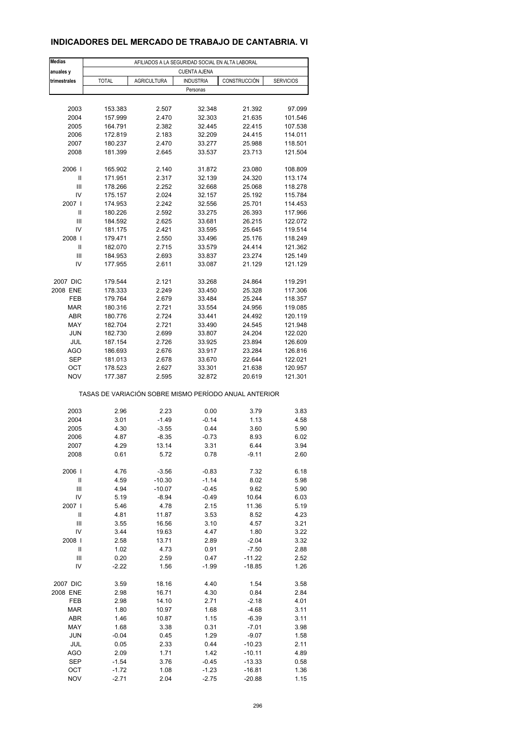#### **INDICADORES DEL MERCADO DE TRABAJO DE CANTABRIA. VI**

| <b>Medias</b>           | AFILIADOS A LA SEGURIDAD SOCIAL EN ALTA LABORAL       |                    |                     |                    |                    |  |  |
|-------------------------|-------------------------------------------------------|--------------------|---------------------|--------------------|--------------------|--|--|
| anuales y               |                                                       |                    | <b>CUENTA AJENA</b> |                    |                    |  |  |
| trimestrales            | <b>TOTAL</b>                                          | <b>AGRICULTURA</b> | <b>INDUSTRIA</b>    | CONSTRUCCIÓN       | <b>SERVICIOS</b>   |  |  |
|                         |                                                       |                    | Personas            |                    |                    |  |  |
| 2003                    |                                                       |                    |                     |                    |                    |  |  |
| 2004                    | 153.383<br>157.999                                    | 2.507<br>2.470     | 32.348<br>32.303    | 21.392<br>21.635   | 97.099<br>101.546  |  |  |
| 2005                    | 164.791                                               | 2.382              | 32.445              | 22.415             | 107.538            |  |  |
| 2006                    | 172.819                                               | 2.183              | 32.209              | 24.415             | 114.011            |  |  |
| 2007                    | 180.237                                               | 2.470              | 33.277              | 25.988             | 118.501            |  |  |
| 2008                    | 181.399                                               | 2.645              | 33.537              | 23.713             | 121.504            |  |  |
|                         |                                                       |                    |                     |                    |                    |  |  |
| 2006                    | 165.902                                               | 2.140              | 31.872              | 23.080             | 108.809            |  |  |
| Ш                       | 171.951                                               | 2.317              | 32.139              | 24.320             | 113.174            |  |  |
| Ш                       | 178.266                                               | 2.252              | 32.668              | 25.068             | 118.278            |  |  |
| IV<br>2007 l            | 175.157                                               | 2.024              | 32.157              | 25.192             | 115.784            |  |  |
| Ш                       | 174.953<br>180.226                                    | 2.242<br>2.592     | 32.556<br>33.275    | 25.701<br>26.393   | 114.453<br>117.966 |  |  |
| Ш                       | 184.592                                               | 2.625              | 33.681              | 26.215             | 122.072            |  |  |
| IV                      | 181.175                                               | 2.421              | 33.595              | 25.645             | 119.514            |  |  |
| 2008                    | 179.471                                               | 2.550              | 33.496              | 25.176             | 118.249            |  |  |
| Ш                       | 182.070                                               | 2.715              | 33.579              | 24.414             | 121.362            |  |  |
| Ш                       | 184.953                                               | 2.693              | 33.837              | 23.274             | 125.149            |  |  |
| IV                      | 177.955                                               | 2.611              | 33.087              | 21.129             | 121.129            |  |  |
|                         |                                                       |                    |                     |                    |                    |  |  |
| 2007 DIC                | 179.544                                               | 2.121              | 33.268              | 24.864             | 119.291            |  |  |
| 2008 ENE                | 178.333                                               | 2.249              | 33.450              | 25.328             | 117.306            |  |  |
| FEB                     | 179.764                                               | 2.679              | 33.484              | 25.244             | 118.357            |  |  |
| <b>MAR</b>              | 180.316                                               | 2.721              | 33.554              | 24.956             | 119.085            |  |  |
| ABR<br>MAY              | 180.776                                               | 2.724              | 33.441              | 24.492             | 120.119            |  |  |
| <b>JUN</b>              | 182.704<br>182.730                                    | 2.721<br>2.699     | 33.490<br>33.807    | 24.545<br>24.204   | 121.948<br>122.020 |  |  |
| JUL                     | 187.154                                               | 2.726              | 33.925              | 23.894             | 126.609            |  |  |
| AGO                     | 186.693                                               | 2.676              | 33.917              | 23.284             | 126.816            |  |  |
| <b>SEP</b>              | 181.013                                               | 2.678              | 33.670              | 22.644             | 122.021            |  |  |
| OCT                     | 178.523                                               | 2.627              | 33.301              | 21.638             | 120.957            |  |  |
| <b>NOV</b>              | 177.387                                               | 2.595              | 32.872              | 20.619             | 121.301            |  |  |
|                         | TASAS DE VARIACIÓN SOBRE MISMO PERÍODO ANUAL ANTERIOR |                    |                     |                    |                    |  |  |
| 2003                    | 2.96                                                  | 2.23               | 0.00                | 3.79               | 3.83               |  |  |
| 2004                    | 3.01                                                  | $-1.49$            | $-0.14$             | 1.13               | 4.58               |  |  |
| 2005                    | 4.30                                                  | $-3.55$            | 0.44                | 3.60               | 5.90               |  |  |
| 2006                    | 4.87                                                  | $-8.35$            | $-0.73$             | 8.93               | 6.02               |  |  |
| 2007                    | 4.29                                                  | 13.14              | 3.31                | 6.44               | 3.94               |  |  |
| 2008                    | 0.61                                                  | 5.72               | 0.78                | $-9.11$            | 2.60               |  |  |
|                         |                                                       |                    |                     |                    |                    |  |  |
| 2006                    | 4.76                                                  | $-3.56$            | $-0.83$             | 7.32               | 6.18               |  |  |
| $\mathsf{II}$           | 4.59                                                  | $-10.30$           | $-1.14$             | 8.02               | 5.98               |  |  |
| Ш                       | 4.94                                                  | $-10.07$           | $-0.45$             | 9.62               | 5.90               |  |  |
| IV                      | 5.19                                                  | $-8.94$            | -0.49               | 10.64              | 6.03               |  |  |
| 2007  <br>$\mathsf{II}$ | 5.46<br>4.81                                          | 4.78<br>11.87      | 2.15<br>3.53        | 11.36<br>8.52      | 5.19<br>4.23       |  |  |
| $\mathbf{III}$          | 3.55                                                  | 16.56              | 3.10                | 4.57               | 3.21               |  |  |
| IV                      | 3.44                                                  | 19.63              | 4.47                | 1.80               | 3.22               |  |  |
| 2008                    | 2.58                                                  | 13.71              | 2.89                | $-2.04$            | 3.32               |  |  |
| Ш                       | 1.02                                                  | 4.73               | 0.91                | $-7.50$            | 2.88               |  |  |
| Ш                       | 0.20                                                  | 2.59               | 0.47                | $-11.22$           | 2.52               |  |  |
| IV                      | $-2.22$                                               | 1.56               | $-1.99$             | $-18.85$           | 1.26               |  |  |
|                         |                                                       |                    |                     |                    |                    |  |  |
| 2007 DIC                | 3.59                                                  | 18.16              | 4.40                | 1.54               | 3.58               |  |  |
| 2008 ENE                | 2.98                                                  | 16.71              | 4.30                | 0.84               | 2.84               |  |  |
| FEB                     | 2.98                                                  | 14.10              | 2.71                | $-2.18$            | 4.01               |  |  |
| <b>MAR</b>              | 1.80                                                  | 10.97              | 1.68                | -4.68              | 3.11               |  |  |
| ABR                     | 1.46                                                  | 10.87              | 1.15                | $-6.39$            | 3.11               |  |  |
| MAY<br><b>JUN</b>       | 1.68<br>$-0.04$                                       | 3.38<br>0.45       | 0.31<br>1.29        | $-7.01$<br>$-9.07$ | 3.98<br>1.58       |  |  |
| JUL                     | 0.05                                                  | 2.33               | 0.44                | $-10.23$           | 2.11               |  |  |
| AGO                     | 2.09                                                  | 1.71               | 1.42                | $-10.11$           | 4.89               |  |  |
| <b>SEP</b>              | $-1.54$                                               | 3.76               | -0.45               | $-13.33$           | 0.58               |  |  |
| OCT                     | $-1.72$                                               | 1.08               | $-1.23$             | $-16.81$           | 1.36               |  |  |
| <b>NOV</b>              | $-2.71$                                               | 2.04               | $-2.75$             | $-20.88$           | 1.15               |  |  |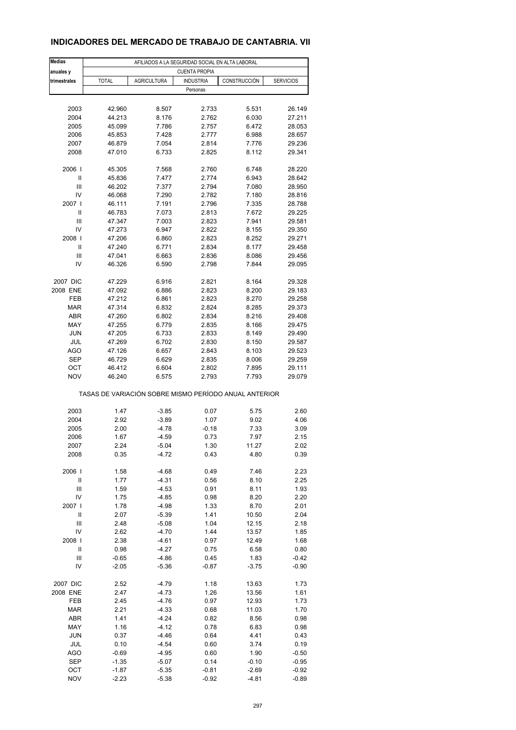## **INDICADORES DEL MERCADO DE TRABAJO DE CANTABRIA. VII**

| <b>Medias</b>     | AFILIADOS A LA SEGURIDAD SOCIAL EN ALTA LABORAL       |                    |                  |                |                  |  |  |  |
|-------------------|-------------------------------------------------------|--------------------|------------------|----------------|------------------|--|--|--|
| anuales y         | <b>CUENTA PROPIA</b>                                  |                    |                  |                |                  |  |  |  |
| trimestrales      | <b>TOTAL</b>                                          | <b>AGRICULTURA</b> | <b>INDUSTRIA</b> | CONSTRUCCIÓN   | <b>SERVICIOS</b> |  |  |  |
|                   |                                                       |                    | Personas         |                |                  |  |  |  |
|                   |                                                       |                    |                  |                |                  |  |  |  |
| 2003<br>2004      | 42.960<br>44.213                                      | 8.507<br>8.176     | 2.733<br>2.762   | 5.531<br>6.030 | 26.149<br>27.211 |  |  |  |
| 2005              | 45.099                                                | 7.786              | 2.757            | 6.472          | 28.053           |  |  |  |
| 2006              | 45.853                                                | 7.428              | 2.777            | 6.988          | 28.657           |  |  |  |
| 2007              | 46.879                                                | 7.054              | 2.814            | 7.776          | 29.236           |  |  |  |
| 2008              | 47.010                                                | 6.733              | 2.825            | 8.112          | 29.341           |  |  |  |
|                   |                                                       |                    |                  |                |                  |  |  |  |
| 2006              | 45.305                                                | 7.568              | 2.760            | 6.748          | 28.220           |  |  |  |
| Ш                 | 45.836                                                | 7.477              | 2.774            | 6.943          | 28.642           |  |  |  |
| Ш                 | 46.202                                                | 7.377              | 2.794            | 7.080          | 28.950           |  |  |  |
| IV<br>2007 l      | 46.068                                                | 7.290              | 2.782<br>2.796   | 7.180          | 28.816           |  |  |  |
| Ш                 | 46.111<br>46.783                                      | 7.191<br>7.073     | 2.813            | 7.335<br>7.672 | 28.788<br>29.225 |  |  |  |
| Ш                 | 47.347                                                | 7.003              | 2.823            | 7.941          | 29.581           |  |  |  |
| IV                | 47.273                                                | 6.947              | 2.822            | 8.155          | 29.350           |  |  |  |
| 2008              | 47.206                                                | 6.860              | 2.823            | 8.252          | 29.271           |  |  |  |
| Ш                 | 47.240                                                | 6.771              | 2.834            | 8.177          | 29.458           |  |  |  |
| Ш                 | 47.041                                                | 6.663              | 2.836            | 8.086          | 29.456           |  |  |  |
| IV                | 46.326                                                | 6.590              | 2.798            | 7.844          | 29.095           |  |  |  |
|                   |                                                       |                    |                  |                |                  |  |  |  |
| 2007 DIC          | 47.229                                                | 6.916              | 2.821            | 8.164          | 29.328           |  |  |  |
| 2008 ENE          | 47.092                                                | 6.886              | 2.823            | 8.200          | 29.183           |  |  |  |
| FEB               | 47.212                                                | 6.861              | 2.823            | 8.270          | 29.258           |  |  |  |
| <b>MAR</b><br>ABR | 47.314<br>47.260                                      | 6.832<br>6.802     | 2.824            | 8.285<br>8.216 | 29.373<br>29.408 |  |  |  |
| MAY               | 47.255                                                | 6.779              | 2.834<br>2.835   | 8.166          | 29.475           |  |  |  |
| <b>JUN</b>        | 47.205                                                | 6.733              | 2.833            | 8.149          | 29.490           |  |  |  |
| JUL               | 47.269                                                | 6.702              | 2.830            | 8.150          | 29.587           |  |  |  |
| AGO               | 47.126                                                | 6.657              | 2.843            | 8.103          | 29.523           |  |  |  |
| <b>SEP</b>        | 46.729                                                | 6.629              | 2.835            | 8.006          | 29.259           |  |  |  |
| OCT               | 46.412                                                | 6.604              | 2.802            | 7.895          | 29.111           |  |  |  |
| <b>NOV</b>        | 46.240                                                | 6.575              | 2.793            | 7.793          | 29.079           |  |  |  |
|                   | TASAS DE VARIACIÓN SOBRE MISMO PERÍODO ANUAL ANTERIOR |                    |                  |                |                  |  |  |  |
| 2003              | 1.47                                                  | $-3.85$            | 0.07             | 5.75           | 2.60             |  |  |  |
| 2004              | 2.92                                                  | $-3.89$            | 1.07             | 9.02           | 4.06             |  |  |  |
| 2005              | 2.00                                                  | $-4.78$            | $-0.18$          | 7.33           | 3.09             |  |  |  |
| 2006              | 1.67                                                  | $-4.59$            | 0.73             | 7.97           | 2.15             |  |  |  |
| 2007              | 2.24                                                  | $-5.04$            | 1.30             | 11.27          | 2.02             |  |  |  |
| 2008              | 0.35                                                  | $-4.72$            | 0.43             | 4.80           | 0.39             |  |  |  |
|                   |                                                       |                    |                  |                |                  |  |  |  |
| 2006              | 1.58                                                  | $-4.68$            | 0.49             | 7.46           | 2.23             |  |  |  |
| Ш                 | 1.77                                                  | $-4.31$            | 0.56             | 8.10           | 2.25             |  |  |  |
| Ш<br>IV           | 1.59                                                  | $-4.53$<br>$-4.85$ | 0.91<br>0.98     | 8.11<br>8.20   | 1.93<br>2.20     |  |  |  |
| 2007              | 1.75<br>1.78                                          | $-4.98$            | 1.33             | 8.70           | 2.01             |  |  |  |
| Ш                 | 2.07                                                  | $-5.39$            | 1.41             | 10.50          | 2.04             |  |  |  |
| $\mathbf{III}$    | 2.48                                                  | $-5.08$            | 1.04             | 12.15          | 2.18             |  |  |  |
| IV                | 2.62                                                  | $-4.70$            | 1.44             | 13.57          | 1.85             |  |  |  |
| 2008              | 2.38                                                  | $-4.61$            | 0.97             | 12.49          | 1.68             |  |  |  |
| Ш                 | 0.98                                                  | $-4.27$            | 0.75             | 6.58           | 0.80             |  |  |  |
| Ш                 | $-0.65$                                               | $-4.86$            | 0.45             | 1.83           | $-0.42$          |  |  |  |
| IV                | $-2.05$                                               | $-5.36$            | $-0.87$          | $-3.75$        | $-0.90$          |  |  |  |
| 2007 DIC          | 2.52                                                  | $-4.79$            | 1.18             | 13.63          | 1.73             |  |  |  |
| 2008 ENE          | 2.47                                                  | $-4.73$            | 1.26             | 13.56          | 1.61             |  |  |  |
| FEB               | 2.45                                                  | $-4.76$            | 0.97             | 12.93          | 1.73             |  |  |  |
| <b>MAR</b>        | 2.21                                                  | $-4.33$            | 0.68             | 11.03          | 1.70             |  |  |  |
| ABR               | 1.41                                                  | $-4.24$            | 0.82             | 8.56           | 0.98             |  |  |  |
| MAY<br><b>JUN</b> | 1.16                                                  | $-4.12$            | 0.78             | 6.83           | 0.98             |  |  |  |
| JUL               | 0.37<br>0.10                                          | $-4.46$<br>$-4.54$ | 0.64<br>0.60     | 4.41<br>3.74   | 0.43<br>0.19     |  |  |  |
| AGO               | $-0.69$                                               | $-4.95$            | 0.60             | 1.90           | $-0.50$          |  |  |  |
| <b>SEP</b>        | $-1.35$                                               | $-5.07$            | 0.14             | $-0.10$        | $-0.95$          |  |  |  |
| OCT               | $-1.87$                                               | $-5.35$            | $-0.81$          | $-2.69$        | $-0.92$          |  |  |  |
| <b>NOV</b>        | $-2.23$                                               | $-5.38$            | $-0.92$          | $-4.81$        | $-0.89$          |  |  |  |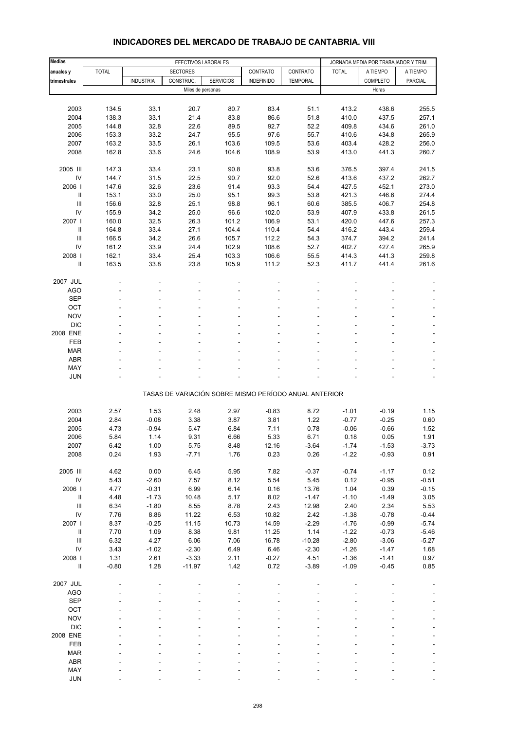| <b>Medias</b>                                                    |              |                  | EFECTIVOS LABORALES |                  |                                                       |                 |                    | JORNADA MEDIA POR TRABAJADOR Y TRIM. |                    |
|------------------------------------------------------------------|--------------|------------------|---------------------|------------------|-------------------------------------------------------|-----------------|--------------------|--------------------------------------|--------------------|
| anuales y                                                        | <b>TOTAL</b> |                  | <b>SECTORES</b>     |                  | CONTRATO                                              | CONTRATO        | <b>TOTAL</b>       | A TIEMPO                             | A TIEMPO           |
| trimestrales                                                     |              | <b>INDUSTRIA</b> | CONSTRUC.           | <b>SERVICIOS</b> | <b>INDEFINIDO</b>                                     | <b>TEMPORAL</b> |                    | COMPLETO                             | PARCIAL            |
|                                                                  |              |                  | Miles de personas   |                  |                                                       |                 |                    | Horas                                |                    |
|                                                                  |              |                  |                     |                  |                                                       |                 |                    |                                      |                    |
| 2003                                                             | 134.5        | 33.1             | 20.7                | 80.7             | 83.4                                                  | 51.1            | 413.2              | 438.6                                | 255.5              |
| 2004                                                             | 138.3        | 33.1             | 21.4                | 83.8             | 86.6                                                  | 51.8            | 410.0              | 437.5                                | 257.1              |
| 2005                                                             | 144.8        | 32.8             | 22.6                | 89.5             | 92.7                                                  | 52.2            | 409.8              | 434.6                                | 261.0              |
| 2006                                                             | 153.3        | 33.2             | 24.7                | 95.5             | 97.6                                                  | 55.7            | 410.6              | 434.8                                | 265.9              |
| 2007                                                             | 163.2        | 33.5             | 26.1                | 103.6            | 109.5                                                 | 53.6            | 403.4              | 428.2                                | 256.0              |
| 2008                                                             | 162.8        | 33.6             | 24.6                | 104.6            | 108.9                                                 | 53.9            | 413.0              | 441.3                                | 260.7              |
|                                                                  |              |                  |                     |                  |                                                       |                 |                    |                                      |                    |
| 2005 III                                                         | 147.3        | 33.4             | 23.1                | 90.8             | 93.8                                                  | 53.6            | 376.5              | 397.4                                | 241.5              |
| IV                                                               | 144.7        | 31.5             | 22.5                | 90.7             | 92.0                                                  | 52.6            | 413.6              | 437.2                                | 262.7              |
| 2006                                                             | 147.6        | 32.6             | 23.6                | 91.4             | 93.3                                                  | 54.4            | 427.5              | 452.1                                | 273.0              |
| $\ensuremath{\mathsf{II}}$                                       | 153.1        | 33.0             | 25.0                | 95.1             | 99.3                                                  | 53.8            | 421.3              | 446.6                                | 274.4              |
| Ш                                                                | 156.6        | 32.8             | 25.1                | 98.8             | 96.1                                                  | 60.6            | 385.5              | 406.7                                | 254.8              |
| IV                                                               | 155.9        | 34.2             | 25.0                | 96.6             | 102.0                                                 | 53.9            | 407.9              | 433.8                                | 261.5              |
| 2007 l                                                           | 160.0        | 32.5             | 26.3                | 101.2            | 106.9                                                 | 53.1            | 420.0              | 447.6                                | 257.3              |
| Ш                                                                | 164.8        | 33.4             | 27.1                | 104.4            | 110.4                                                 | 54.4            | 416.2              | 443.4                                | 259.4              |
| Ш                                                                | 166.5        | 34.2             | 26.6                | 105.7            | 112.2                                                 | 54.3            | 374.7              | 394.2                                | 241.4              |
| IV                                                               | 161.2        | 33.9             | 24.4                | 102.9            | 108.6                                                 | 52.7            | 402.7              | 427.4                                | 265.9              |
| 2008                                                             | 162.1        | 33.4             | 25.4                | 103.3            | 106.6                                                 | 55.5            | 414.3              | 441.3                                | 259.8              |
| Ш                                                                | 163.5        | 33.8             | 23.8                | 105.9            | 111.2                                                 | 52.3            | 411.7              | 441.4                                | 261.6              |
| 2007 JUL                                                         |              |                  |                     |                  |                                                       |                 |                    |                                      |                    |
| AGO                                                              |              |                  |                     |                  |                                                       |                 |                    |                                      |                    |
| <b>SEP</b>                                                       |              |                  |                     |                  |                                                       |                 |                    |                                      |                    |
| OCT                                                              |              |                  |                     |                  |                                                       |                 |                    |                                      |                    |
| <b>NOV</b>                                                       |              |                  |                     |                  |                                                       |                 |                    |                                      |                    |
| <b>DIC</b>                                                       |              |                  |                     |                  |                                                       |                 |                    |                                      |                    |
| 2008 ENE                                                         |              |                  |                     |                  |                                                       |                 |                    |                                      | $\blacksquare$     |
| FEB                                                              |              |                  |                     |                  |                                                       |                 |                    |                                      |                    |
| <b>MAR</b>                                                       |              |                  |                     |                  |                                                       |                 |                    |                                      |                    |
| <b>ABR</b>                                                       |              |                  |                     |                  |                                                       |                 |                    |                                      |                    |
| MAY                                                              |              |                  |                     |                  |                                                       |                 |                    |                                      |                    |
| <b>JUN</b>                                                       |              |                  |                     |                  |                                                       |                 |                    |                                      | ÷,                 |
|                                                                  |              |                  |                     |                  | TASAS DE VARIACIÓN SOBRE MISMO PERÍODO ANUAL ANTERIOR |                 |                    |                                      |                    |
|                                                                  |              |                  |                     |                  |                                                       |                 |                    |                                      |                    |
| 2003                                                             | 2.57         | 1.53             | 2.48                | 2.97             | $-0.83$                                               | 8.72            | $-1.01$            | $-0.19$                              | 1.15               |
| 2004                                                             | 2.84         | $-0.08$          | 3.38                | 3.87             | 3.81                                                  | 1.22            | $-0.77$            | $-0.25$                              | 0.60               |
| 2005                                                             | 4.73         | $-0.94$          | 5.47                | 6.84             | 7.11                                                  | 0.78            | $-0.06$            | $-0.66$                              | 1.52               |
| 2006                                                             | 5.84         | 1.14             | 9.31                | 6.66             | 5.33                                                  | 6.71            | 0.18               | 0.05                                 | 1.91               |
| 2007                                                             | 6.42         | 1.00             | 5.75                | 8.48             | 12.16                                                 | -3.64           | $-1.74$            | $-1.53$                              | -3.73              |
| 2008                                                             | 0.24         | 1.93             | $-7.71$             | 1.76             | 0.23                                                  | 0.26            | $-1.22$            | $-0.93$                              | 0.91               |
|                                                                  |              |                  |                     |                  |                                                       |                 |                    |                                      |                    |
| 2005 III                                                         | 4.62         | 0.00             | 6.45                | 5.95             | 7.82                                                  | $-0.37$         | $-0.74$            | $-1.17$                              | 0.12               |
| ${\sf IV}$                                                       | 5.43         | $-2.60$          | 7.57                | 8.12             | 5.54                                                  | 5.45            | 0.12               | $-0.95$                              | $-0.51$            |
| 2006                                                             | 4.77         | $-0.31$          | 6.99                | 6.14             | 0.16                                                  | 13.76           | 1.04               | 0.39                                 | $-0.15$            |
| $\ensuremath{\mathsf{II}}$<br>$\ensuremath{\mathsf{III}}\xspace$ | 4.48         | $-1.73$          | 10.48               | 5.17             | 8.02                                                  | $-1.47$         | $-1.10$            | $-1.49$<br>2.34                      | 3.05<br>5.53       |
| IV                                                               | 6.34         | $-1.80$          | 8.55<br>11.22       | 8.78             | 2.43                                                  | 12.98           | 2.40               |                                      |                    |
| 2007 l                                                           | 7.76<br>8.37 | 8.86<br>$-0.25$  | 11.15               | 6.53<br>10.73    | 10.82<br>14.59                                        | 2.42<br>$-2.29$ | $-1.38$<br>$-1.76$ | $-0.78$<br>$-0.99$                   | $-0.44$<br>$-5.74$ |
| $\rm H$                                                          | 7.70         | 1.09             | 8.38                | 9.81             | 11.25                                                 | 1.14            | $-1.22$            | $-0.73$                              | $-5.46$            |
| $\ensuremath{\mathsf{III}}\xspace$                               | 6.32         | 4.27             | 6.06                | 7.06             | 16.78                                                 | $-10.28$        | $-2.80$            | $-3.06$                              | $-5.27$            |
| IV                                                               | 3.43         | $-1.02$          | $-2.30$             | 6.49             | 6.46                                                  | $-2.30$         | $-1.26$            | $-1.47$                              | 1.68               |
| 2008                                                             | 1.31         | 2.61             | $-3.33$             | 2.11             | $-0.27$                                               | 4.51            | $-1.36$            | $-1.41$                              | 0.97               |
| $\rm H$                                                          | $-0.80$      | 1.28             | $-11.97$            | 1.42             | 0.72                                                  | $-3.89$         | $-1.09$            | $-0.45$                              | 0.85               |
|                                                                  |              |                  |                     |                  |                                                       |                 |                    |                                      |                    |
| 2007 JUL                                                         |              |                  |                     |                  |                                                       |                 |                    |                                      |                    |
| <b>AGO</b>                                                       |              |                  |                     |                  |                                                       |                 |                    |                                      |                    |
| <b>SEP</b>                                                       |              |                  |                     |                  |                                                       |                 |                    |                                      |                    |
| OCT                                                              |              |                  |                     |                  |                                                       |                 |                    |                                      |                    |
| <b>NOV</b>                                                       |              |                  |                     |                  |                                                       |                 |                    |                                      |                    |
| <b>DIC</b>                                                       |              |                  |                     |                  |                                                       |                 |                    |                                      |                    |
| 2008 ENE                                                         |              |                  |                     |                  |                                                       |                 |                    |                                      |                    |
| FEB                                                              |              |                  |                     |                  |                                                       |                 |                    |                                      |                    |
| <b>MAR</b>                                                       |              |                  |                     |                  |                                                       |                 |                    |                                      |                    |
| ABR                                                              |              |                  |                     |                  |                                                       |                 |                    |                                      |                    |
| MAY                                                              |              |                  |                     |                  |                                                       |                 |                    |                                      |                    |
| <b>JUN</b>                                                       |              |                  |                     |                  |                                                       |                 |                    |                                      |                    |

#### **INDICADORES DEL MERCADO DE TRABAJO DE CANTABRIA. VIII**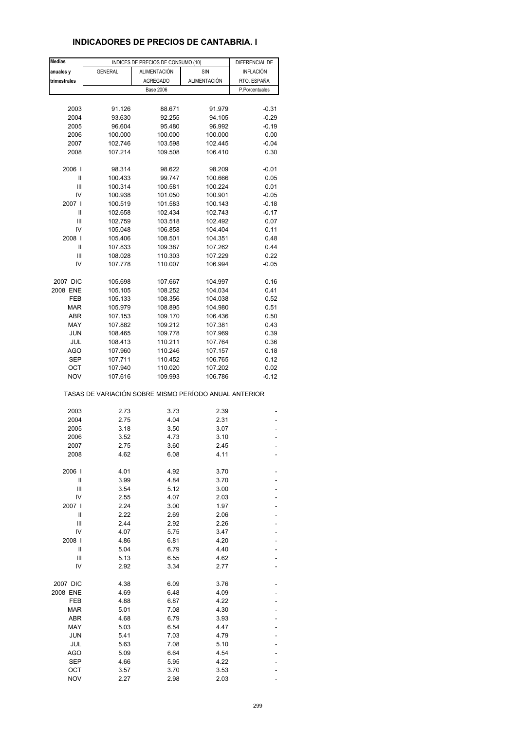## **INDICADORES DE PRECIOS DE CANTABRIA. I**

| <b>Medias</b> |                                                       | INDICES DE PRECIOS DE CONSUMO (10) |                     | DIFERENCIAL DE   |
|---------------|-------------------------------------------------------|------------------------------------|---------------------|------------------|
| anuales y     | <b>GENERAL</b>                                        | ALIMENTACIÓN                       | SIN                 | <b>INFLACIÓN</b> |
| trimestrales  |                                                       | <b>AGREGADO</b>                    | <b>ALIMENTACIÓN</b> | RTO. ESPAÑA      |
|               |                                                       | <b>Base 2006</b>                   |                     | P.Porcentuales   |
|               |                                                       |                                    |                     |                  |
| 2003          | 91.126                                                | 88.671                             | 91.979              | $-0.31$          |
| 2004          | 93.630                                                | 92.255                             | 94.105              | $-0.29$          |
| 2005          | 96.604                                                | 95.480                             | 96.992              | $-0.19$          |
| 2006          | 100.000                                               | 100.000                            | 100.000             | 0.00             |
| 2007          | 102.746                                               | 103.598                            | 102.445             | $-0.04$          |
| 2008          | 107.214                                               | 109.508                            | 106.410             | 0.30             |
| 2006          | 98.314                                                | 98.622                             | 98.209              | $-0.01$          |
| Ш             | 100.433                                               | 99.747                             | 100.666             | 0.05             |
| Ш             | 100.314                                               | 100.581                            | 100.224             | 0.01             |
| IV            | 100.938                                               | 101.050                            | 100.901             | $-0.05$          |
| 2007 l        | 100.519                                               | 101.583                            | 100.143             | $-0.18$          |
| Ш             | 102.658                                               | 102.434                            | 102.743             | $-0.17$          |
| Ш             | 102.759                                               | 103.518                            | 102.492             | 0.07             |
| IV            | 105.048                                               | 106.858                            | 104.404             | 0.11             |
| 2008          | 105.406                                               | 108.501                            | 104.351             | 0.48             |
| Ш             | 107.833                                               | 109.387                            | 107.262             | 0.44             |
| Ш             | 108.028                                               | 110.303                            | 107.229             | 0.22             |
| IV            | 107.778                                               | 110.007                            | 106.994             | $-0.05$          |
| 2007 DIC      | 105.698                                               | 107.667                            | 104.997             | 0.16             |
| 2008 ENE      | 105.105                                               | 108.252                            | 104.034             | 0.41             |
| FEB           | 105.133                                               | 108.356                            | 104.038             | 0.52             |
| <b>MAR</b>    | 105.979                                               | 108.895                            | 104.980             | 0.51             |
| ABR           | 107.153                                               | 109.170                            | 106.436             | 0.50             |
| MAY           | 107.882                                               | 109.212                            | 107.381             | 0.43             |
| <b>JUN</b>    | 108.465                                               | 109.778                            | 107.969             | 0.39             |
| JUL           | 108.413                                               | 110.211                            | 107.764             | 0.36             |
| AGO           | 107.960                                               | 110.246                            | 107.157             | 0.18             |
| SEP           | 107.711                                               | 110.452                            | 106.765             | 0.12             |
| ОСТ           | 107.940                                               | 110.020                            | 107.202             | 0.02             |
| <b>NOV</b>    | 107.616                                               | 109.993                            | 106.786             | $-0.12$          |
|               | TASAS DE VARIACIÓN SOBRE MISMO PERÍODO ANUAL ANTERIOR |                                    |                     |                  |
| 2003          | 2.73                                                  | 3.73                               | 2.39                |                  |
| 2004          | 2.75                                                  | 4.04                               | 2.31                |                  |
| 2005          | 3.18                                                  | 3.50                               | 3.07                |                  |
| 2006          | 3.52                                                  | 4.73                               | 3.10                |                  |
| 2007          | 2.75                                                  | 3.60                               | 2.45                |                  |
| 2008          | 4.62                                                  | 6.08                               | 4.11                |                  |
| 2006          | 4.01                                                  | 4.92                               | 3.70                |                  |
| Ш             | 3.99                                                  | 4.84                               | 3.70                |                  |
| Ш             | 3.54                                                  | 5.12                               | 3.00                |                  |
| IV            | 2.55                                                  | 4.07                               | 2.03                |                  |
| 2007          | 2.24                                                  | 3.00                               | 1.97                |                  |
| Ш             | 2.22                                                  | 2.69                               | 2.06                |                  |
| Ш             | 2.44                                                  | 2.92                               | 2.26                |                  |
| IV            | 4.07                                                  | 5.75                               | 3.47                |                  |
| 2008          | 4.86                                                  | 6.81                               | 4.20                |                  |
| Ш             | 5.04                                                  | 6.79                               | 4.40                |                  |
| Ш             | 5.13                                                  | 6.55                               | 4.62                |                  |
| IV            | 2.92                                                  | 3.34                               | 2.77                |                  |
| 2007 DIC      | 4.38                                                  | 6.09                               | 3.76                |                  |
| 2008 ENE      | 4.69                                                  | 6.48                               | 4.09                |                  |
| FEB           | 4.88                                                  | 6.87                               | 4.22                |                  |
| <b>MAR</b>    | 5.01                                                  | 7.08                               | 4.30                |                  |
| ABR           | 4.68                                                  | 6.79                               | 3.93                |                  |
| MAY           | 5.03                                                  | 6.54                               | 4.47                |                  |
| <b>JUN</b>    | 5.41                                                  | 7.03                               | 4.79                |                  |
| JUL           | 5.63                                                  | 7.08                               | 5.10                |                  |
| AGO           | 5.09                                                  | 6.64                               | 4.54                |                  |
| <b>SEP</b>    | 4.66                                                  | 5.95                               | 4.22                |                  |
| OCT           | 3.57                                                  | 3.70                               | 3.53                |                  |
| <b>NOV</b>    | 2.27                                                  | 2.98                               | 2.03                |                  |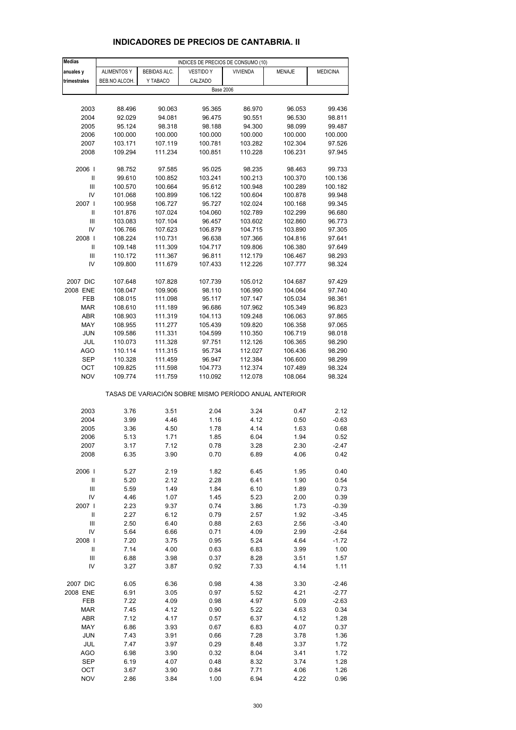| <b>Medias</b>                |                    |                    | INDICES DE PRECIOS DE CONSUMO (10)                    |                    |                    |                    |
|------------------------------|--------------------|--------------------|-------------------------------------------------------|--------------------|--------------------|--------------------|
| anuales y                    | <b>ALIMENTOS Y</b> | BEBIDAS ALC.       | <b>VESTIDO Y</b>                                      | <b>VIVIENDA</b>    | <b>MENAJE</b>      | <b>MEDICINA</b>    |
| trimestrales                 | BEB.NO ALCOH.      | Y TABACO           | CALZADO                                               |                    |                    |                    |
|                              |                    |                    |                                                       | <b>Base 2006</b>   |                    |                    |
|                              |                    |                    |                                                       |                    |                    |                    |
| 2003                         | 88.496             | 90.063             | 95.365                                                | 86.970             | 96.053             | 99.436             |
| 2004                         | 92.029             | 94.081             | 96.475                                                | 90.551             | 96.530             | 98.811             |
| 2005                         | 95.124             | 98.318             | 98.188                                                | 94.300             | 98.099             | 99.487             |
| 2006                         | 100.000            | 100.000            | 100.000                                               | 100.000            | 100.000            | 100.000            |
| 2007                         | 103.171            | 107.119            | 100.781                                               | 103.282            | 102.304            | 97.526             |
| 2008                         | 109.294            | 111.234            | 100.851                                               | 110.228            | 106.231            | 97.945             |
| 2006                         | 98.752             | 97.585             | 95.025                                                | 98.235             | 98.463             | 99.733             |
| Ш                            | 99.610             | 100.852            | 103.241                                               | 100.213            | 100.370            | 100.136            |
| Ш                            | 100.570            | 100.664            | 95.612                                                | 100.948            | 100.289            | 100.182            |
| IV                           | 101.068            | 100.899            | 106.122                                               | 100.604            | 100.878            | 99.948             |
| 2007 I                       | 100.958            | 106.727            | 95.727                                                | 102.024            | 100.168            | 99.345             |
| Ш                            | 101.876            | 107.024            | 104.060                                               | 102.789            | 102.299            | 96.680             |
| Ш                            | 103.083            | 107.104            | 96.457                                                | 103.602            | 102.860            | 96.773             |
| IV                           | 106.766            | 107.623            | 106.879                                               | 104.715            | 103.890            | 97.305             |
| 2008                         | 108.224            | 110.731            | 96.638                                                | 107.366            | 104.816            | 97.641             |
| $\mathbf{I}$                 | 109.148            | 111.309            | 104.717                                               | 109.806            | 106.380            | 97.649             |
| Ш                            | 110.172            | 111.367            | 96.811                                                | 112.179            | 106.467            | 98.293             |
| IV                           | 109.800            | 111.679            | 107.433                                               | 112.226            | 107.777            | 98.324             |
|                              |                    |                    |                                                       |                    |                    |                    |
| 2007 DIC                     | 107.648            | 107.828            | 107.739                                               | 105.012            | 104.687            | 97.429             |
| 2008 ENE                     | 108.047            | 109.906            | 98.110                                                | 106.990            | 104.064            | 97.740             |
| <b>FEB</b>                   | 108.015            | 111.098            | 95.117                                                | 107.147            | 105.034            | 98.361             |
| <b>MAR</b>                   | 108.610            | 111.189            | 96.686                                                | 107.962            | 105.349            | 96.823             |
| ABR                          | 108.903            | 111.319            | 104.113                                               | 109.248            | 106.063            | 97.865             |
| MAY                          | 108.955            | 111.277            | 105.439                                               | 109.820            | 106.358            | 97.065             |
| <b>JUN</b>                   | 109.586            | 111.331            | 104.599                                               | 110.350            | 106.719            | 98.018             |
| JUL                          | 110.073            | 111.328            | 97.751                                                | 112.126            | 106.365            | 98.290             |
| AGO                          | 110.114            | 111.315            | 95.734                                                | 112.027            | 106.436            | 98.290             |
| <b>SEP</b><br>OCT            | 110.328            | 111.459            | 96.947<br>104.773                                     | 112.384            | 106.600            | 98.299<br>98.324   |
| <b>NOV</b>                   | 109.825<br>109.774 | 111.598<br>111.759 | 110.092                                               | 112.374<br>112.078 | 107.489<br>108.064 | 98.324             |
|                              |                    |                    |                                                       |                    |                    |                    |
|                              |                    |                    | TASAS DE VARIACIÓN SOBRE MISMO PERÍODO ANUAL ANTERIOR |                    |                    |                    |
| 2003                         | 3.76               | 3.51               | 2.04                                                  | 3.24               | 0.47               | 2.12               |
| 2004                         | 3.99               | 4.46               | 1.16                                                  | 4.12               | 0.50               | $-0.63$            |
| 2005                         | 3.36               | 4.50               | 1.78                                                  | 4.14               | 1.63               | 0.68               |
| 2006                         | 5.13               | 1.71               | 1.85                                                  | 6.04               | 1.94               | 0.52               |
| 2007                         | 3.17               | 7.12               | 0.78                                                  | 3.28               | 2.30               | -2.47              |
| 2008                         | 6.35               | 3.90               | 0.70                                                  | 6.89               | 4.06               | 0.42               |
|                              |                    |                    |                                                       |                    |                    |                    |
| 2006                         | 5.27               | 2.19               | 1.82                                                  | 6.45               | 1.95               | 0.40               |
| $\sf II$                     | 5.20               | 2.12               | 2.28                                                  | 6.41               | 1.90               | 0.54               |
| $\mathsf{III}\,$             | 5.59               | 1.49               | 1.84                                                  | 6.10               | 1.89               | 0.73               |
| IV                           | 4.46               | 1.07               | 1.45                                                  | 5.23               | 2.00               | 0.39               |
| 2007                         | 2.23               | 9.37               | 0.74                                                  | 3.86               | 1.73               | $-0.39$            |
| $\sf II$<br>$\mathsf{III}\,$ | 2.27               | 6.12               | 0.79                                                  | 2.57               | 1.92               | $-3.45$            |
| IV                           | 2.50<br>5.64       | 6.40<br>6.66       | 0.88<br>0.71                                          | 2.63<br>4.09       | 2.56<br>2.99       | $-3.40$<br>$-2.64$ |
| 2008                         | 7.20               | 3.75               | 0.95                                                  | 5.24               | 4.64               | $-1.72$            |
| $\sf II$                     | 7.14               | 4.00               | 0.63                                                  | 6.83               | 3.99               | 1.00               |
| Ш                            | 6.88               | 3.98               | 0.37                                                  | 8.28               | 3.51               | 1.57               |
| IV                           | 3.27               | 3.87               | 0.92                                                  | 7.33               | 4.14               | 1.11               |
|                              |                    |                    |                                                       |                    |                    |                    |
| 2007 DIC                     | 6.05               | 6.36               | 0.98                                                  | 4.38               | 3.30               | $-2.46$            |
| 2008 ENE                     | 6.91               | 3.05               | 0.97                                                  | 5.52               | 4.21               | $-2.77$            |
| FEB                          | 7.22               | 4.09               | 0.98                                                  | 4.97               | 5.09               | $-2.63$            |
| <b>MAR</b>                   | 7.45               | 4.12               | 0.90                                                  | 5.22               | 4.63               | 0.34               |
| ABR                          | 7.12               | 4.17               | 0.57                                                  | 6.37               | 4.12               | 1.28               |
| MAY                          | 6.86               | 3.93               | 0.67                                                  | 6.83               | 4.07               | 0.37               |
| <b>JUN</b>                   | 7.43               | 3.91               | 0.66                                                  | 7.28               | 3.78               | 1.36               |
| JUL                          | 7.47               | 3.97               | 0.29                                                  | 8.48               | 3.37               | 1.72               |
| <b>AGO</b>                   | 6.98               | 3.90               | 0.32                                                  | 8.04               | 3.41               | 1.72               |
| SEP                          | 6.19               | 4.07               | 0.48                                                  | 8.32               | 3.74               | 1.28               |
| OCT                          | 3.67               | 3.90               | 0.84                                                  | 7.71               | 4.06               | 1.26               |
| <b>NOV</b>                   | 2.86               | 3.84               | 1.00                                                  | 6.94               | 4.22               | 0.96               |

#### **INDICADORES DE PRECIOS DE CANTABRIA. II**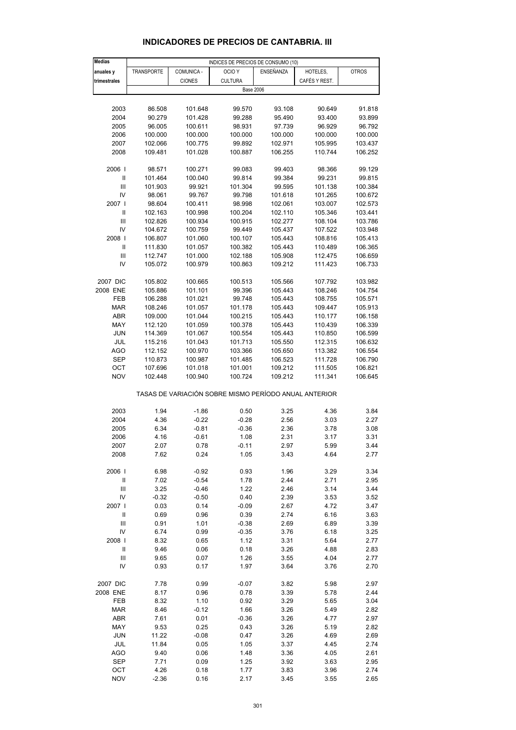| <b>Medias</b>                      |            |               | INDICES DE PRECIOS DE CONSUMO (10)                    |           |               |              |
|------------------------------------|------------|---------------|-------------------------------------------------------|-----------|---------------|--------------|
| anuales y                          | TRANSPORTE | COMUNICA -    | OCIO <sub>Y</sub>                                     | ENSEÑANZA | HOTELES,      | <b>OTROS</b> |
| trimestrales                       |            | <b>CIONES</b> | <b>CULTURA</b>                                        |           | CAFÉS Y REST. |              |
|                                    |            |               | <b>Base 2006</b>                                      |           |               |              |
|                                    |            |               |                                                       |           |               |              |
| 2003                               | 86.508     | 101.648       | 99.570                                                | 93.108    | 90.649        | 91.818       |
| 2004                               | 90.279     | 101.428       | 99.288                                                | 95.490    | 93.400        | 93.899       |
| 2005                               | 96.005     | 100.611       | 98.931                                                | 97.739    | 96.929        | 96.792       |
| 2006                               | 100.000    | 100.000       | 100.000                                               | 100.000   | 100.000       | 100.000      |
| 2007                               | 102.066    | 100.775       | 99.892                                                | 102.971   | 105.995       | 103.437      |
| 2008                               | 109.481    | 101.028       | 100.887                                               | 106.255   | 110.744       | 106.252      |
|                                    |            |               |                                                       |           |               |              |
| 2006                               | 98.571     | 100.271       | 99.083                                                | 99.403    | 98.366        | 99.129       |
| Ш                                  | 101.464    | 100.040       | 99.814                                                | 99.384    | 99.231        | 99.815       |
| Ш                                  | 101.903    | 99.921        | 101.304                                               | 99.595    | 101.138       | 100.384      |
| IV                                 | 98.061     | 99.767        | 99.798                                                | 101.618   | 101.265       | 100.672      |
| 2007 l                             | 98.604     | 100.411       | 98.998                                                | 102.061   | 103.007       | 102.573      |
| Ш                                  | 102.163    | 100.998       | 100.204                                               | 102.110   | 105.346       | 103.441      |
| Ш                                  | 102.826    | 100.934       | 100.915                                               | 102.277   | 108.104       | 103.786      |
| IV                                 | 104.672    | 100.759       | 99.449                                                | 105.437   | 107.522       | 103.948      |
| 2008                               | 106.807    | 101.060       | 100.107                                               | 105.443   | 108.816       | 105.413      |
| Ш                                  | 111.830    | 101.057       | 100.382                                               | 105.443   | 110.489       | 106.365      |
| Ш                                  | 112.747    | 101.000       | 102.188                                               | 105.908   | 112.475       | 106.659      |
| IV                                 | 105.072    | 100.979       | 100.863                                               | 109.212   | 111.423       | 106.733      |
|                                    |            |               |                                                       |           |               |              |
| 2007 DIC                           | 105.802    | 100.665       | 100.513                                               | 105.566   | 107.792       | 103.982      |
| 2008 ENE                           | 105.886    | 101.101       | 99.396                                                | 105.443   | 108.246       | 104.754      |
| FEB                                | 106.288    | 101.021       | 99.748                                                | 105.443   | 108.755       | 105.571      |
| <b>MAR</b>                         | 108.246    | 101.057       | 101.178                                               | 105.443   | 109.447       | 105.913      |
| ABR                                | 109.000    | 101.044       | 100.215                                               | 105.443   | 110.177       | 106.158      |
| MAY                                | 112.120    | 101.059       | 100.378                                               | 105.443   | 110.439       | 106.339      |
| <b>JUN</b>                         | 114.369    | 101.067       | 100.554                                               | 105.443   | 110.850       | 106.599      |
| JUL                                | 115.216    | 101.043       | 101.713                                               | 105.550   | 112.315       | 106.632      |
| AGO                                | 112.152    | 100.970       | 103.366                                               | 105.650   | 113.382       | 106.554      |
| <b>SEP</b>                         | 110.873    | 100.987       | 101.485                                               | 106.523   | 111.728       | 106.790      |
| OCT                                | 107.696    | 101.018       | 101.001                                               | 109.212   | 111.505       | 106.821      |
| <b>NOV</b>                         | 102.448    | 100.940       | 100.724                                               | 109.212   | 111.341       | 106.645      |
|                                    |            |               |                                                       |           |               |              |
|                                    |            |               | TASAS DE VARIACIÓN SOBRE MISMO PERÍODO ANUAL ANTERIOR |           |               |              |
|                                    |            |               |                                                       |           |               |              |
| 2003                               | 1.94       | $-1.86$       | 0.50                                                  | 3.25      | 4.36          | 3.84         |
| 2004                               | 4.36       | $-0.22$       | $-0.28$                                               | 2.56      | 3.03          | 2.27         |
| 2005                               | 6.34       | $-0.81$       | $-0.36$                                               | 2.36      | 3.78          | 3.08         |
| 2006                               | 4.16       | $-0.61$       | 1.08                                                  | 2.31      | 3.17          | 3.31         |
| 2007                               | 2.07       | 0.78          | $-0.11$                                               | 2.97      | 5.99          | 3.44         |
| 2008                               | 7.62       | 0.24          | 1.05                                                  | 3.43      | 4.64          | 2.77         |
|                                    |            |               |                                                       |           |               |              |
| 2006                               | 6.98       | $-0.92$       | 0.93                                                  | 1.96      | 3.29          | 3.34         |
| $\ensuremath{\mathsf{II}}$         | 7.02       | $-0.54$       | 1.78                                                  | 2.44      | 2.71          | 2.95         |
| Ш                                  | 3.25       | $-0.46$       | 1.22                                                  | 2.46      | 3.14          | 3.44         |
| IV                                 | $-0.32$    | $-0.50$       | 0.40                                                  | 2.39      | 3.53          | 3.52         |
| 2007                               | 0.03       | 0.14          | $-0.09$                                               | 2.67      | 4.72          | 3.47         |
| $\ensuremath{\mathsf{II}}$         | 0.69       | 0.96          | 0.39                                                  | 2.74      | 6.16          | 3.63         |
| $\ensuremath{\mathsf{III}}\xspace$ | 0.91       | 1.01          | $-0.38$                                               | 2.69      | 6.89          | 3.39         |
| IV                                 | 6.74       | 0.99          | $-0.35$                                               | 3.76      | 6.18          | 3.25         |
| 2008                               | 8.32       | 0.65          | 1.12                                                  | 3.31      | 5.64          | 2.77         |
| $\ensuremath{\mathsf{II}}$         | 9.46       | 0.06          | 0.18                                                  | 3.26      | 4.88          | 2.83         |
| Ш                                  | 9.65       | 0.07          | 1.26                                                  | 3.55      | 4.04          | 2.77         |
| IV                                 | 0.93       | 0.17          | 1.97                                                  | 3.64      | 3.76          | 2.70         |
| 2007 DIC                           | 7.78       | 0.99          | $-0.07$                                               | 3.82      | 5.98          | 2.97         |
| 2008 ENE                           | 8.17       | 0.96          | 0.78                                                  | 3.39      | 5.78          | 2.44         |
| FEB                                | 8.32       | 1.10          | 0.92                                                  | 3.29      | 5.65          | 3.04         |
| <b>MAR</b>                         | 8.46       | $-0.12$       | 1.66                                                  | 3.26      | 5.49          | 2.82         |
| ABR                                | 7.61       | 0.01          | $-0.36$                                               | 3.26      | 4.77          | 2.97         |
| MAY                                | 9.53       | 0.25          | 0.43                                                  | 3.26      | 5.19          | 2.82         |
| <b>JUN</b>                         | 11.22      | $-0.08$       | 0.47                                                  | 3.26      | 4.69          | 2.69         |
| JUL                                | 11.84      | 0.05          | 1.05                                                  | 3.37      | 4.45          | 2.74         |
| <b>AGO</b>                         | 9.40       | 0.06          | 1.48                                                  | 3.36      | 4.05          | 2.61         |
| <b>SEP</b>                         | 7.71       | 0.09          | 1.25                                                  | 3.92      | 3.63          | 2.95         |
| ОСТ                                | 4.26       | 0.18          | 1.77                                                  | 3.83      | 3.96          | 2.74         |

#### **INDICADORES DE PRECIOS DE CANTABRIA. III**

NOV -2.36 0.16 2.17 3.45 3.55 2.65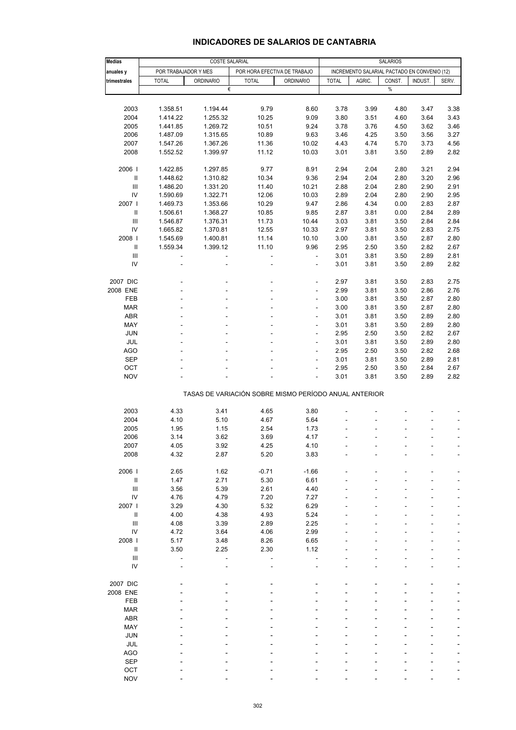## **INDICADORES DE SALARIOS DE CANTABRIA**

| <b>Medias</b>                      | <b>COSTE SALARIAL</b>                                |                                                       |                |                          |                                              | <b>SALARIOS</b> |        |         |                          |  |  |
|------------------------------------|------------------------------------------------------|-------------------------------------------------------|----------------|--------------------------|----------------------------------------------|-----------------|--------|---------|--------------------------|--|--|
| anuales y                          | POR TRABAJADOR Y MES<br>POR HORA EFECTIVA DE TRABAJO |                                                       |                |                          | INCREMENTO SALARIAL PACTADO EN CONVENIO (12) |                 |        |         |                          |  |  |
| trimestrales                       | <b>TOTAL</b>                                         | <b>ORDINARIO</b>                                      | <b>TOTAL</b>   | <b>ORDINARIO</b>         | <b>TOTAL</b>                                 | AGRIC.          | CONST. | INDUST. | SERV.                    |  |  |
|                                    |                                                      | €                                                     |                |                          |                                              |                 | $\%$   |         |                          |  |  |
|                                    |                                                      |                                                       |                |                          |                                              |                 |        |         |                          |  |  |
| 2003                               | 1.358.51                                             | 1.194.44                                              | 9.79           | 8.60                     | 3.78                                         | 3.99            | 4.80   |         | 3.38                     |  |  |
|                                    |                                                      |                                                       |                |                          |                                              |                 |        | 3.47    |                          |  |  |
| 2004                               | 1.414.22                                             | 1.255.32                                              | 10.25          | 9.09                     | 3.80                                         | 3.51            | 4.60   | 3.64    | 3.43                     |  |  |
| 2005                               | 1.441.85                                             | 1.269.72                                              | 10.51          | 9.24                     | 3.78                                         | 3.76            | 4.50   | 3.62    | 3.46                     |  |  |
| 2006                               | 1.487.09                                             | 1.315.65                                              | 10.89          | 9.63                     | 3.46                                         | 4.25            | 3.50   | 3.56    | 3.27                     |  |  |
| 2007                               | 1.547.26                                             | 1.367.26                                              | 11.36          | 10.02                    | 4.43                                         | 4.74            | 5.70   | 3.73    | 4.56                     |  |  |
| 2008                               | 1.552.52                                             | 1.399.97                                              | 11.12          | 10.03                    | 3.01                                         | 3.81            | 3.50   | 2.89    | 2.82                     |  |  |
|                                    |                                                      |                                                       |                |                          |                                              |                 |        |         |                          |  |  |
| 2006                               | 1.422.85                                             | 1.297.85                                              | 9.77           | 8.91                     | 2.94                                         | 2.04            | 2.80   | 3.21    | 2.94                     |  |  |
| $\sf II$                           | 1.448.62                                             | 1.310.82                                              | 10.34          | 9.36                     | 2.94                                         | 2.04            | 2.80   | 3.20    | 2.96                     |  |  |
| $\ensuremath{\mathsf{III}}\xspace$ | 1.486.20                                             | 1.331.20                                              | 11.40          | 10.21                    | 2.88                                         | 2.04            | 2.80   | 2.90    | 2.91                     |  |  |
| IV                                 | 1.590.69                                             | 1.322.71                                              | 12.06          | 10.03                    | 2.89                                         | 2.04            | 2.80   | 2.90    | 2.95                     |  |  |
| 2007 l                             | 1.469.73                                             | 1.353.66                                              | 10.29          | 9.47                     | 2.86                                         | 4.34            | 0.00   | 2.83    | 2.87                     |  |  |
| Ш                                  | 1.506.61                                             | 1.368.27                                              | 10.85          | 9.85                     | 2.87                                         | 3.81            | 0.00   | 2.84    | 2.89                     |  |  |
| Ш                                  | 1.546.87                                             | 1.376.31                                              | 11.73          | 10.44                    | 3.03                                         | 3.81            | 3.50   | 2.84    | 2.84                     |  |  |
| IV                                 | 1.665.82                                             | 1.370.81                                              | 12.55          | 10.33                    | 2.97                                         | 3.81            | 3.50   | 2.83    | 2.75                     |  |  |
| 2008                               | 1.545.69                                             | 1.400.81                                              | 11.14          | 10.10                    | 3.00                                         | 3.81            | 3.50   | 2.87    | 2.80                     |  |  |
| Ш                                  | 1.559.34                                             | 1.399.12                                              | 11.10          | 9.96                     | 2.95                                         | 2.50            | 3.50   | 2.82    | 2.67                     |  |  |
| Ш                                  | ÷,                                                   |                                                       | ÷,             | $\blacksquare$           | 3.01                                         | 3.81            | 3.50   | 2.89    | 2.81                     |  |  |
| IV                                 |                                                      |                                                       | ÷.             | ÷                        | 3.01                                         | 3.81            | 3.50   | 2.89    | 2.82                     |  |  |
|                                    |                                                      |                                                       |                |                          |                                              |                 |        |         |                          |  |  |
|                                    |                                                      |                                                       |                |                          |                                              |                 |        |         | 2.75                     |  |  |
| 2007 DIC                           |                                                      |                                                       | ä,             | ÷,                       | 2.97                                         | 3.81            | 3.50   | 2.83    |                          |  |  |
| 2008 ENE                           |                                                      |                                                       | ä,             | ä,                       | 2.99                                         | 3.81            | 3.50   | 2.86    | 2.76                     |  |  |
| FEB                                |                                                      |                                                       |                | ÷,                       | 3.00                                         | 3.81            | 3.50   | 2.87    | 2.80                     |  |  |
| <b>MAR</b>                         |                                                      |                                                       |                | $\overline{\phantom{0}}$ | 3.00                                         | 3.81            | 3.50   | 2.87    | 2.80                     |  |  |
| ABR                                |                                                      |                                                       |                | ä,                       | 3.01                                         | 3.81            | 3.50   | 2.89    | 2.80                     |  |  |
| MAY                                |                                                      |                                                       | ä,             | $\frac{1}{2}$            | 3.01                                         | 3.81            | 3.50   | 2.89    | 2.80                     |  |  |
| JUN                                |                                                      |                                                       |                | $\overline{\phantom{0}}$ | 2.95                                         | 2.50            | 3.50   | 2.82    | 2.67                     |  |  |
| <b>JUL</b>                         |                                                      |                                                       |                | ä,                       | 3.01                                         | 3.81            | 3.50   | 2.89    | 2.80                     |  |  |
| <b>AGO</b>                         |                                                      |                                                       |                | $\frac{1}{2}$            | 2.95                                         | 2.50            | 3.50   | 2.82    | 2.68                     |  |  |
| <b>SEP</b>                         |                                                      |                                                       |                |                          | 3.01                                         | 3.81            | 3.50   | 2.89    | 2.81                     |  |  |
| OCT                                |                                                      |                                                       |                | ä,                       | 2.95                                         | 2.50            | 3.50   | 2.84    | 2.67                     |  |  |
| <b>NOV</b>                         |                                                      |                                                       |                | $\overline{a}$           | 3.01                                         | 3.81            | 3.50   | 2.89    | 2.82                     |  |  |
|                                    |                                                      | TASAS DE VARIACIÓN SOBRE MISMO PERÍODO ANUAL ANTERIOR |                |                          |                                              |                 |        |         |                          |  |  |
|                                    |                                                      |                                                       |                |                          |                                              |                 |        |         |                          |  |  |
| 2003                               | 4.33                                                 | 3.41                                                  | 4.65           | 3.80                     |                                              |                 |        |         |                          |  |  |
| 2004                               | 4.10                                                 | 5.10                                                  | 4.67           | 5.64                     |                                              |                 |        |         |                          |  |  |
| 2005                               | 1.95                                                 | 1.15                                                  | 2.54           | 1.73                     |                                              |                 |        |         | $\overline{\phantom{a}}$ |  |  |
| 2006                               | 3.14                                                 | 3.62                                                  | 3.69           | 4.17                     |                                              |                 |        |         | $\overline{\phantom{a}}$ |  |  |
| 2007                               | 4.05                                                 | 3.92                                                  | 4.25           | 4.10                     |                                              |                 |        |         |                          |  |  |
| 2008                               | 4.32                                                 | 2.87                                                  | 5.20           | 3.83                     |                                              |                 |        |         |                          |  |  |
|                                    |                                                      |                                                       |                |                          |                                              |                 |        |         |                          |  |  |
| 2006                               | 2.65                                                 | 1.62                                                  | $-0.71$        | $-1.66$                  |                                              |                 |        |         |                          |  |  |
| Ш                                  | 1.47                                                 | 2.71                                                  | 5.30           | 6.61                     |                                              |                 |        |         |                          |  |  |
| Ш                                  | 3.56                                                 | 5.39                                                  | 2.61           | 4.40                     |                                              |                 |        |         |                          |  |  |
| ${\sf IV}$                         | 4.76                                                 | 4.79                                                  | 7.20           | 7.27                     |                                              |                 |        |         |                          |  |  |
| 2007                               | 3.29                                                 | 4.30                                                  | 5.32           | 6.29                     |                                              |                 |        |         |                          |  |  |
|                                    |                                                      |                                                       |                |                          |                                              |                 |        |         |                          |  |  |
| $\, \parallel$                     | 4.00                                                 | 4.38                                                  | 4.93           | 5.24                     |                                              |                 |        |         |                          |  |  |
| Ш                                  | 4.08                                                 | 3.39                                                  | 2.89           | 2.25                     |                                              |                 |        |         |                          |  |  |
| ${\sf IV}$                         | 4.72                                                 | 3.64                                                  | 4.06           | 2.99                     |                                              |                 |        |         |                          |  |  |
| 2008                               | 5.17                                                 | 3.48                                                  | 8.26           | 6.65                     |                                              |                 |        |         |                          |  |  |
| Ш                                  | 3.50                                                 | 2.25                                                  | 2.30           | 1.12                     |                                              |                 |        |         |                          |  |  |
| $\ensuremath{\mathsf{III}}\xspace$ | $\overline{a}$                                       |                                                       | $\overline{a}$ |                          |                                              |                 |        |         |                          |  |  |
| IV                                 |                                                      |                                                       |                |                          |                                              |                 |        |         |                          |  |  |
|                                    |                                                      |                                                       |                |                          |                                              |                 |        |         |                          |  |  |
| 2007 DIC                           |                                                      |                                                       |                |                          |                                              |                 |        |         |                          |  |  |
| 2008 ENE                           |                                                      |                                                       |                |                          |                                              |                 |        |         |                          |  |  |
| FEB                                |                                                      |                                                       |                |                          |                                              |                 |        |         |                          |  |  |
| <b>MAR</b>                         |                                                      |                                                       |                |                          |                                              |                 |        |         |                          |  |  |
| <b>ABR</b>                         |                                                      |                                                       |                |                          |                                              |                 |        |         |                          |  |  |
| MAY                                |                                                      |                                                       |                |                          |                                              |                 |        |         |                          |  |  |
| <b>JUN</b>                         |                                                      |                                                       |                |                          |                                              |                 |        |         |                          |  |  |
| JUL                                |                                                      |                                                       |                |                          |                                              |                 |        |         |                          |  |  |
| <b>AGO</b>                         |                                                      |                                                       |                |                          |                                              |                 |        |         |                          |  |  |
| <b>SEP</b>                         |                                                      |                                                       |                |                          |                                              |                 |        |         |                          |  |  |
| OCT                                |                                                      |                                                       |                |                          |                                              |                 |        |         |                          |  |  |
| <b>NOV</b>                         |                                                      |                                                       |                |                          |                                              |                 |        |         |                          |  |  |
|                                    |                                                      |                                                       |                |                          |                                              |                 |        |         |                          |  |  |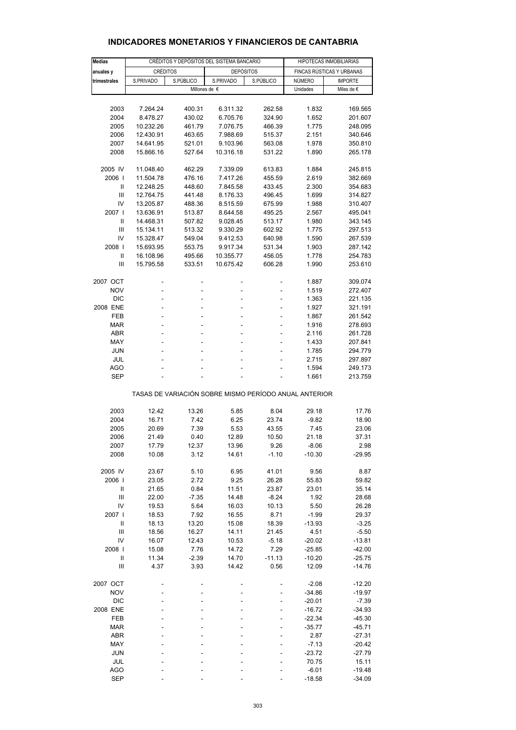| <b>Medias</b>                                         |                 |           | CRÉDITOS Y DEPÓSITOS DEL SISTEMA BANCARIO |                | HIPOTECAS INMOBILIARIAS   |                    |  |  |
|-------------------------------------------------------|-----------------|-----------|-------------------------------------------|----------------|---------------------------|--------------------|--|--|
|                                                       | <b>CRÉDITOS</b> |           | <b>DEPÓSITOS</b>                          |                | FINCAS RÚSTICAS Y URBANAS |                    |  |  |
| anuales y<br>trimestrales                             | S.PRIVADO       | S.PÚBLICO | S.PRIVADO                                 | S.PÚBLICO      | <b>NÚMERO</b>             | <b>IMPORTE</b>     |  |  |
|                                                       |                 |           | Millones de €                             |                | Unidades                  | Miles de €         |  |  |
|                                                       |                 |           |                                           |                |                           |                    |  |  |
| 2003                                                  | 7.264.24        | 400.31    | 6.311.32                                  | 262.58         | 1.832                     | 169.565            |  |  |
| 2004                                                  | 8.478.27        | 430.02    | 6.705.76                                  | 324.90         | 1.652                     | 201.607            |  |  |
| 2005                                                  | 10.232.26       | 461.79    | 7.076.75                                  | 466.39         | 1.775                     | 248.095            |  |  |
| 2006                                                  | 12.430.91       | 463.65    | 7.988.69                                  | 515.37         | 2.151                     | 340.646            |  |  |
| 2007                                                  | 14.641.95       | 521.01    | 9.103.96                                  | 563.08         | 1.978                     | 350.810            |  |  |
| 2008                                                  | 15.866.16       | 527.64    | 10.316.18                                 | 531.22         | 1.890                     | 265.178            |  |  |
|                                                       |                 |           |                                           |                |                           |                    |  |  |
| 2005 IV                                               | 11.048.40       | 462.29    | 7.339.09                                  | 613.83         | 1.884                     | 245.815            |  |  |
| 2006                                                  | 11.504.78       | 476.16    | 7.417.26                                  | 455.59         | 2.619                     | 382.669            |  |  |
| Ш                                                     | 12.248.25       | 448.60    | 7.845.58                                  | 433.45         | 2.300                     | 354.683            |  |  |
| Ш                                                     | 12.764.75       | 441.48    | 8.176.33                                  | 496.45         | 1.699                     | 314.827            |  |  |
| IV                                                    | 13.205.87       | 488.36    | 8.515.59                                  | 675.99         | 1.988                     | 310.407            |  |  |
| 2007 l                                                | 13.636.91       | 513.87    | 8.644.58                                  | 495.25         | 2.567                     | 495.041            |  |  |
| Ш                                                     | 14.468.31       | 507.82    | 9.028.45                                  | 513.17         | 1.980                     | 343.145            |  |  |
| Ш                                                     | 15.134.11       | 513.32    | 9.330.29                                  | 602.92         | 1.775                     | 297.513            |  |  |
| IV                                                    | 15.328.47       | 549.04    | 9.412.53                                  | 640.98         | 1.590                     | 267.539            |  |  |
| 2008                                                  | 15.693.95       | 553.75    | 9.917.34                                  | 531.34         | 1.903                     | 287.142            |  |  |
| $\mathbf{I}$                                          | 16.108.96       | 495.66    | 10.355.77                                 | 456.05         | 1.778                     | 254.783            |  |  |
| Ш                                                     | 15.795.58       | 533.51    | 10.675.42                                 | 606.28         | 1.990                     | 253.610            |  |  |
|                                                       |                 |           |                                           |                |                           |                    |  |  |
| 2007 OCT                                              |                 |           |                                           | ٠              | 1.887                     | 309.074            |  |  |
| <b>NOV</b>                                            | -               | -         | -                                         | ÷,             | 1.519                     | 272.407            |  |  |
| <b>DIC</b>                                            | L,              |           |                                           | $\overline{a}$ | 1.363                     | 221.135            |  |  |
| 2008 ENE                                              |                 |           |                                           |                | 1.927                     | 321.191            |  |  |
| <b>FEB</b>                                            | -<br>L,         |           |                                           | $\overline{a}$ | 1.867                     | 261.542            |  |  |
| <b>MAR</b><br>ABR                                     |                 |           |                                           |                | 1.916                     | 278.693<br>261.728 |  |  |
| <b>MAY</b>                                            |                 |           |                                           |                | 2.116<br>1.433            | 207.841            |  |  |
| JUN                                                   | -<br>L,         |           |                                           | ÷<br>ä,        | 1.785                     | 294.779            |  |  |
| JUL                                                   |                 |           |                                           |                | 2.715                     | 297.897            |  |  |
| <b>AGO</b>                                            | ÷               | ä,        |                                           |                | 1.594                     | 249.173            |  |  |
| <b>SEP</b>                                            |                 |           |                                           |                | 1.661                     | 213.759            |  |  |
|                                                       |                 |           |                                           |                |                           |                    |  |  |
| TASAS DE VARIACIÓN SOBRE MISMO PERÍODO ANUAL ANTERIOR |                 |           |                                           |                |                           |                    |  |  |
|                                                       |                 |           |                                           |                |                           |                    |  |  |
| 2003                                                  | 12.42           | 13.26     | 5.85                                      | 8.04           | 29.18                     | 17.76              |  |  |
| 2004                                                  | 16.71           | 7.42      | 6.25                                      | 23.74          | $-9.82$                   | 18.90              |  |  |
| 2005                                                  | 20.69           | 7.39      | 5.53                                      | 43.55          | 7.45                      | 23.06              |  |  |
| 2006                                                  | 21.49           | 0.40      | 12.89                                     | 10.50          | 21.18                     | 37.31              |  |  |
| 2007                                                  | 17.79           | 12.37     | 13.96                                     | 9.26           | $-8.06$                   | 2.98               |  |  |
| 2008                                                  | 10.08           | 3.12      | 14.61                                     | $-1.10$        | $-10.30$                  | $-29.95$           |  |  |
| 2005 IV                                               | 23.67           | 5.10      | 6.95                                      | 41.01          | 9.56                      | 8.87               |  |  |
| 2006                                                  | 23.05           | 2.72      | 9.25                                      | 26.28          | 55.83                     | 59.82              |  |  |
| $\mathsf{I}$                                          | 21.65           | 0.84      | 11.51                                     | 23.87          | 23.01                     | 35.14              |  |  |
| Ш                                                     | 22.00           | $-7.35$   | 14.48                                     | $-8.24$        | 1.92                      | 28.68              |  |  |
| IV                                                    | 19.53           | 5.64      | 16.03                                     | 10.13          | 5.50                      | 26.28              |  |  |
| 2007                                                  | 18.53           | 7.92      | 16.55                                     | 8.71           | $-1.99$                   | 29.37              |  |  |
| Ш                                                     | 18.13           | 13.20     | 15.08                                     | 18.39          | $-13.93$                  | $-3.25$            |  |  |
| III                                                   | 18.56           | 16.27     | 14.11                                     | 21.45          | 4.51                      | $-5.50$            |  |  |
| IV                                                    | 16.07           | 12.43     | 10.53                                     | $-5.18$        | $-20.02$                  | $-13.81$           |  |  |
| 2008                                                  | 15.08           | 7.76      | 14.72                                     | 7.29           | $-25.85$                  | $-42.00$           |  |  |
| Ш                                                     | 11.34           | $-2.39$   | 14.70                                     | $-11.13$       | $-10.20$                  | $-25.75$           |  |  |
| Ш                                                     | 4.37            | 3.93      | 14.42                                     | 0.56           | 12.09                     | $-14.76$           |  |  |
|                                                       |                 |           |                                           |                |                           |                    |  |  |
| 2007 OCT                                              |                 |           |                                           |                | $-2.08$                   | $-12.20$           |  |  |
| <b>NOV</b>                                            |                 |           |                                           |                | $-34.86$                  | $-19.97$           |  |  |
| <b>DIC</b>                                            |                 |           |                                           |                | $-20.01$                  | $-7.39$            |  |  |
| 2008 ENE                                              |                 |           |                                           |                | $-16.72$                  | $-34.93$           |  |  |
| FEB                                                   |                 |           |                                           |                | $-22.34$                  | $-45.30$           |  |  |
| <b>MAR</b>                                            |                 |           |                                           |                | $-35.77$                  | $-45.71$           |  |  |
| ABR                                                   |                 |           |                                           |                | 2.87                      | $-27.31$           |  |  |
| MAY                                                   |                 |           |                                           |                | $-7.13$                   | $-20.42$           |  |  |
| <b>JUN</b>                                            |                 |           |                                           |                | $-23.72$                  | $-27.79$           |  |  |
| JUL<br><b>AGO</b>                                     |                 |           |                                           |                | 70.75<br>$-6.01$          | 15.11<br>$-19.48$  |  |  |
| <b>SEP</b>                                            |                 |           |                                           |                | $-18.58$                  | $-34.09$           |  |  |
|                                                       |                 |           |                                           |                |                           |                    |  |  |

## **INDICADORES MONETARIOS Y FINANCIEROS DE CANTABRIA**